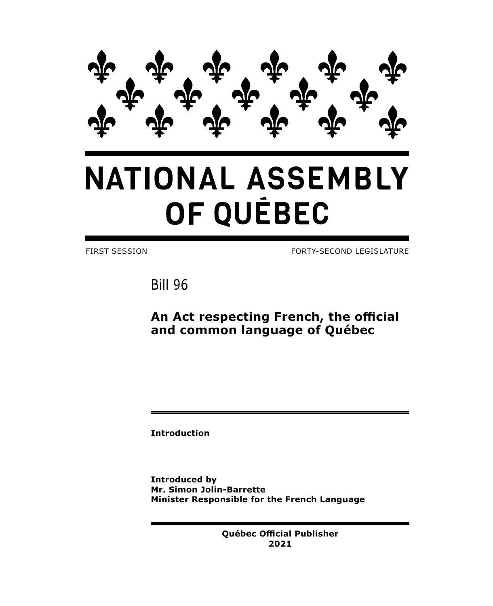

# **NATIONAL ASSEMBLY** OF QUÉBEC

FIRST SESSION FORTY-SECOND LEGISLATURE

Bill 96

**An Act respecting French, the official and common language of Québec**

**Introduction**

**Introduced by Mr. Simon Jolin-Barrette Minister Responsible for the French Language**

> **Québec Official Publisher 2021**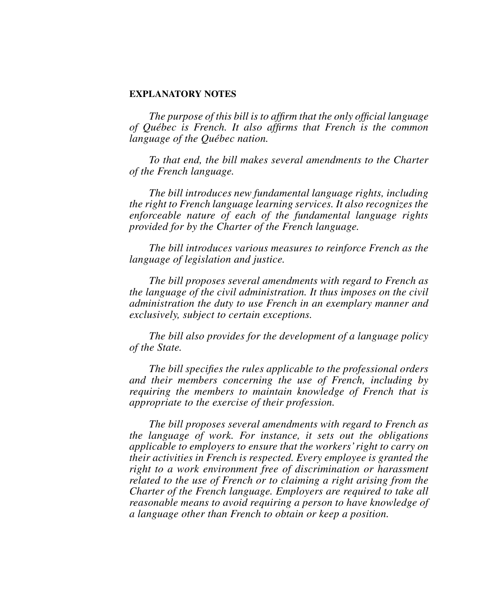## **EXPLANATORY NOTES**

*The purpose of this bill is to affirm that the only official language of Québec is French. It also affirms that French is the common language of the Québec nation.*

*To that end, the bill makes several amendments to the Charter of the French language.*

*The bill introduces new fundamental language rights, including the right to French language learning services. It also recognizes the enforceable nature of each of the fundamental language rights provided for by the Charter of the French language.*

*The bill introduces various measures to reinforce French as the language of legislation and justice.*

*The bill proposes several amendments with regard to French as the language of the civil administration. It thus imposes on the civil administration the duty to use French in an exemplary manner and exclusively, subject to certain exceptions.*

*The bill also provides for the development of a language policy of the State.*

*The bill specifies the rules applicable to the professional orders and their members concerning the use of French, including by requiring the members to maintain knowledge of French that is appropriate to the exercise of their profession.*

*The bill proposes several amendments with regard to French as the language of work. For instance, it sets out the obligations applicable to employers to ensure that the workers' right to carry on their activities in French is respected. Every employee is granted the right to a work environment free of discrimination or harassment related to the use of French or to claiming a right arising from the Charter of the French language. Employers are required to take all reasonable means to avoid requiring a person to have knowledge of a language other than French to obtain or keep a position.*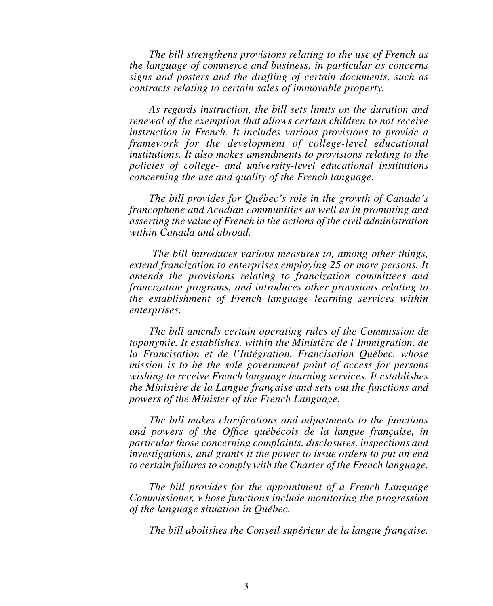*The bill strengthens provisions relating to the use of French as the language of commerce and business, in particular as concerns signs and posters and the drafting of certain documents, such as contracts relating to certain sales of immovable property.*

*As regards instruction, the bill sets limits on the duration and renewal of the exemption that allows certain children to not receive instruction in French. It includes various provisions to provide a framework for the development of college-level educational institutions. It also makes amendments to provisions relating to the policies of college- and university-level educational institutions concerning the use and quality of the French language.*

*The bill provides for Québec's role in the growth of Canada's francophone and Acadian communities as well as in promoting and asserting the value of French in the actions of the civil administration within Canada and abroad.*

 *The bill introduces various measures to, among other things, extend francization to enterprises employing 25 or more persons. It amends the provisions relating to francization committees and francization programs, and introduces other provisions relating to the establishment of French language learning services within enterprises.*

*The bill amends certain operating rules of the Commission de toponymie. It establishes, within the Ministère de l'Immigration, de la Francisation et de l'Intégration, Francisation Québec, whose mission is to be the sole government point of access for persons wishing to receive French language learning services. It establishes the Ministère de la Langue française and sets out the functions and powers of the Minister of the French Language.*

*The bill makes clarifications and adjustments to the functions and powers of the Office québécois de la langue française, in particular those concerning complaints, disclosures, inspections and investigations, and grants it the power to issue orders to put an end to certain failures to comply with the Charter of the French language.*

*The bill provides for the appointment of a French Language Commissioner, whose functions include monitoring the progression of the language situation in Québec.*

*The bill abolishes the Conseil supérieur de la langue française.*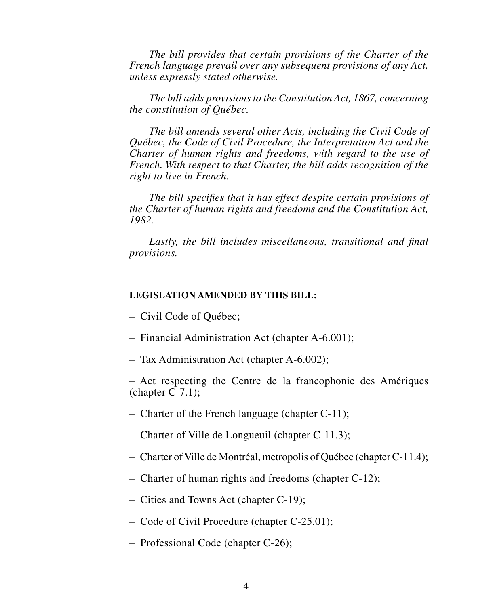*The bill provides that certain provisions of the Charter of the French language prevail over any subsequent provisions of any Act, unless expressly stated otherwise.*

*The bill adds provisions to the Constitution Act, 1867, concerning the constitution of Québec.*

*The bill amends several other Acts, including the Civil Code of Québec, the Code of Civil Procedure, the Interpretation Act and the Charter of human rights and freedoms, with regard to the use of French. With respect to that Charter, the bill adds recognition of the right to live in French.*

*The bill specifies that it has effect despite certain provisions of the Charter of human rights and freedoms and the Constitution Act, 1982.*

*Lastly, the bill includes miscellaneous, transitional and final provisions.*

# **LEGISLATION AMENDED BY THIS BILL:**

– Civil Code of Québec;

- Financial Administration Act (chapter A-6.001);
- Tax Administration Act (chapter A-6.002);

– Act respecting the Centre de la francophonie des Amériques  $(charet C-7.1);$ 

- Charter of the French language (chapter C-11);
- Charter of Ville de Longueuil (chapter C-11.3);
- Charter of Ville de Montréal, metropolis of Québec (chapter C-11.4);
- Charter of human rights and freedoms (chapter C-12);
- Cities and Towns Act (chapter C-19);
- Code of Civil Procedure (chapter C-25.01);
- Professional Code (chapter C-26);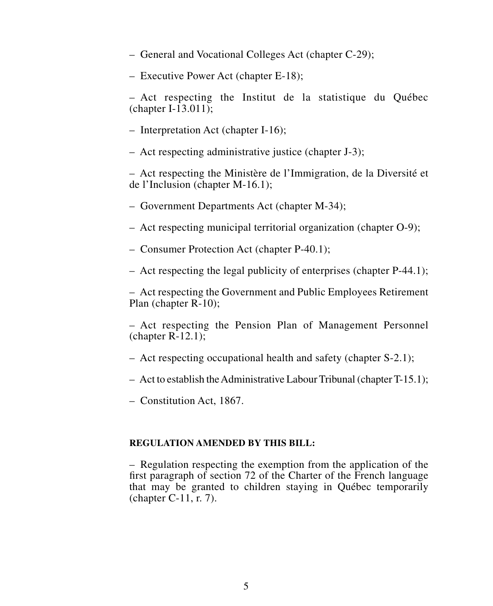- General and Vocational Colleges Act (chapter C-29);
- Executive Power Act (chapter E-18);

– Act respecting the Institut de la statistique du Québec (chapter I-13.011);

- Interpretation Act (chapter I-16);
- Act respecting administrative justice (chapter J-3);

– Act respecting the Ministère de l'Immigration, de la Diversité et de l'Inclusion (chapter M-16.1);

– Government Departments Act (chapter M-34);

– Act respecting municipal territorial organization (chapter O-9);

- Consumer Protection Act (chapter P-40.1);
- Act respecting the legal publicity of enterprises (chapter P-44.1);

– Act respecting the Government and Public Employees Retirement Plan (chapter R-10);

– Act respecting the Pension Plan of Management Personnel (chapter R-12.1);

- Act respecting occupational health and safety (chapter S-2.1);
- $-$  Act to establish the Administrative Labour Tribunal (chapter T-15.1);

– Constitution Act, 1867.

# **REGULATION AMENDED BY THIS BILL:**

– Regulation respecting the exemption from the application of the first paragraph of section 72 of the Charter of the French language that may be granted to children staying in Québec temporarily (chapter C-11, r. 7).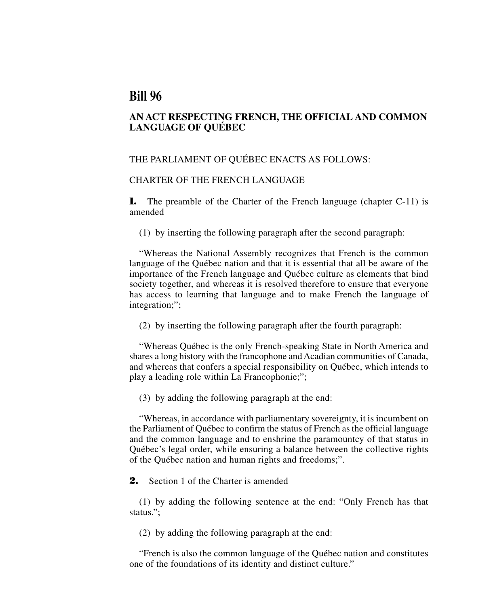# **Bill 96**

# **AN ACT RESPECTING FRENCH, THE OFFICIAL AND COMMON LANGUAGE OF QUÉBEC**

# THE PARLIAMENT OF QUÉBEC ENACTS AS FOLLOWS:

# CHARTER OF THE FRENCH LANGUAGE

**1.** The preamble of the Charter of the French language (chapter C-11) is amended

(1) by inserting the following paragraph after the second paragraph:

"Whereas the National Assembly recognizes that French is the common language of the Québec nation and that it is essential that all be aware of the importance of the French language and Québec culture as elements that bind society together, and whereas it is resolved therefore to ensure that everyone has access to learning that language and to make French the language of integration;";

(2) by inserting the following paragraph after the fourth paragraph:

"Whereas Québec is the only French-speaking State in North America and shares a long history with the francophone and Acadian communities of Canada, and whereas that confers a special responsibility on Québec, which intends to play a leading role within La Francophonie;";

(3) by adding the following paragraph at the end:

"Whereas, in accordance with parliamentary sovereignty, it is incumbent on the Parliament of Québec to confirm the status of French as the official language and the common language and to enshrine the paramountcy of that status in Québec's legal order, while ensuring a balance between the collective rights of the Québec nation and human rights and freedoms;".

**2.** Section 1 of the Charter is amended

(1) by adding the following sentence at the end: "Only French has that status.";

(2) by adding the following paragraph at the end:

"French is also the common language of the Québec nation and constitutes one of the foundations of its identity and distinct culture."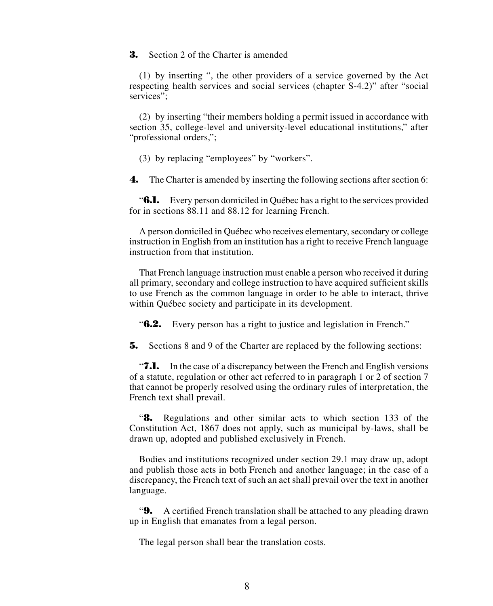**3.** Section 2 of the Charter is amended

(1) by inserting ", the other providers of a service governed by the Act respecting health services and social services (chapter S-4.2)" after "social services":

(2) by inserting "their members holding a permit issued in accordance with section 35, college-level and university-level educational institutions," after "professional orders,";

(3) by replacing "employees" by "workers".

**4.** The Charter is amended by inserting the following sections after section 6:

"**6.1.** Every person domiciled in Québec has a right to the services provided for in sections 88.11 and 88.12 for learning French.

A person domiciled in Québec who receives elementary, secondary or college instruction in English from an institution has a right to receive French language instruction from that institution.

That French language instruction must enable a person who received it during all primary, secondary and college instruction to have acquired sufficient skills to use French as the common language in order to be able to interact, thrive within Québec society and participate in its development.

"**6.2.** Every person has a right to justice and legislation in French."

**5.** Sections 8 and 9 of the Charter are replaced by the following sections:

"**7.1.** In the case of a discrepancy between the French and English versions of a statute, regulation or other act referred to in paragraph 1 or 2 of section 7 that cannot be properly resolved using the ordinary rules of interpretation, the French text shall prevail.

"**8.** Regulations and other similar acts to which section 133 of the Constitution Act, 1867 does not apply, such as municipal by-laws, shall be drawn up, adopted and published exclusively in French.

Bodies and institutions recognized under section 29.1 may draw up, adopt and publish those acts in both French and another language; in the case of a discrepancy, the French text of such an act shall prevail over the text in another language.

"**9.** A certified French translation shall be attached to any pleading drawn up in English that emanates from a legal person.

The legal person shall bear the translation costs.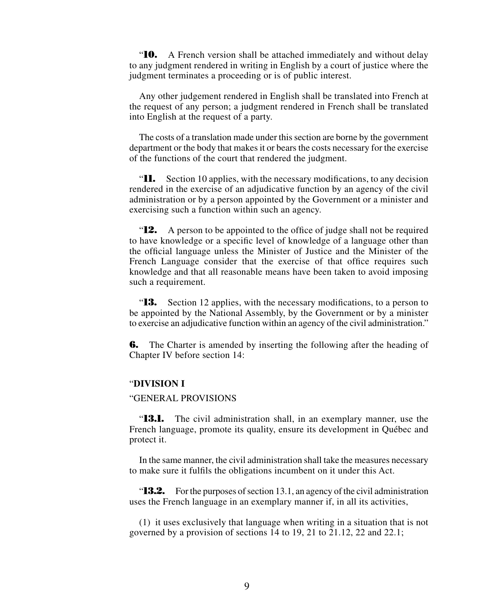"**10.** A French version shall be attached immediately and without delay to any judgment rendered in writing in English by a court of justice where the judgment terminates a proceeding or is of public interest.

Any other judgement rendered in English shall be translated into French at the request of any person; a judgment rendered in French shall be translated into English at the request of a party.

The costs of a translation made under this section are borne by the government department or the body that makes it or bears the costs necessary for the exercise of the functions of the court that rendered the judgment.

"**11.** Section 10 applies, with the necessary modifications, to any decision rendered in the exercise of an adjudicative function by an agency of the civil administration or by a person appointed by the Government or a minister and exercising such a function within such an agency.

"**12.** A person to be appointed to the office of judge shall not be required to have knowledge or a specific level of knowledge of a language other than the official language unless the Minister of Justice and the Minister of the French Language consider that the exercise of that office requires such knowledge and that all reasonable means have been taken to avoid imposing such a requirement.

"**13.** Section 12 applies, with the necessary modifications, to a person to be appointed by the National Assembly, by the Government or by a minister to exercise an adjudicative function within an agency of the civil administration."

**6.** The Charter is amended by inserting the following after the heading of Chapter IV before section 14:

# "**DIVISION I**

# "GENERAL PROVISIONS

"**13.1.** The civil administration shall, in an exemplary manner, use the French language, promote its quality, ensure its development in Québec and protect it.

In the same manner, the civil administration shall take the measures necessary to make sure it fulfils the obligations incumbent on it under this Act.

"**13.2.** For the purposes of section 13.1, an agency of the civil administration uses the French language in an exemplary manner if, in all its activities,

(1) it uses exclusively that language when writing in a situation that is not governed by a provision of sections 14 to 19, 21 to 21.12, 22 and 22.1;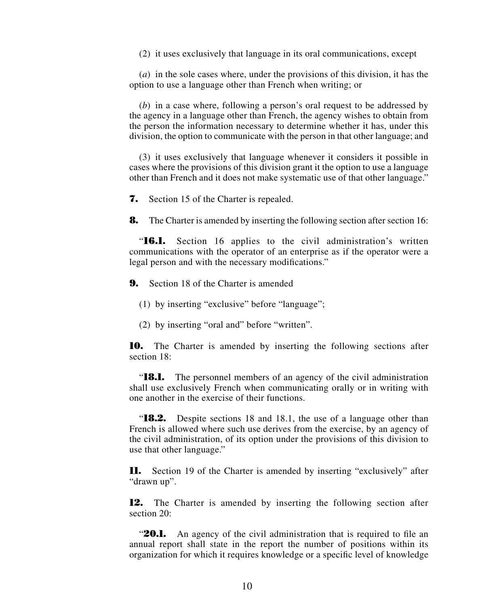(2) it uses exclusively that language in its oral communications, except

(*a*) in the sole cases where, under the provisions of this division, it has the option to use a language other than French when writing; or

(*b*) in a case where, following a person's oral request to be addressed by the agency in a language other than French, the agency wishes to obtain from the person the information necessary to determine whether it has, under this division, the option to communicate with the person in that other language; and

(3) it uses exclusively that language whenever it considers it possible in cases where the provisions of this division grant it the option to use a language other than French and it does not make systematic use of that other language."

**7.** Section 15 of the Charter is repealed.

**8.** The Charter is amended by inserting the following section after section 16:

"**16.1.** Section 16 applies to the civil administration's written communications with the operator of an enterprise as if the operator were a legal person and with the necessary modifications."

**9.** Section 18 of the Charter is amended

(1) by inserting "exclusive" before "language";

(2) by inserting "oral and" before "written".

**10.** The Charter is amended by inserting the following sections after section 18:

"**18.1.** The personnel members of an agency of the civil administration shall use exclusively French when communicating orally or in writing with one another in the exercise of their functions.

"**18.2.** Despite sections 18 and 18.1, the use of a language other than French is allowed where such use derives from the exercise, by an agency of the civil administration, of its option under the provisions of this division to use that other language."

**11.** Section 19 of the Charter is amended by inserting "exclusively" after "drawn up".

**12.** The Charter is amended by inserting the following section after section 20:

"**20.1.** An agency of the civil administration that is required to file an annual report shall state in the report the number of positions within its organization for which it requires knowledge or a specific level of knowledge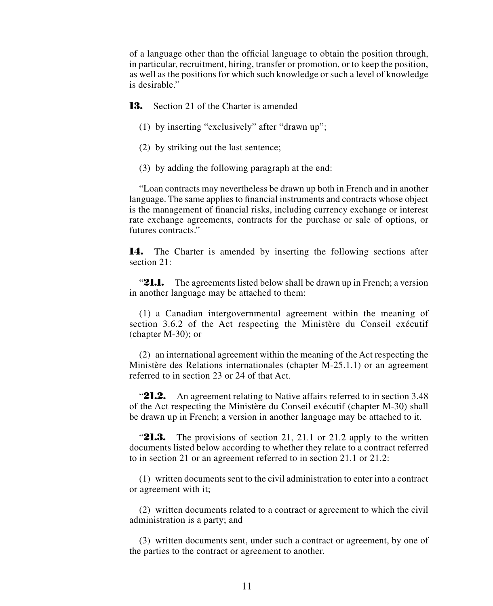of a language other than the official language to obtain the position through, in particular, recruitment, hiring, transfer or promotion, or to keep the position, as well as the positions for which such knowledge or such a level of knowledge is desirable."

**13.** Section 21 of the Charter is amended

- (1) by inserting "exclusively" after "drawn up";
- (2) by striking out the last sentence;
- (3) by adding the following paragraph at the end:

"Loan contracts may nevertheless be drawn up both in French and in another language. The same applies to financial instruments and contracts whose object is the management of financial risks, including currency exchange or interest rate exchange agreements, contracts for the purchase or sale of options, or futures contracts."

14. The Charter is amended by inserting the following sections after section 21:

**21.1.** The agreements listed below shall be drawn up in French; a version in another language may be attached to them:

(1) a Canadian intergovernmental agreement within the meaning of section 3.6.2 of the Act respecting the Ministère du Conseil exécutif (chapter M-30); or

(2) an international agreement within the meaning of the Act respecting the Ministère des Relations internationales (chapter M-25.1.1) or an agreement referred to in section 23 or 24 of that Act.

"**21.2.** An agreement relating to Native affairs referred to in section 3.48 of the Act respecting the Ministère du Conseil exécutif (chapter M-30) shall be drawn up in French; a version in another language may be attached to it.

**21.3.** The provisions of section 21, 21.1 or 21.2 apply to the written documents listed below according to whether they relate to a contract referred to in section 21 or an agreement referred to in section 21.1 or 21.2:

(1) written documents sent to the civil administration to enter into a contract or agreement with it;

(2) written documents related to a contract or agreement to which the civil administration is a party; and

(3) written documents sent, under such a contract or agreement, by one of the parties to the contract or agreement to another.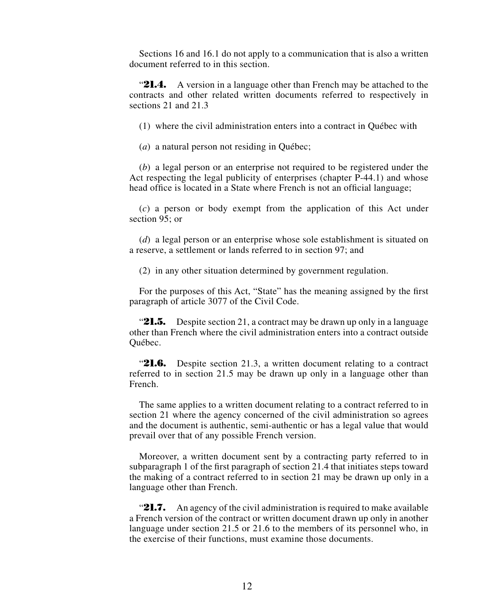Sections 16 and 16.1 do not apply to a communication that is also a written document referred to in this section.

**21.4.** A version in a language other than French may be attached to the contracts and other related written documents referred to respectively in sections 21 and 21.3

(1) where the civil administration enters into a contract in Québec with

(*a*) a natural person not residing in Québec;

(*b*) a legal person or an enterprise not required to be registered under the Act respecting the legal publicity of enterprises (chapter P-44.1) and whose head office is located in a State where French is not an official language;

(*c*) a person or body exempt from the application of this Act under section 95; or

(*d*) a legal person or an enterprise whose sole establishment is situated on a reserve, a settlement or lands referred to in section 97; and

(2) in any other situation determined by government regulation.

For the purposes of this Act, "State" has the meaning assigned by the first paragraph of article 3077 of the Civil Code.

"21.5. Despite section 21, a contract may be drawn up only in a language other than French where the civil administration enters into a contract outside Québec.

**21.6.** Despite section 21.3, a written document relating to a contract referred to in section 21.5 may be drawn up only in a language other than French.

The same applies to a written document relating to a contract referred to in section 21 where the agency concerned of the civil administration so agrees and the document is authentic, semi-authentic or has a legal value that would prevail over that of any possible French version.

Moreover, a written document sent by a contracting party referred to in subparagraph 1 of the first paragraph of section 21.4 that initiates steps toward the making of a contract referred to in section 21 may be drawn up only in a language other than French.

"21.7. An agency of the civil administration is required to make available a French version of the contract or written document drawn up only in another language under section 21.5 or 21.6 to the members of its personnel who, in the exercise of their functions, must examine those documents.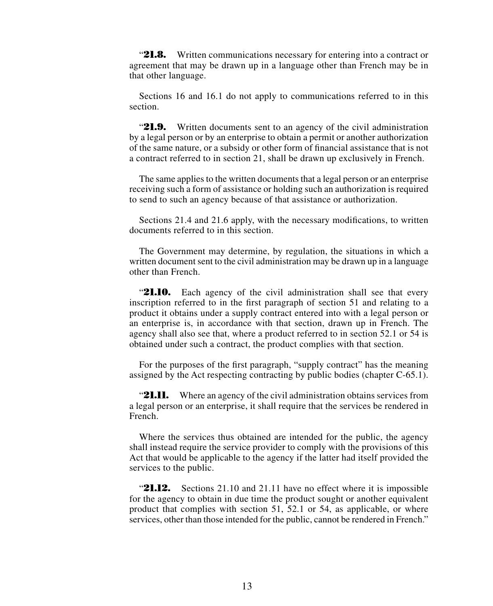**21.8.** Written communications necessary for entering into a contract or agreement that may be drawn up in a language other than French may be in that other language.

Sections 16 and 16.1 do not apply to communications referred to in this section.

"21.9. Written documents sent to an agency of the civil administration by a legal person or by an enterprise to obtain a permit or another authorization of the same nature, or a subsidy or other form of financial assistance that is not a contract referred to in section 21, shall be drawn up exclusively in French.

The same applies to the written documents that a legal person or an enterprise receiving such a form of assistance or holding such an authorization is required to send to such an agency because of that assistance or authorization.

Sections 21.4 and 21.6 apply, with the necessary modifications, to written documents referred to in this section.

The Government may determine, by regulation, the situations in which a written document sent to the civil administration may be drawn up in a language other than French.

**21.10.** Each agency of the civil administration shall see that every inscription referred to in the first paragraph of section 51 and relating to a product it obtains under a supply contract entered into with a legal person or an enterprise is, in accordance with that section, drawn up in French. The agency shall also see that, where a product referred to in section 52.1 or 54 is obtained under such a contract, the product complies with that section.

For the purposes of the first paragraph, "supply contract" has the meaning assigned by the Act respecting contracting by public bodies (chapter C-65.1).

**21.11.** Where an agency of the civil administration obtains services from a legal person or an enterprise, it shall require that the services be rendered in French.

Where the services thus obtained are intended for the public, the agency shall instead require the service provider to comply with the provisions of this Act that would be applicable to the agency if the latter had itself provided the services to the public.

**21.12.** Sections 21.10 and 21.11 have no effect where it is impossible for the agency to obtain in due time the product sought or another equivalent product that complies with section 51, 52.1 or 54, as applicable, or where services, other than those intended for the public, cannot be rendered in French."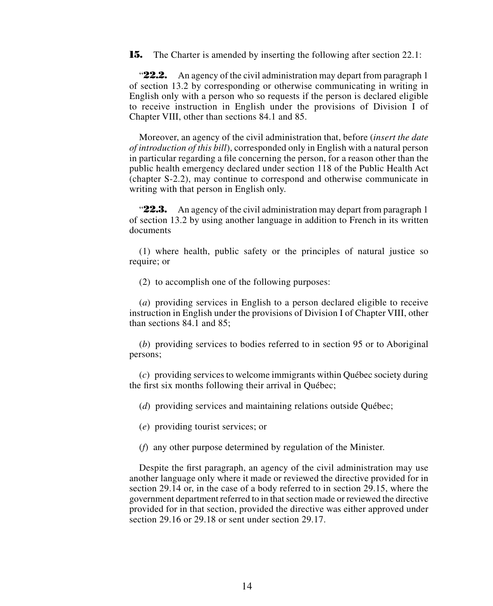**15.** The Charter is amended by inserting the following after section 22.1:

"**22.2.** An agency of the civil administration may depart from paragraph 1 of section 13.2 by corresponding or otherwise communicating in writing in English only with a person who so requests if the person is declared eligible to receive instruction in English under the provisions of Division I of Chapter VIII, other than sections 84.1 and 85.

Moreover, an agency of the civil administration that, before (*insert the date of introduction of this bill*), corresponded only in English with a natural person in particular regarding a file concerning the person, for a reason other than the public health emergency declared under section 118 of the Public Health Act (chapter S-2.2), may continue to correspond and otherwise communicate in writing with that person in English only.

**22.3.** An agency of the civil administration may depart from paragraph 1 of section 13.2 by using another language in addition to French in its written documents

(1) where health, public safety or the principles of natural justice so require; or

(2) to accomplish one of the following purposes:

(*a*) providing services in English to a person declared eligible to receive instruction in English under the provisions of Division I of Chapter VIII, other than sections 84.1 and 85;

(*b*) providing services to bodies referred to in section 95 or to Aboriginal persons;

(*c*) providing services to welcome immigrants within Québec society during the first six months following their arrival in Québec;

(*d*) providing services and maintaining relations outside Québec;

(*e*) providing tourist services; or

(*f*) any other purpose determined by regulation of the Minister.

Despite the first paragraph, an agency of the civil administration may use another language only where it made or reviewed the directive provided for in section 29.14 or, in the case of a body referred to in section 29.15, where the government department referred to in that section made or reviewed the directive provided for in that section, provided the directive was either approved under section 29.16 or 29.18 or sent under section 29.17.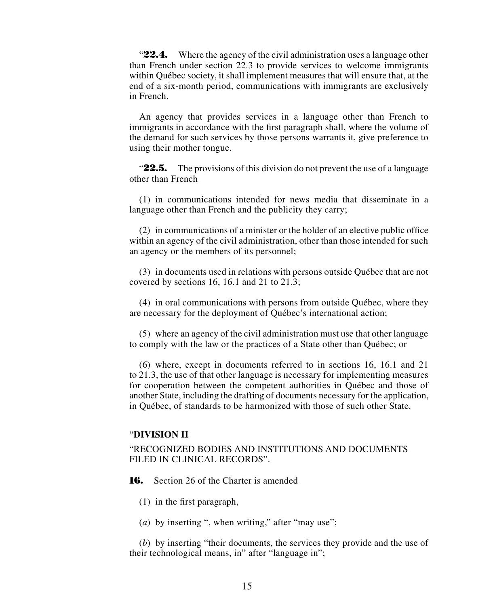**22.4.** Where the agency of the civil administration uses a language other than French under section 22.3 to provide services to welcome immigrants within Québec society, it shall implement measures that will ensure that, at the end of a six-month period, communications with immigrants are exclusively in French.

An agency that provides services in a language other than French to immigrants in accordance with the first paragraph shall, where the volume of the demand for such services by those persons warrants it, give preference to using their mother tongue.

"**22.5.** The provisions of this division do not prevent the use of a language other than French

(1) in communications intended for news media that disseminate in a language other than French and the publicity they carry;

(2) in communications of a minister or the holder of an elective public office within an agency of the civil administration, other than those intended for such an agency or the members of its personnel;

(3) in documents used in relations with persons outside Québec that are not covered by sections 16, 16.1 and 21 to 21.3;

(4) in oral communications with persons from outside Québec, where they are necessary for the deployment of Québec's international action;

(5) where an agency of the civil administration must use that other language to comply with the law or the practices of a State other than Québec; or

(6) where, except in documents referred to in sections 16, 16.1 and 21 to 21.3, the use of that other language is necessary for implementing measures for cooperation between the competent authorities in Québec and those of another State, including the drafting of documents necessary for the application, in Québec, of standards to be harmonized with those of such other State.

# "**DIVISION II**

# "RECOGNIZED BODIES AND INSTITUTIONS AND DOCUMENTS FILED IN CLINICAL RECORDS".

**16.** Section 26 of the Charter is amended

(1) in the first paragraph,

(*a*) by inserting ", when writing," after "may use";

(*b*) by inserting "their documents, the services they provide and the use of their technological means, in" after "language in";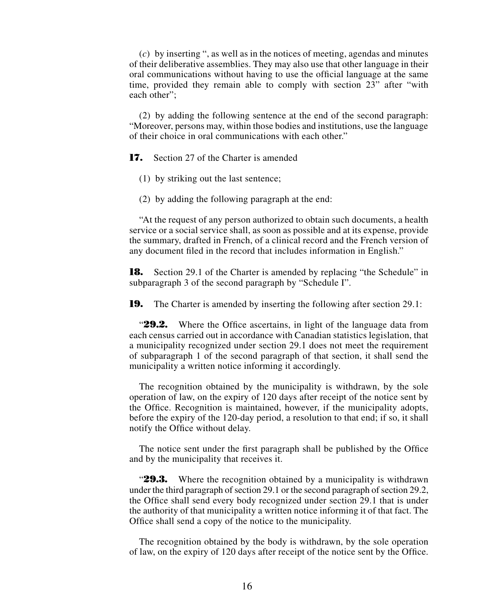(*c*) by inserting ", as well as in the notices of meeting, agendas and minutes of their deliberative assemblies. They may also use that other language in their oral communications without having to use the official language at the same time, provided they remain able to comply with section 23" after "with each other";

(2) by adding the following sentence at the end of the second paragraph: "Moreover, persons may, within those bodies and institutions, use the language of their choice in oral communications with each other."

**17.** Section 27 of the Charter is amended

- (1) by striking out the last sentence;
- (2) by adding the following paragraph at the end:

"At the request of any person authorized to obtain such documents, a health service or a social service shall, as soon as possible and at its expense, provide the summary, drafted in French, of a clinical record and the French version of any document filed in the record that includes information in English."

**18.** Section 29.1 of the Charter is amended by replacing "the Schedule" in subparagraph 3 of the second paragraph by "Schedule I".

**19.** The Charter is amended by inserting the following after section 29.1:

"29.2. Where the Office ascertains, in light of the language data from each census carried out in accordance with Canadian statistics legislation, that a municipality recognized under section 29.1 does not meet the requirement of subparagraph 1 of the second paragraph of that section, it shall send the municipality a written notice informing it accordingly.

The recognition obtained by the municipality is withdrawn, by the sole operation of law, on the expiry of 120 days after receipt of the notice sent by the Office. Recognition is maintained, however, if the municipality adopts, before the expiry of the 120-day period, a resolution to that end; if so, it shall notify the Office without delay.

The notice sent under the first paragraph shall be published by the Office and by the municipality that receives it.

**29.3.** Where the recognition obtained by a municipality is withdrawn under the third paragraph of section 29.1 or the second paragraph of section 29.2, the Office shall send every body recognized under section 29.1 that is under the authority of that municipality a written notice informing it of that fact. The Office shall send a copy of the notice to the municipality.

The recognition obtained by the body is withdrawn, by the sole operation of law, on the expiry of 120 days after receipt of the notice sent by the Office.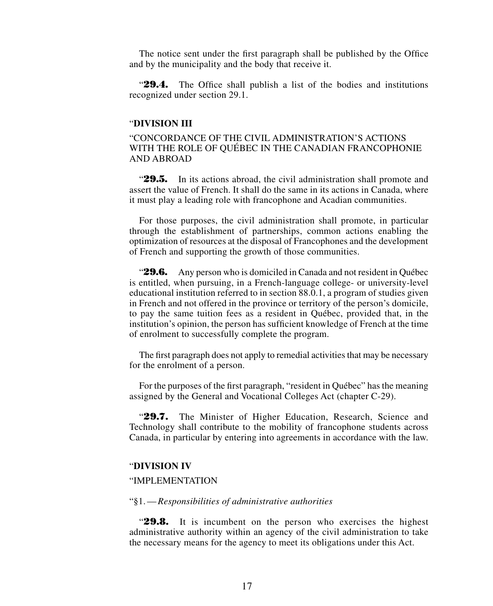The notice sent under the first paragraph shall be published by the Office and by the municipality and the body that receive it.

"**29.4.** The Office shall publish a list of the bodies and institutions recognized under section 29.1.

#### "**DIVISION III**

# "CONCORDANCE OF THE CIVIL ADMINISTRATION'S ACTIONS WITH THE ROLE OF QUÉBEC IN THE CANADIAN FRANCOPHONIE AND ABROAD

"29.5. In its actions abroad, the civil administration shall promote and assert the value of French. It shall do the same in its actions in Canada, where it must play a leading role with francophone and Acadian communities.

For those purposes, the civil administration shall promote, in particular through the establishment of partnerships, common actions enabling the optimization of resources at the disposal of Francophones and the development of French and supporting the growth of those communities.

"**29.6.** Any person who is domiciled in Canada and not resident in Québec is entitled, when pursuing, in a French-language college- or university-level educational institution referred to in section 88.0.1, a program of studies given in French and not offered in the province or territory of the person's domicile, to pay the same tuition fees as a resident in Québec, provided that, in the institution's opinion, the person has sufficient knowledge of French at the time of enrolment to successfully complete the program.

The first paragraph does not apply to remedial activities that may be necessary for the enrolment of a person.

For the purposes of the first paragraph, "resident in Québec" has the meaning assigned by the General and Vocational Colleges Act (chapter C-29).

"**29.7.** The Minister of Higher Education, Research, Science and Technology shall contribute to the mobility of francophone students across Canada, in particular by entering into agreements in accordance with the law.

## "**DIVISION IV**

#### "IMPLEMENTATION

#### "§1.—*Responsibilities of administrative authorities*

"**29.8.** It is incumbent on the person who exercises the highest administrative authority within an agency of the civil administration to take the necessary means for the agency to meet its obligations under this Act.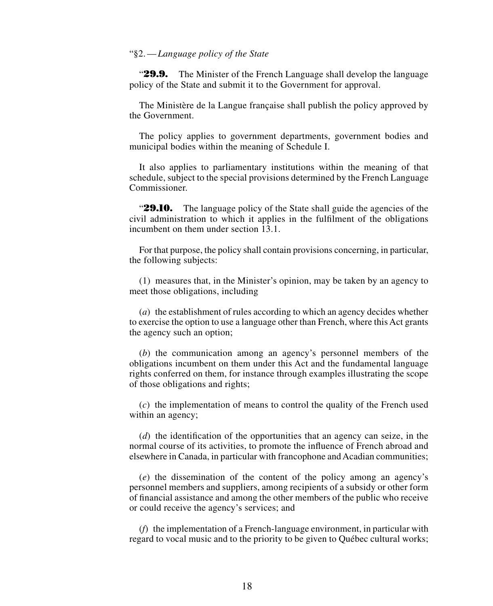#### "§2.—*Language policy of the State*

"**29.9.** The Minister of the French Language shall develop the language policy of the State and submit it to the Government for approval.

The Ministère de la Langue française shall publish the policy approved by the Government.

The policy applies to government departments, government bodies and municipal bodies within the meaning of Schedule I.

It also applies to parliamentary institutions within the meaning of that schedule, subject to the special provisions determined by the French Language Commissioner.

"**29.10.** The language policy of the State shall guide the agencies of the civil administration to which it applies in the fulfilment of the obligations incumbent on them under section 13.1.

For that purpose, the policy shall contain provisions concerning, in particular, the following subjects:

(1) measures that, in the Minister's opinion, may be taken by an agency to meet those obligations, including

(*a*) the establishment of rules according to which an agency decides whether to exercise the option to use a language other than French, where this Act grants the agency such an option;

(*b*) the communication among an agency's personnel members of the obligations incumbent on them under this Act and the fundamental language rights conferred on them, for instance through examples illustrating the scope of those obligations and rights;

(*c*) the implementation of means to control the quality of the French used within an agency;

(*d*) the identification of the opportunities that an agency can seize, in the normal course of its activities, to promote the influence of French abroad and elsewhere in Canada, in particular with francophone and Acadian communities;

(*e*) the dissemination of the content of the policy among an agency's personnel members and suppliers, among recipients of a subsidy or other form of financial assistance and among the other members of the public who receive or could receive the agency's services; and

(*f*) the implementation of a French-language environment, in particular with regard to vocal music and to the priority to be given to Québec cultural works;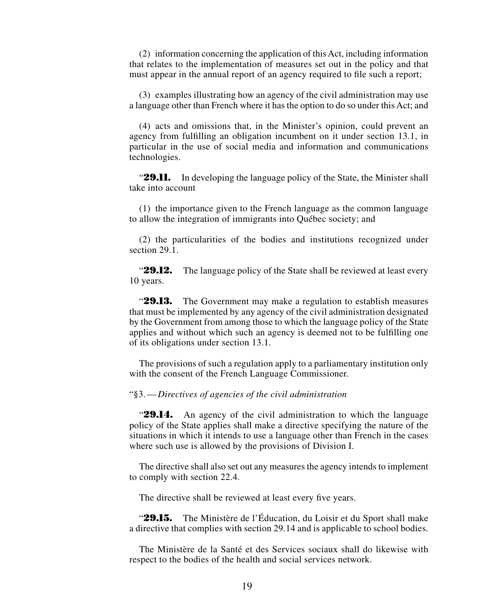(2) information concerning the application of this Act, including information that relates to the implementation of measures set out in the policy and that must appear in the annual report of an agency required to file such a report;

(3) examples illustrating how an agency of the civil administration may use a language other than French where it has the option to do so under this Act; and

(4) acts and omissions that, in the Minister's opinion, could prevent an agency from fulfilling an obligation incumbent on it under section 13.1, in particular in the use of social media and information and communications technologies.

"**29.11.** In developing the language policy of the State, the Minister shall take into account

(1) the importance given to the French language as the common language to allow the integration of immigrants into Québec society; and

(2) the particularities of the bodies and institutions recognized under section 29.1.

"**29.12.** The language policy of the State shall be reviewed at least every 10 years.

"**29.13.** The Government may make a regulation to establish measures that must be implemented by any agency of the civil administration designated by the Government from among those to which the language policy of the State applies and without which such an agency is deemed not to be fulfilling one of its obligations under section 13.1.

The provisions of such a regulation apply to a parliamentary institution only with the consent of the French Language Commissioner.

"§3.—*Directives of agencies of the civil administration*

"**29.14.** An agency of the civil administration to which the language policy of the State applies shall make a directive specifying the nature of the situations in which it intends to use a language other than French in the cases where such use is allowed by the provisions of Division I.

The directive shall also set out any measures the agency intends to implement to comply with section 22.4.

The directive shall be reviewed at least every five years.

"**29.15.** The Ministère de l'Éducation, du Loisir et du Sport shall make a directive that complies with section 29.14 and is applicable to school bodies.

The Ministère de la Santé et des Services sociaux shall do likewise with respect to the bodies of the health and social services network.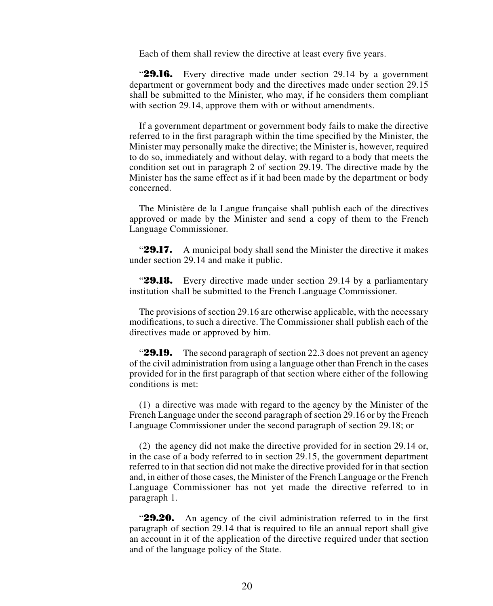Each of them shall review the directive at least every five years.

"**29.16.** Every directive made under section 29.14 by a government department or government body and the directives made under section 29.15 shall be submitted to the Minister, who may, if he considers them compliant with section 29.14, approve them with or without amendments.

If a government department or government body fails to make the directive referred to in the first paragraph within the time specified by the Minister, the Minister may personally make the directive; the Minister is, however, required to do so, immediately and without delay, with regard to a body that meets the condition set out in paragraph 2 of section 29.19. The directive made by the Minister has the same effect as if it had been made by the department or body concerned.

The Ministère de la Langue française shall publish each of the directives approved or made by the Minister and send a copy of them to the French Language Commissioner.

"**29.17.** A municipal body shall send the Minister the directive it makes under section 29.14 and make it public.

"**29.18.** Every directive made under section 29.14 by a parliamentary institution shall be submitted to the French Language Commissioner.

The provisions of section 29.16 are otherwise applicable, with the necessary modifications, to such a directive. The Commissioner shall publish each of the directives made or approved by him.

**29.19.** The second paragraph of section 22.3 does not prevent an agency of the civil administration from using a language other than French in the cases provided for in the first paragraph of that section where either of the following conditions is met:

(1) a directive was made with regard to the agency by the Minister of the French Language under the second paragraph of section 29.16 or by the French Language Commissioner under the second paragraph of section 29.18; or

(2) the agency did not make the directive provided for in section 29.14 or, in the case of a body referred to in section 29.15, the government department referred to in that section did not make the directive provided for in that section and, in either of those cases, the Minister of the French Language or the French Language Commissioner has not yet made the directive referred to in paragraph 1.

"**29.20.** An agency of the civil administration referred to in the first paragraph of section 29.14 that is required to file an annual report shall give an account in it of the application of the directive required under that section and of the language policy of the State.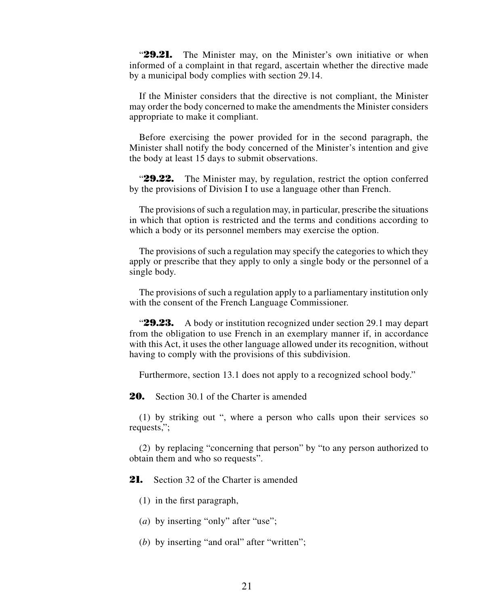"**29.21.** The Minister may, on the Minister's own initiative or when informed of a complaint in that regard, ascertain whether the directive made by a municipal body complies with section 29.14.

If the Minister considers that the directive is not compliant, the Minister may order the body concerned to make the amendments the Minister considers appropriate to make it compliant.

Before exercising the power provided for in the second paragraph, the Minister shall notify the body concerned of the Minister's intention and give the body at least 15 days to submit observations.

"**29.22.** The Minister may, by regulation, restrict the option conferred by the provisions of Division I to use a language other than French.

The provisions of such a regulation may, in particular, prescribe the situations in which that option is restricted and the terms and conditions according to which a body or its personnel members may exercise the option.

The provisions of such a regulation may specify the categories to which they apply or prescribe that they apply to only a single body or the personnel of a single body.

The provisions of such a regulation apply to a parliamentary institution only with the consent of the French Language Commissioner.

"**29.23.** A body or institution recognized under section 29.1 may depart from the obligation to use French in an exemplary manner if, in accordance with this Act, it uses the other language allowed under its recognition, without having to comply with the provisions of this subdivision.

Furthermore, section 13.1 does not apply to a recognized school body."

**20.** Section 30.1 of the Charter is amended

(1) by striking out ", where a person who calls upon their services so requests,";

(2) by replacing "concerning that person" by "to any person authorized to obtain them and who so requests".

21. Section 32 of the Charter is amended

(1) in the first paragraph,

- (*a*) by inserting "only" after "use";
- (*b*) by inserting "and oral" after "written";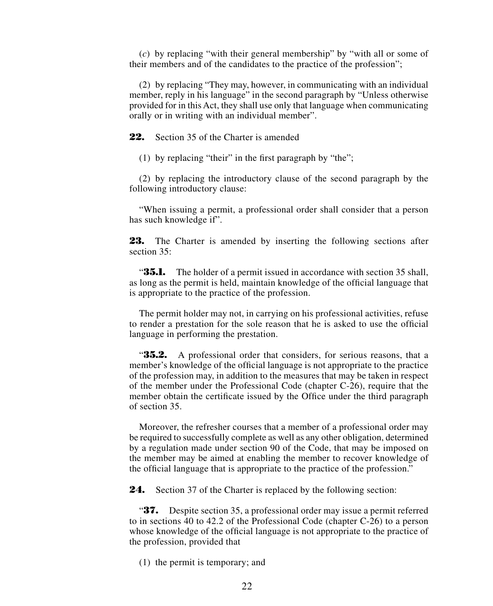(*c*) by replacing "with their general membership" by "with all or some of their members and of the candidates to the practice of the profession";

(2) by replacing "They may, however, in communicating with an individual member, reply in his language" in the second paragraph by "Unless otherwise provided for in this Act, they shall use only that language when communicating orally or in writing with an individual member".

**22.** Section 35 of the Charter is amended

(1) by replacing "their" in the first paragraph by "the";

(2) by replacing the introductory clause of the second paragraph by the following introductory clause:

"When issuing a permit, a professional order shall consider that a person has such knowledge if".

23. The Charter is amended by inserting the following sections after section 35:

**35.1.** The holder of a permit issued in accordance with section 35 shall, as long as the permit is held, maintain knowledge of the official language that is appropriate to the practice of the profession.

The permit holder may not, in carrying on his professional activities, refuse to render a prestation for the sole reason that he is asked to use the official language in performing the prestation.

**35.2.** A professional order that considers, for serious reasons, that a member's knowledge of the official language is not appropriate to the practice of the profession may, in addition to the measures that may be taken in respect of the member under the Professional Code (chapter C-26), require that the member obtain the certificate issued by the Office under the third paragraph of section 35.

Moreover, the refresher courses that a member of a professional order may be required to successfully complete as well as any other obligation, determined by a regulation made under section 90 of the Code, that may be imposed on the member may be aimed at enabling the member to recover knowledge of the official language that is appropriate to the practice of the profession."

**24.** Section 37 of the Charter is replaced by the following section:

"**37.** Despite section 35, a professional order may issue a permit referred to in sections 40 to 42.2 of the Professional Code (chapter C-26) to a person whose knowledge of the official language is not appropriate to the practice of the profession, provided that

(1) the permit is temporary; and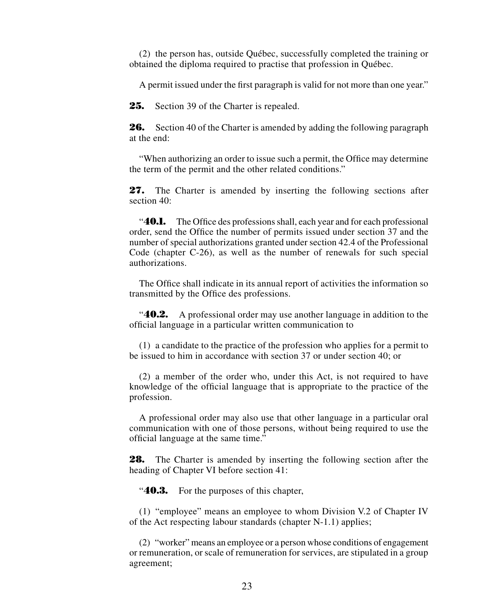(2) the person has, outside Québec, successfully completed the training or obtained the diploma required to practise that profession in Québec.

A permit issued under the first paragraph is valid for not more than one year."

**25.** Section 39 of the Charter is repealed.

**26.** Section 40 of the Charter is amended by adding the following paragraph at the end:

"When authorizing an order to issue such a permit, the Office may determine the term of the permit and the other related conditions."

**27.** The Charter is amended by inserting the following sections after section 40:

"**40.1.** The Office des professions shall, each year and for each professional order, send the Office the number of permits issued under section 37 and the number of special authorizations granted under section 42.4 of the Professional Code (chapter C-26), as well as the number of renewals for such special authorizations.

The Office shall indicate in its annual report of activities the information so transmitted by the Office des professions.

"**40.2.** A professional order may use another language in addition to the official language in a particular written communication to

(1) a candidate to the practice of the profession who applies for a permit to be issued to him in accordance with section 37 or under section 40; or

(2) a member of the order who, under this Act, is not required to have knowledge of the official language that is appropriate to the practice of the profession.

A professional order may also use that other language in a particular oral communication with one of those persons, without being required to use the official language at the same time."

**28.** The Charter is amended by inserting the following section after the heading of Chapter VI before section 41:

"**40.3.** For the purposes of this chapter,

(1) "employee" means an employee to whom Division V.2 of Chapter IV of the Act respecting labour standards (chapter N-1.1) applies;

(2) "worker" means an employee or a person whose conditions of engagement or remuneration, or scale of remuneration for services, are stipulated in a group agreement;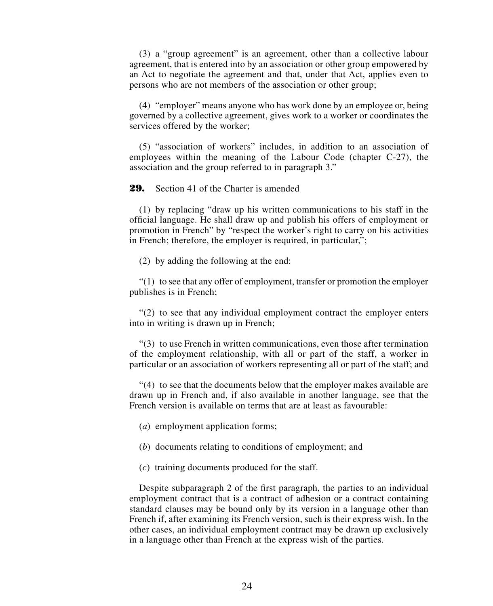(3) a "group agreement" is an agreement, other than a collective labour agreement, that is entered into by an association or other group empowered by an Act to negotiate the agreement and that, under that Act, applies even to persons who are not members of the association or other group;

(4) "employer" means anyone who has work done by an employee or, being governed by a collective agreement, gives work to a worker or coordinates the services offered by the worker;

(5) "association of workers" includes, in addition to an association of employees within the meaning of the Labour Code (chapter C-27), the association and the group referred to in paragraph 3."

**29.** Section 41 of the Charter is amended

(1) by replacing "draw up his written communications to his staff in the official language. He shall draw up and publish his offers of employment or promotion in French" by "respect the worker's right to carry on his activities in French; therefore, the employer is required, in particular,";

(2) by adding the following at the end:

 $(1)$  to see that any offer of employment, transfer or promotion the employer publishes is in French;

"(2) to see that any individual employment contract the employer enters into in writing is drawn up in French;

"(3) to use French in written communications, even those after termination of the employment relationship, with all or part of the staff, a worker in particular or an association of workers representing all or part of the staff; and

"(4) to see that the documents below that the employer makes available are drawn up in French and, if also available in another language, see that the French version is available on terms that are at least as favourable:

- (*a*) employment application forms;
- (*b*) documents relating to conditions of employment; and
- (*c*) training documents produced for the staff.

Despite subparagraph 2 of the first paragraph, the parties to an individual employment contract that is a contract of adhesion or a contract containing standard clauses may be bound only by its version in a language other than French if, after examining its French version, such is their express wish. In the other cases, an individual employment contract may be drawn up exclusively in a language other than French at the express wish of the parties.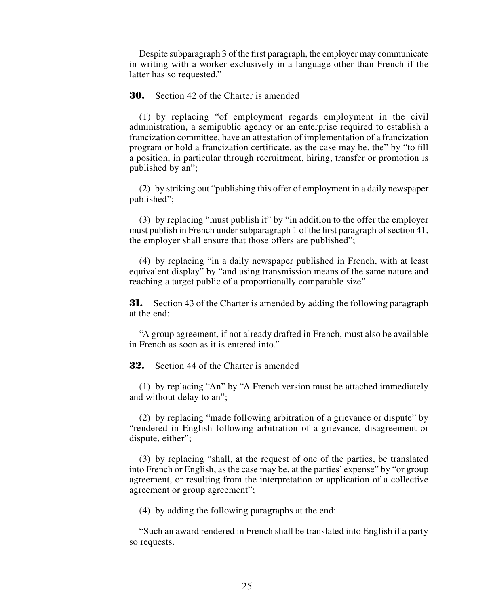Despite subparagraph 3 of the first paragraph, the employer may communicate in writing with a worker exclusively in a language other than French if the latter has so requested."

# **30.** Section 42 of the Charter is amended

(1) by replacing "of employment regards employment in the civil administration, a semipublic agency or an enterprise required to establish a francization committee, have an attestation of implementation of a francization program or hold a francization certificate, as the case may be, the" by "to fill a position, in particular through recruitment, hiring, transfer or promotion is published by an";

(2) by striking out "publishing this offer of employment in a daily newspaper published";

(3) by replacing "must publish it" by "in addition to the offer the employer must publish in French under subparagraph 1 of the first paragraph of section 41, the employer shall ensure that those offers are published";

(4) by replacing "in a daily newspaper published in French, with at least equivalent display" by "and using transmission means of the same nature and reaching a target public of a proportionally comparable size".

**31.** Section 43 of the Charter is amended by adding the following paragraph at the end:

"A group agreement, if not already drafted in French, must also be available in French as soon as it is entered into."

**32.** Section 44 of the Charter is amended

(1) by replacing "An" by "A French version must be attached immediately and without delay to an";

(2) by replacing "made following arbitration of a grievance or dispute" by "rendered in English following arbitration of a grievance, disagreement or dispute, either";

(3) by replacing "shall, at the request of one of the parties, be translated into French or English, as the case may be, at the parties' expense" by "or group agreement, or resulting from the interpretation or application of a collective agreement or group agreement";

(4) by adding the following paragraphs at the end:

"Such an award rendered in French shall be translated into English if a party so requests.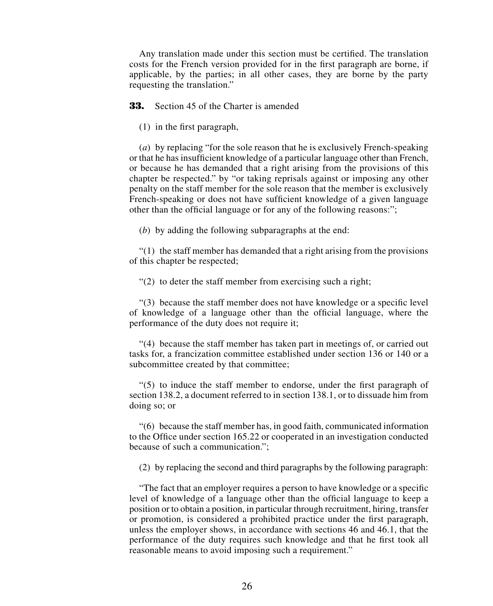Any translation made under this section must be certified. The translation costs for the French version provided for in the first paragraph are borne, if applicable, by the parties; in all other cases, they are borne by the party requesting the translation."

**33.** Section 45 of the Charter is amended

(1) in the first paragraph,

(*a*) by replacing "for the sole reason that he is exclusively French-speaking or that he has insufficient knowledge of a particular language other than French, or because he has demanded that a right arising from the provisions of this chapter be respected." by "or taking reprisals against or imposing any other penalty on the staff member for the sole reason that the member is exclusively French-speaking or does not have sufficient knowledge of a given language other than the official language or for any of the following reasons:";

(*b*) by adding the following subparagraphs at the end:

 $(1)$  the staff member has demanded that a right arising from the provisions of this chapter be respected;

"(2) to deter the staff member from exercising such a right;

"(3) because the staff member does not have knowledge or a specific level of knowledge of a language other than the official language, where the performance of the duty does not require it;

"(4) because the staff member has taken part in meetings of, or carried out tasks for, a francization committee established under section 136 or 140 or a subcommittee created by that committee;

"(5) to induce the staff member to endorse, under the first paragraph of section 138.2, a document referred to in section 138.1, or to dissuade him from doing so; or

"(6) because the staff member has, in good faith, communicated information to the Office under section 165.22 or cooperated in an investigation conducted because of such a communication.";

(2) by replacing the second and third paragraphs by the following paragraph:

"The fact that an employer requires a person to have knowledge or a specific level of knowledge of a language other than the official language to keep a position or to obtain a position, in particular through recruitment, hiring, transfer or promotion, is considered a prohibited practice under the first paragraph, unless the employer shows, in accordance with sections 46 and 46.1, that the performance of the duty requires such knowledge and that he first took all reasonable means to avoid imposing such a requirement."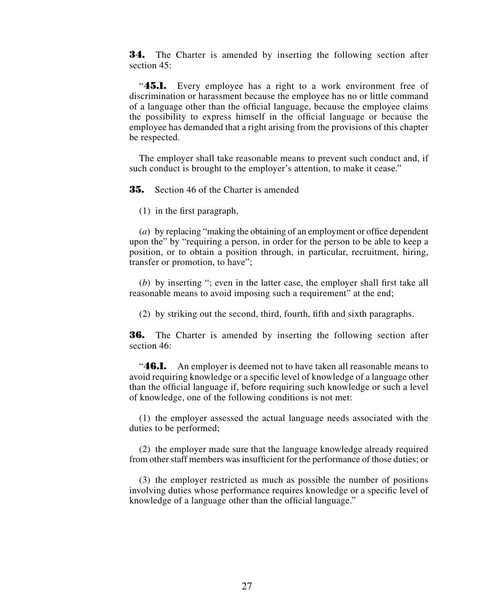**34.** The Charter is amended by inserting the following section after section  $45$ <sup>.</sup>

"**45.1.** Every employee has a right to a work environment free of discrimination or harassment because the employee has no or little command of a language other than the official language, because the employee claims the possibility to express himself in the official language or because the employee has demanded that a right arising from the provisions of this chapter be respected.

The employer shall take reasonable means to prevent such conduct and, if such conduct is brought to the employer's attention, to make it cease."

**35.** Section 46 of the Charter is amended

(1) in the first paragraph,

(*a*) by replacing "making the obtaining of an employment or office dependent upon the" by "requiring a person, in order for the person to be able to keep a position, or to obtain a position through, in particular, recruitment, hiring, transfer or promotion, to have";

(*b*) by inserting "; even in the latter case, the employer shall first take all reasonable means to avoid imposing such a requirement" at the end;

(2) by striking out the second, third, fourth, fifth and sixth paragraphs.

**36.** The Charter is amended by inserting the following section after section 46:

"**46.1.** An employer is deemed not to have taken all reasonable means to avoid requiring knowledge or a specific level of knowledge of a language other than the official language if, before requiring such knowledge or such a level of knowledge, one of the following conditions is not met:

(1) the employer assessed the actual language needs associated with the duties to be performed;

(2) the employer made sure that the language knowledge already required from other staff members was insufficient for the performance of those duties; or

(3) the employer restricted as much as possible the number of positions involving duties whose performance requires knowledge or a specific level of knowledge of a language other than the official language."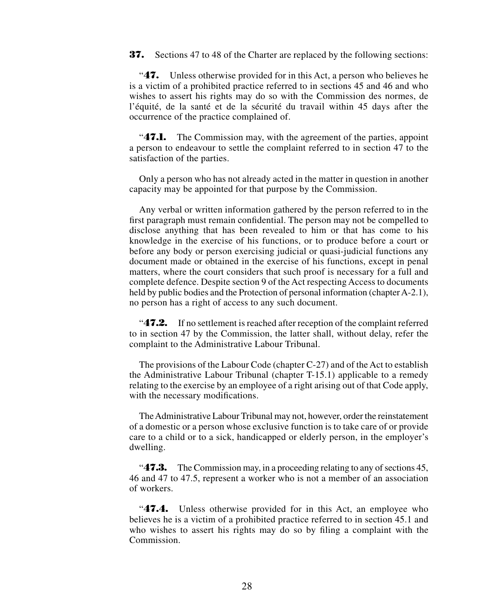**37.** Sections 47 to 48 of the Charter are replaced by the following sections:

"**47.** Unless otherwise provided for in this Act, a person who believes he is a victim of a prohibited practice referred to in sections 45 and 46 and who wishes to assert his rights may do so with the Commission des normes, de l'équité, de la santé et de la sécurité du travail within 45 days after the occurrence of the practice complained of.

"**47.1.** The Commission may, with the agreement of the parties, appoint a person to endeavour to settle the complaint referred to in section 47 to the satisfaction of the parties.

Only a person who has not already acted in the matter in question in another capacity may be appointed for that purpose by the Commission.

Any verbal or written information gathered by the person referred to in the first paragraph must remain confidential. The person may not be compelled to disclose anything that has been revealed to him or that has come to his knowledge in the exercise of his functions, or to produce before a court or before any body or person exercising judicial or quasi-judicial functions any document made or obtained in the exercise of his functions, except in penal matters, where the court considers that such proof is necessary for a full and complete defence. Despite section 9 of the Act respecting Access to documents held by public bodies and the Protection of personal information (chapter A-2.1), no person has a right of access to any such document.

"**47.2.** If no settlement is reached after reception of the complaint referred to in section 47 by the Commission, the latter shall, without delay, refer the complaint to the Administrative Labour Tribunal.

The provisions of the Labour Code (chapter C-27) and of the Act to establish the Administrative Labour Tribunal (chapter T-15.1) applicable to a remedy relating to the exercise by an employee of a right arising out of that Code apply, with the necessary modifications.

The Administrative Labour Tribunal may not, however, order the reinstatement of a domestic or a person whose exclusive function is to take care of or provide care to a child or to a sick, handicapped or elderly person, in the employer's dwelling.

"**47.3.** The Commission may, in a proceeding relating to any of sections 45, 46 and 47 to 47.5, represent a worker who is not a member of an association of workers.

"**47.4.** Unless otherwise provided for in this Act, an employee who believes he is a victim of a prohibited practice referred to in section 45.1 and who wishes to assert his rights may do so by filing a complaint with the Commission.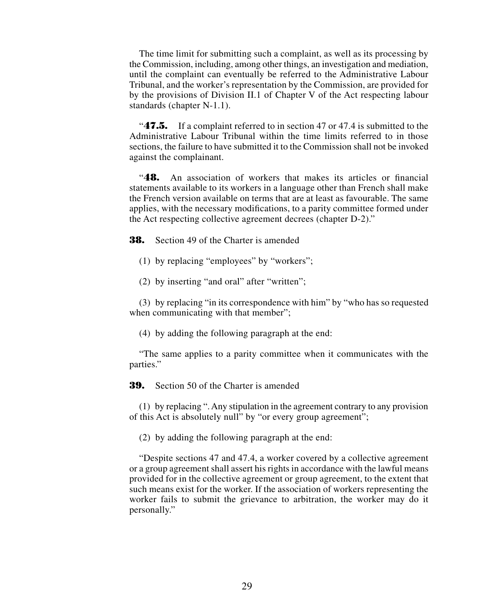The time limit for submitting such a complaint, as well as its processing by the Commission, including, among other things, an investigation and mediation, until the complaint can eventually be referred to the Administrative Labour Tribunal, and the worker's representation by the Commission, are provided for by the provisions of Division II.1 of Chapter V of the Act respecting labour standards (chapter N-1.1).

"**47.5.** If a complaint referred to in section 47 or 47.4 is submitted to the Administrative Labour Tribunal within the time limits referred to in those sections, the failure to have submitted it to the Commission shall not be invoked against the complainant.

"**48.** An association of workers that makes its articles or financial statements available to its workers in a language other than French shall make the French version available on terms that are at least as favourable. The same applies, with the necessary modifications, to a parity committee formed under the Act respecting collective agreement decrees (chapter D-2)."

**38.** Section 49 of the Charter is amended

- (1) by replacing "employees" by "workers";
- (2) by inserting "and oral" after "written";

(3) by replacing "in its correspondence with him" by "who has so requested when communicating with that member";

(4) by adding the following paragraph at the end:

"The same applies to a parity committee when it communicates with the parties."

**39.** Section 50 of the Charter is amended

(1) by replacing ". Any stipulation in the agreement contrary to any provision of this Act is absolutely null" by "or every group agreement";

(2) by adding the following paragraph at the end:

"Despite sections 47 and 47.4, a worker covered by a collective agreement or a group agreement shall assert his rights in accordance with the lawful means provided for in the collective agreement or group agreement, to the extent that such means exist for the worker. If the association of workers representing the worker fails to submit the grievance to arbitration, the worker may do it personally."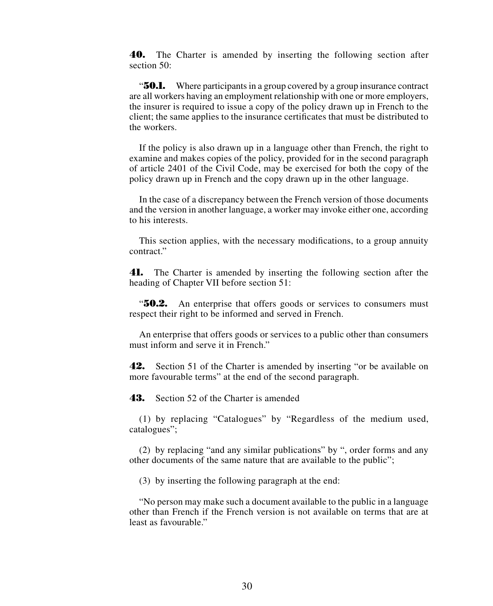**40.** The Charter is amended by inserting the following section after section 50:

"**50.1.** Where participants in a group covered by a group insurance contract are all workers having an employment relationship with one or more employers, the insurer is required to issue a copy of the policy drawn up in French to the client; the same applies to the insurance certificates that must be distributed to the workers.

If the policy is also drawn up in a language other than French, the right to examine and makes copies of the policy, provided for in the second paragraph of article 2401 of the Civil Code, may be exercised for both the copy of the policy drawn up in French and the copy drawn up in the other language.

In the case of a discrepancy between the French version of those documents and the version in another language, a worker may invoke either one, according to his interests.

This section applies, with the necessary modifications, to a group annuity contract."

**41.** The Charter is amended by inserting the following section after the heading of Chapter VII before section 51:

"**50.2.** An enterprise that offers goods or services to consumers must respect their right to be informed and served in French.

An enterprise that offers goods or services to a public other than consumers must inform and serve it in French."

**42.** Section 51 of the Charter is amended by inserting "or be available on more favourable terms" at the end of the second paragraph.

**43.** Section 52 of the Charter is amended

(1) by replacing "Catalogues" by "Regardless of the medium used, catalogues";

(2) by replacing "and any similar publications" by ", order forms and any other documents of the same nature that are available to the public";

(3) by inserting the following paragraph at the end:

"No person may make such a document available to the public in a language other than French if the French version is not available on terms that are at least as favourable."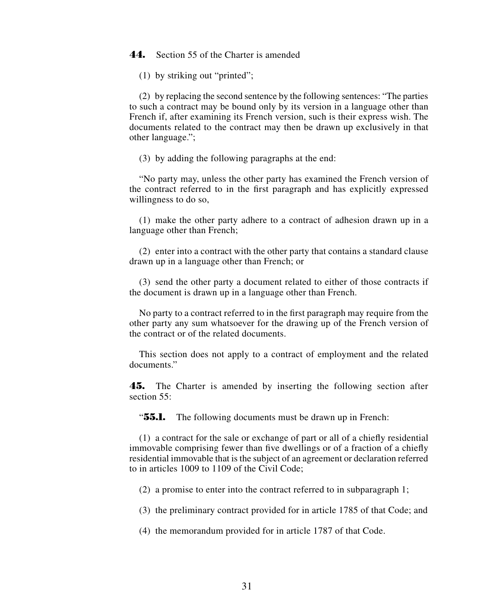# **44.** Section 55 of the Charter is amended

(1) by striking out "printed";

(2) by replacing the second sentence by the following sentences: "The parties to such a contract may be bound only by its version in a language other than French if, after examining its French version, such is their express wish. The documents related to the contract may then be drawn up exclusively in that other language.";

(3) by adding the following paragraphs at the end:

"No party may, unless the other party has examined the French version of the contract referred to in the first paragraph and has explicitly expressed willingness to do so,

(1) make the other party adhere to a contract of adhesion drawn up in a language other than French;

(2) enter into a contract with the other party that contains a standard clause drawn up in a language other than French; or

(3) send the other party a document related to either of those contracts if the document is drawn up in a language other than French.

No party to a contract referred to in the first paragraph may require from the other party any sum whatsoever for the drawing up of the French version of the contract or of the related documents.

This section does not apply to a contract of employment and the related documents."

**45.** The Charter is amended by inserting the following section after section 55.

"**55.1.** The following documents must be drawn up in French:

(1) a contract for the sale or exchange of part or all of a chiefly residential immovable comprising fewer than five dwellings or of a fraction of a chiefly residential immovable that is the subject of an agreement or declaration referred to in articles 1009 to 1109 of the Civil Code;

(2) a promise to enter into the contract referred to in subparagraph 1;

(3) the preliminary contract provided for in article 1785 of that Code; and

(4) the memorandum provided for in article 1787 of that Code.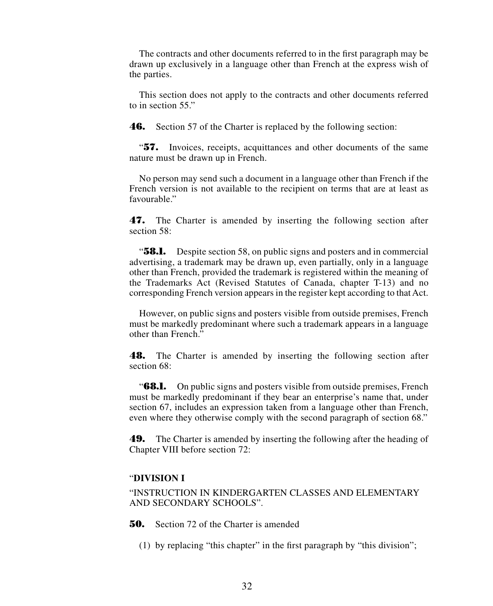The contracts and other documents referred to in the first paragraph may be drawn up exclusively in a language other than French at the express wish of the parties.

This section does not apply to the contracts and other documents referred to in section 55."

**46.** Section 57 of the Charter is replaced by the following section:

"**57.** Invoices, receipts, acquittances and other documents of the same nature must be drawn up in French.

No person may send such a document in a language other than French if the French version is not available to the recipient on terms that are at least as favourable."

**47.** The Charter is amended by inserting the following section after section 58:

"**58.1.** Despite section 58, on public signs and posters and in commercial advertising, a trademark may be drawn up, even partially, only in a language other than French, provided the trademark is registered within the meaning of the Trademarks Act (Revised Statutes of Canada, chapter T-13) and no corresponding French version appears in the register kept according to that Act.

However, on public signs and posters visible from outside premises, French must be markedly predominant where such a trademark appears in a language other than French."

**48.** The Charter is amended by inserting the following section after section 68<sup>.</sup>

"**68.1.** On public signs and posters visible from outside premises, French must be markedly predominant if they bear an enterprise's name that, under section 67, includes an expression taken from a language other than French, even where they otherwise comply with the second paragraph of section 68."

**49.** The Charter is amended by inserting the following after the heading of Chapter VIII before section 72:

# "**DIVISION I**

"INSTRUCTION IN KINDERGARTEN CLASSES AND ELEMENTARY AND SECONDARY SCHOOLS".

**50.** Section 72 of the Charter is amended

(1) by replacing "this chapter" in the first paragraph by "this division";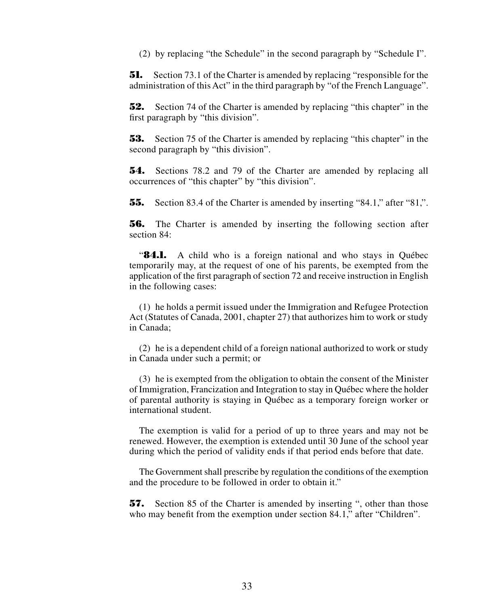(2) by replacing "the Schedule" in the second paragraph by "Schedule I".

**51.** Section 73.1 of the Charter is amended by replacing "responsible for the administration of this Act" in the third paragraph by "of the French Language".

**52.** Section 74 of the Charter is amended by replacing "this chapter" in the first paragraph by "this division".

**53.** Section 75 of the Charter is amended by replacing "this chapter" in the second paragraph by "this division".

**54.** Sections 78.2 and 79 of the Charter are amended by replacing all occurrences of "this chapter" by "this division".

**55.** Section 83.4 of the Charter is amended by inserting "84.1," after "81,".

**56.** The Charter is amended by inserting the following section after section 84:

"**84.1.** A child who is a foreign national and who stays in Québec temporarily may, at the request of one of his parents, be exempted from the application of the first paragraph of section 72 and receive instruction in English in the following cases:

(1) he holds a permit issued under the Immigration and Refugee Protection Act (Statutes of Canada, 2001, chapter 27) that authorizes him to work or study in Canada;

(2) he is a dependent child of a foreign national authorized to work or study in Canada under such a permit; or

(3) he is exempted from the obligation to obtain the consent of the Minister of Immigration, Francization and Integration to stay in Québec where the holder of parental authority is staying in Québec as a temporary foreign worker or international student.

The exemption is valid for a period of up to three years and may not be renewed. However, the exemption is extended until 30 June of the school year during which the period of validity ends if that period ends before that date.

The Government shall prescribe by regulation the conditions of the exemption and the procedure to be followed in order to obtain it."

**57.** Section 85 of the Charter is amended by inserting ", other than those who may benefit from the exemption under section 84.1," after "Children".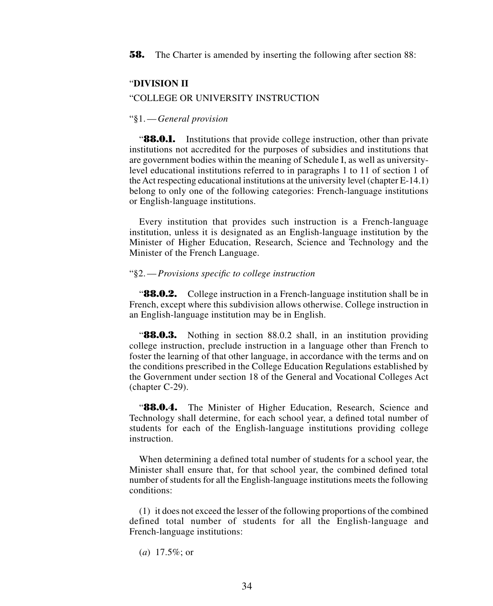**58.** The Charter is amended by inserting the following after section 88:

## "**DIVISION II**

#### "COLLEGE OR UNIVERSITY INSTRUCTION

#### "§1.—*General provision*

"**88.0.1.** Institutions that provide college instruction, other than private institutions not accredited for the purposes of subsidies and institutions that are government bodies within the meaning of Schedule I, as well as universitylevel educational institutions referred to in paragraphs 1 to 11 of section 1 of the Act respecting educational institutions at the university level (chapter E-14.1) belong to only one of the following categories: French-language institutions or English-language institutions.

Every institution that provides such instruction is a French-language institution, unless it is designated as an English-language institution by the Minister of Higher Education, Research, Science and Technology and the Minister of the French Language.

#### "§2.—*Provisions specific to college instruction*

"**88.0.2.** College instruction in a French-language institution shall be in French, except where this subdivision allows otherwise. College instruction in an English-language institution may be in English.

"**88.0.3.** Nothing in section 88.0.2 shall, in an institution providing college instruction, preclude instruction in a language other than French to foster the learning of that other language, in accordance with the terms and on the conditions prescribed in the College Education Regulations established by the Government under section 18 of the General and Vocational Colleges Act (chapter C-29).

"**88.0.4.** The Minister of Higher Education, Research, Science and Technology shall determine, for each school year, a defined total number of students for each of the English-language institutions providing college instruction.

When determining a defined total number of students for a school year, the Minister shall ensure that, for that school year, the combined defined total number of students for all the English-language institutions meets the following conditions:

(1) it does not exceed the lesser of the following proportions of the combined defined total number of students for all the English-language and French-language institutions:

(*a*) 17.5%; or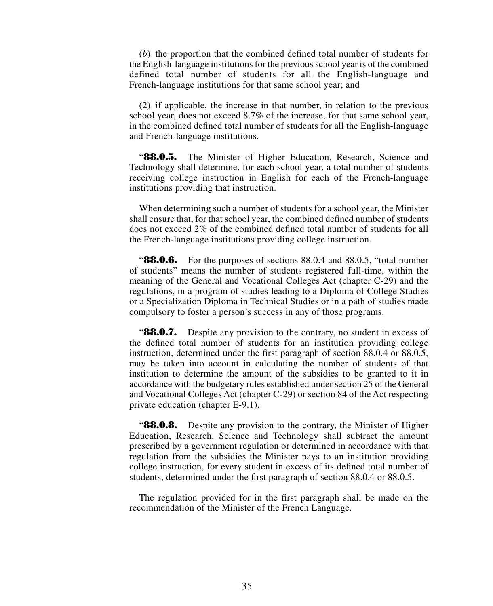(*b*) the proportion that the combined defined total number of students for the English-language institutions for the previous school year is of the combined defined total number of students for all the English-language and French-language institutions for that same school year; and

(2) if applicable, the increase in that number, in relation to the previous school year, does not exceed 8.7% of the increase, for that same school year, in the combined defined total number of students for all the English-language and French-language institutions.

"**88.0.5.** The Minister of Higher Education, Research, Science and Technology shall determine, for each school year, a total number of students receiving college instruction in English for each of the French-language institutions providing that instruction.

When determining such a number of students for a school year, the Minister shall ensure that, for that school year, the combined defined number of students does not exceed 2% of the combined defined total number of students for all the French-language institutions providing college instruction.

**88.0.6.** For the purposes of sections 88.0.4 and 88.0.5, "total number" of students" means the number of students registered full-time, within the meaning of the General and Vocational Colleges Act (chapter C-29) and the regulations, in a program of studies leading to a Diploma of College Studies or a Specialization Diploma in Technical Studies or in a path of studies made compulsory to foster a person's success in any of those programs.

**88.0.7.** Despite any provision to the contrary, no student in excess of the defined total number of students for an institution providing college instruction, determined under the first paragraph of section 88.0.4 or 88.0.5, may be taken into account in calculating the number of students of that institution to determine the amount of the subsidies to be granted to it in accordance with the budgetary rules established under section 25 of the General and Vocational Colleges Act (chapter C-29) or section 84 of the Act respecting private education (chapter E-9.1).

"**88.0.8.** Despite any provision to the contrary, the Minister of Higher Education, Research, Science and Technology shall subtract the amount prescribed by a government regulation or determined in accordance with that regulation from the subsidies the Minister pays to an institution providing college instruction, for every student in excess of its defined total number of students, determined under the first paragraph of section 88.0.4 or 88.0.5.

The regulation provided for in the first paragraph shall be made on the recommendation of the Minister of the French Language.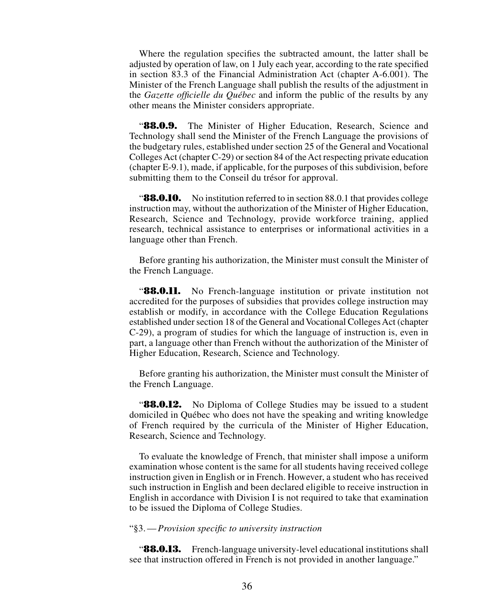Where the regulation specifies the subtracted amount, the latter shall be adjusted by operation of law, on 1 July each year, according to the rate specified in section 83.3 of the Financial Administration Act (chapter A-6.001). The Minister of the French Language shall publish the results of the adjustment in the *Gazette officielle du Québec* and inform the public of the results by any other means the Minister considers appropriate.

"**88.0.9.** The Minister of Higher Education, Research, Science and Technology shall send the Minister of the French Language the provisions of the budgetary rules, established under section 25 of the General and Vocational Colleges Act (chapter C-29) or section 84 of the Act respecting private education (chapter E-9.1), made, if applicable, for the purposes of this subdivision, before submitting them to the Conseil du trésor for approval.

**88.0.10.** No institution referred to in section 88.0.1 that provides college instruction may, without the authorization of the Minister of Higher Education, Research, Science and Technology, provide workforce training, applied research, technical assistance to enterprises or informational activities in a language other than French.

Before granting his authorization, the Minister must consult the Minister of the French Language.

**88.0.11.** No French-language institution or private institution not accredited for the purposes of subsidies that provides college instruction may establish or modify, in accordance with the College Education Regulations established under section 18 of the General and Vocational Colleges Act (chapter C-29), a program of studies for which the language of instruction is, even in part, a language other than French without the authorization of the Minister of Higher Education, Research, Science and Technology.

Before granting his authorization, the Minister must consult the Minister of the French Language.

**"88.0.12.** No Diploma of College Studies may be issued to a student domiciled in Québec who does not have the speaking and writing knowledge of French required by the curricula of the Minister of Higher Education, Research, Science and Technology.

To evaluate the knowledge of French, that minister shall impose a uniform examination whose content is the same for all students having received college instruction given in English or in French. However, a student who has received such instruction in English and been declared eligible to receive instruction in English in accordance with Division I is not required to take that examination to be issued the Diploma of College Studies.

#### "§3.—*Provision specific to university instruction*

"**88.0.13.** French-language university-level educational institutions shall see that instruction offered in French is not provided in another language."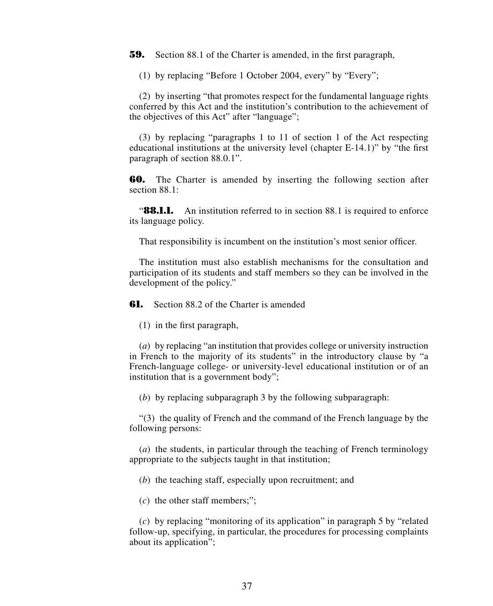**59.** Section 88.1 of the Charter is amended, in the first paragraph,

(1) by replacing "Before 1 October 2004, every" by "Every";

(2) by inserting "that promotes respect for the fundamental language rights conferred by this Act and the institution's contribution to the achievement of the objectives of this Act" after "language";

(3) by replacing "paragraphs 1 to 11 of section 1 of the Act respecting educational institutions at the university level (chapter E-14.1)" by "the first paragraph of section 88.0.1".

**60.** The Charter is amended by inserting the following section after section 88.1:

**88.1.1.** An institution referred to in section 88.1 is required to enforce its language policy.

That responsibility is incumbent on the institution's most senior officer.

The institution must also establish mechanisms for the consultation and participation of its students and staff members so they can be involved in the development of the policy."

**61.** Section 88.2 of the Charter is amended

(1) in the first paragraph,

(*a*) by replacing "an institution that provides college or university instruction in French to the majority of its students" in the introductory clause by "a French-language college- or university-level educational institution or of an institution that is a government body";

(*b*) by replacing subparagraph 3 by the following subparagraph:

"(3) the quality of French and the command of the French language by the following persons:

(*a*) the students, in particular through the teaching of French terminology appropriate to the subjects taught in that institution;

(*b*) the teaching staff, especially upon recruitment; and

(*c*) the other staff members;";

(*c*) by replacing "monitoring of its application" in paragraph 5 by "related follow-up, specifying, in particular, the procedures for processing complaints about its application";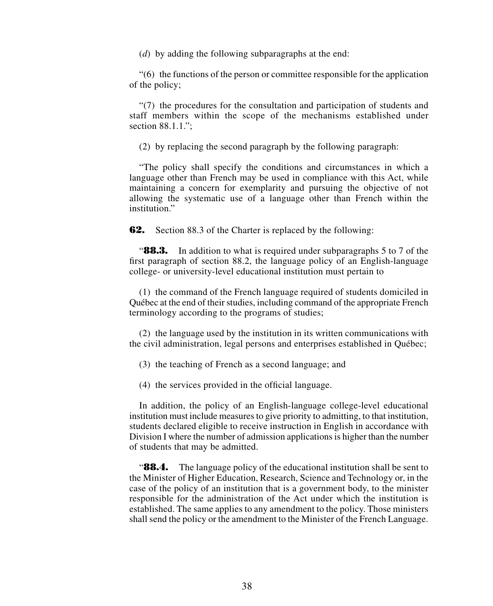(*d*) by adding the following subparagraphs at the end:

"(6) the functions of the person or committee responsible for the application of the policy;

"(7) the procedures for the consultation and participation of students and staff members within the scope of the mechanisms established under section 88.1.1.":

(2) by replacing the second paragraph by the following paragraph:

"The policy shall specify the conditions and circumstances in which a language other than French may be used in compliance with this Act, while maintaining a concern for exemplarity and pursuing the objective of not allowing the systematic use of a language other than French within the institution"

**62.** Section 88.3 of the Charter is replaced by the following:

**88.3.** In addition to what is required under subparagraphs 5 to 7 of the first paragraph of section 88.2, the language policy of an English-language college- or university-level educational institution must pertain to

(1) the command of the French language required of students domiciled in Québec at the end of their studies, including command of the appropriate French terminology according to the programs of studies;

(2) the language used by the institution in its written communications with the civil administration, legal persons and enterprises established in Québec;

(3) the teaching of French as a second language; and

(4) the services provided in the official language.

In addition, the policy of an English-language college-level educational institution must include measures to give priority to admitting, to that institution, students declared eligible to receive instruction in English in accordance with Division I where the number of admission applications is higher than the number of students that may be admitted.

**88.4.** The language policy of the educational institution shall be sent to the Minister of Higher Education, Research, Science and Technology or, in the case of the policy of an institution that is a government body, to the minister responsible for the administration of the Act under which the institution is established. The same applies to any amendment to the policy. Those ministers shall send the policy or the amendment to the Minister of the French Language.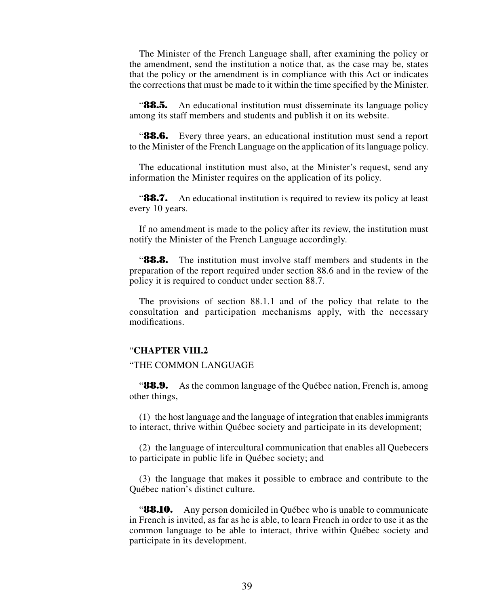The Minister of the French Language shall, after examining the policy or the amendment, send the institution a notice that, as the case may be, states that the policy or the amendment is in compliance with this Act or indicates the corrections that must be made to it within the time specified by the Minister.

**88.5.** An educational institution must disseminate its language policy among its staff members and students and publish it on its website.

**88.6.** Every three years, an educational institution must send a report to the Minister of the French Language on the application of its language policy.

The educational institution must also, at the Minister's request, send any information the Minister requires on the application of its policy.

"**88.7.** An educational institution is required to review its policy at least every 10 years.

If no amendment is made to the policy after its review, the institution must notify the Minister of the French Language accordingly.

"**88.8.** The institution must involve staff members and students in the preparation of the report required under section 88.6 and in the review of the policy it is required to conduct under section 88.7.

The provisions of section 88.1.1 and of the policy that relate to the consultation and participation mechanisms apply, with the necessary modifications.

### "**CHAPTER VIII.2**

## "THE COMMON LANGUAGE

**88.9.** As the common language of the Québec nation, French is, among other things,

(1) the host language and the language of integration that enables immigrants to interact, thrive within Québec society and participate in its development;

(2) the language of intercultural communication that enables all Quebecers to participate in public life in Québec society; and

(3) the language that makes it possible to embrace and contribute to the Québec nation's distinct culture.

"**88.10.** Any person domiciled in Québec who is unable to communicate in French is invited, as far as he is able, to learn French in order to use it as the common language to be able to interact, thrive within Québec society and participate in its development.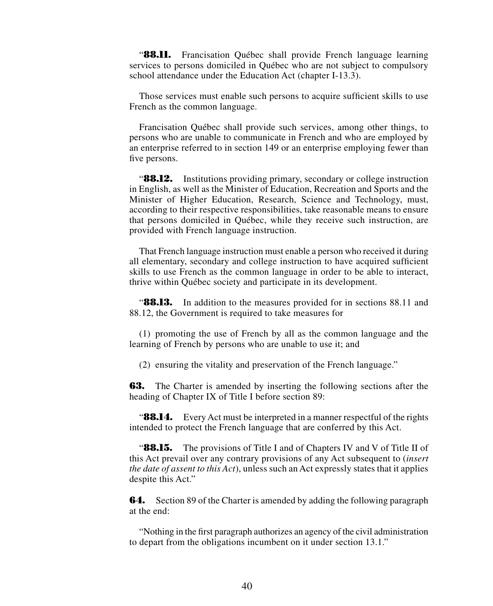"**88.11.** Francisation Québec shall provide French language learning services to persons domiciled in Québec who are not subject to compulsory school attendance under the Education Act (chapter I-13.3).

Those services must enable such persons to acquire sufficient skills to use French as the common language.

Francisation Québec shall provide such services, among other things, to persons who are unable to communicate in French and who are employed by an enterprise referred to in section 149 or an enterprise employing fewer than five persons.

**88.12.** Institutions providing primary, secondary or college instruction in English, as well as the Minister of Education, Recreation and Sports and the Minister of Higher Education, Research, Science and Technology, must, according to their respective responsibilities, take reasonable means to ensure that persons domiciled in Québec, while they receive such instruction, are provided with French language instruction.

That French language instruction must enable a person who received it during all elementary, secondary and college instruction to have acquired sufficient skills to use French as the common language in order to be able to interact, thrive within Québec society and participate in its development.

"**88.13.** In addition to the measures provided for in sections 88.11 and 88.12, the Government is required to take measures for

(1) promoting the use of French by all as the common language and the learning of French by persons who are unable to use it; and

(2) ensuring the vitality and preservation of the French language."

**63.** The Charter is amended by inserting the following sections after the heading of Chapter IX of Title I before section 89:

**88.14.** Every Act must be interpreted in a manner respectful of the rights intended to protect the French language that are conferred by this Act.

"**88.15.** The provisions of Title I and of Chapters IV and V of Title II of this Act prevail over any contrary provisions of any Act subsequent to (*insert the date of assent to this Act*), unless such an Act expressly states that it applies despite this Act."

**64.** Section 89 of the Charter is amended by adding the following paragraph at the end:

"Nothing in the first paragraph authorizes an agency of the civil administration to depart from the obligations incumbent on it under section 13.1."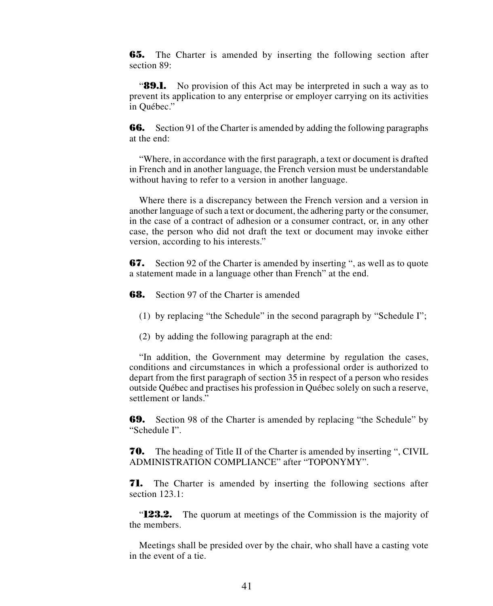**65.** The Charter is amended by inserting the following section after section 89:

**89.1.** No provision of this Act may be interpreted in such a way as to prevent its application to any enterprise or employer carrying on its activities in Québec."

**66.** Section 91 of the Charter is amended by adding the following paragraphs at the end:

"Where, in accordance with the first paragraph, a text or document is drafted in French and in another language, the French version must be understandable without having to refer to a version in another language.

Where there is a discrepancy between the French version and a version in another language of such a text or document, the adhering party or the consumer, in the case of a contract of adhesion or a consumer contract, or, in any other case, the person who did not draft the text or document may invoke either version, according to his interests."

**67.** Section 92 of the Charter is amended by inserting ", as well as to quote a statement made in a language other than French" at the end.

**68.** Section 97 of the Charter is amended

(1) by replacing "the Schedule" in the second paragraph by "Schedule I";

(2) by adding the following paragraph at the end:

"In addition, the Government may determine by regulation the cases, conditions and circumstances in which a professional order is authorized to depart from the first paragraph of section 35 in respect of a person who resides outside Québec and practises his profession in Québec solely on such a reserve, settlement or lands."

**69.** Section 98 of the Charter is amended by replacing "the Schedule" by "Schedule I".

**70.** The heading of Title II of the Charter is amended by inserting ", CIVIL ADMINISTRATION COMPLIANCE" after "TOPONYMY".

**71.** The Charter is amended by inserting the following sections after section 123.1:

"**123.2.** The quorum at meetings of the Commission is the majority of the members.

Meetings shall be presided over by the chair, who shall have a casting vote in the event of a tie.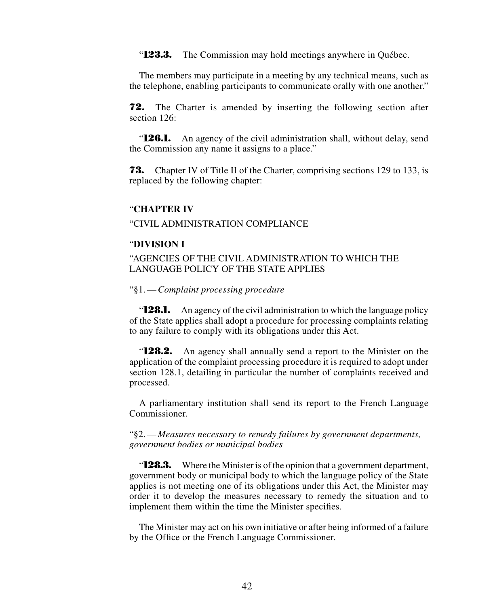"**123.3.** The Commission may hold meetings anywhere in Québec.

The members may participate in a meeting by any technical means, such as the telephone, enabling participants to communicate orally with one another."

**72.** The Charter is amended by inserting the following section after section 126<sup>.</sup>

"**126.1.** An agency of the civil administration shall, without delay, send the Commission any name it assigns to a place."

**73.** Chapter IV of Title II of the Charter, comprising sections 129 to 133, is replaced by the following chapter:

### "**CHAPTER IV**

"CIVIL ADMINISTRATION COMPLIANCE

### "**DIVISION I**

## "AGENCIES OF THE CIVIL ADMINISTRATION TO WHICH THE LANGUAGE POLICY OF THE STATE APPLIES

#### "§1.—*Complaint processing procedure*

"**128.1.** An agency of the civil administration to which the language policy of the State applies shall adopt a procedure for processing complaints relating to any failure to comply with its obligations under this Act.

"**128.2.** An agency shall annually send a report to the Minister on the application of the complaint processing procedure it is required to adopt under section 128.1, detailing in particular the number of complaints received and processed.

A parliamentary institution shall send its report to the French Language Commissioner.

"§2.—*Measures necessary to remedy failures by government departments, government bodies or municipal bodies*

"**128.3.** Where the Minister is of the opinion that a government department, government body or municipal body to which the language policy of the State applies is not meeting one of its obligations under this Act, the Minister may order it to develop the measures necessary to remedy the situation and to implement them within the time the Minister specifies.

The Minister may act on his own initiative or after being informed of a failure by the Office or the French Language Commissioner.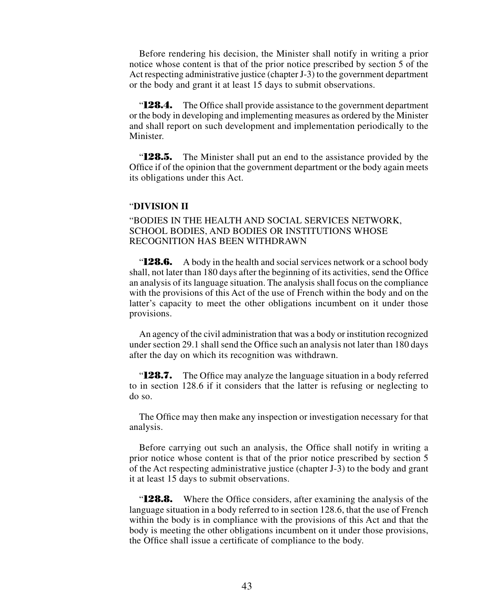Before rendering his decision, the Minister shall notify in writing a prior notice whose content is that of the prior notice prescribed by section 5 of the Act respecting administrative justice (chapter J-3) to the government department or the body and grant it at least 15 days to submit observations.

"**128.4.** The Office shall provide assistance to the government department or the body in developing and implementing measures as ordered by the Minister and shall report on such development and implementation periodically to the Minister.

"**128.5.** The Minister shall put an end to the assistance provided by the Office if of the opinion that the government department or the body again meets its obligations under this Act.

#### "**DIVISION II**

# "BODIES IN THE HEALTH AND SOCIAL SERVICES NETWORK, SCHOOL BODIES, AND BODIES OR INSTITUTIONS WHOSE RECOGNITION HAS BEEN WITHDRAWN

**128.6.** A body in the health and social services network or a school body shall, not later than 180 days after the beginning of its activities, send the Office an analysis of its language situation. The analysis shall focus on the compliance with the provisions of this Act of the use of French within the body and on the latter's capacity to meet the other obligations incumbent on it under those provisions.

An agency of the civil administration that was a body or institution recognized under section 29.1 shall send the Office such an analysis not later than 180 days after the day on which its recognition was withdrawn.

"**128.7.** The Office may analyze the language situation in a body referred to in section 128.6 if it considers that the latter is refusing or neglecting to do so.

The Office may then make any inspection or investigation necessary for that analysis.

Before carrying out such an analysis, the Office shall notify in writing a prior notice whose content is that of the prior notice prescribed by section 5 of the Act respecting administrative justice (chapter J-3) to the body and grant it at least 15 days to submit observations.

"**128.8.** Where the Office considers, after examining the analysis of the language situation in a body referred to in section 128.6, that the use of French within the body is in compliance with the provisions of this Act and that the body is meeting the other obligations incumbent on it under those provisions, the Office shall issue a certificate of compliance to the body.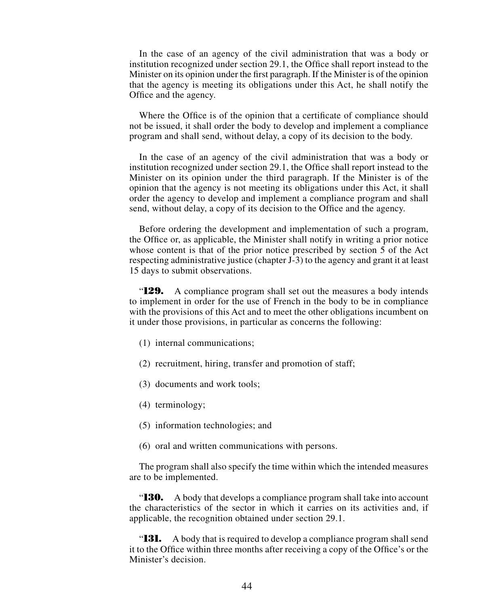In the case of an agency of the civil administration that was a body or institution recognized under section 29.1, the Office shall report instead to the Minister on its opinion under the first paragraph. If the Minister is of the opinion that the agency is meeting its obligations under this Act, he shall notify the Office and the agency.

Where the Office is of the opinion that a certificate of compliance should not be issued, it shall order the body to develop and implement a compliance program and shall send, without delay, a copy of its decision to the body.

In the case of an agency of the civil administration that was a body or institution recognized under section 29.1, the Office shall report instead to the Minister on its opinion under the third paragraph. If the Minister is of the opinion that the agency is not meeting its obligations under this Act, it shall order the agency to develop and implement a compliance program and shall send, without delay, a copy of its decision to the Office and the agency.

Before ordering the development and implementation of such a program, the Office or, as applicable, the Minister shall notify in writing a prior notice whose content is that of the prior notice prescribed by section 5 of the Act respecting administrative justice (chapter J-3) to the agency and grant it at least 15 days to submit observations.

"**129.** A compliance program shall set out the measures a body intends to implement in order for the use of French in the body to be in compliance with the provisions of this Act and to meet the other obligations incumbent on it under those provisions, in particular as concerns the following:

- (1) internal communications;
- (2) recruitment, hiring, transfer and promotion of staff;
- (3) documents and work tools;
- (4) terminology;
- (5) information technologies; and
- (6) oral and written communications with persons.

The program shall also specify the time within which the intended measures are to be implemented.

"**130.** A body that develops a compliance program shall take into account the characteristics of the sector in which it carries on its activities and, if applicable, the recognition obtained under section 29.1.

"**131.** A body that is required to develop a compliance program shall send it to the Office within three months after receiving a copy of the Office's or the Minister's decision.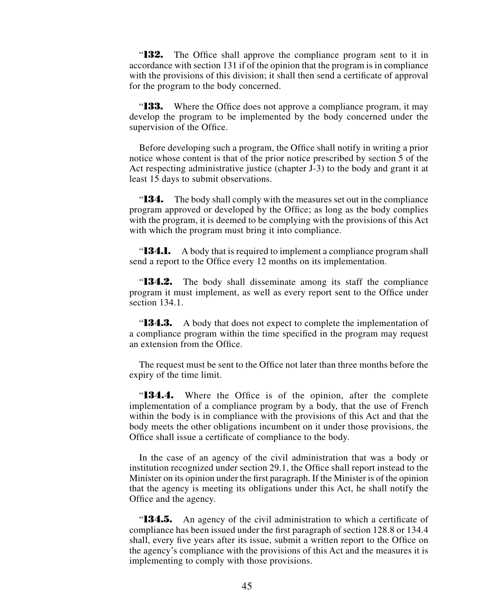"**132.** The Office shall approve the compliance program sent to it in accordance with section 131 if of the opinion that the program is in compliance with the provisions of this division; it shall then send a certificate of approval for the program to the body concerned.

"**133.** Where the Office does not approve a compliance program, it may develop the program to be implemented by the body concerned under the supervision of the Office.

Before developing such a program, the Office shall notify in writing a prior notice whose content is that of the prior notice prescribed by section 5 of the Act respecting administrative justice (chapter J-3) to the body and grant it at least 15 days to submit observations.

"**134.** The body shall comply with the measures set out in the compliance program approved or developed by the Office; as long as the body complies with the program, it is deemed to be complying with the provisions of this Act with which the program must bring it into compliance.

"**134.1.** A body that is required to implement a compliance program shall send a report to the Office every 12 months on its implementation.

"**134.2.** The body shall disseminate among its staff the compliance program it must implement, as well as every report sent to the Office under section 134.1.

**134.3.** A body that does not expect to complete the implementation of a compliance program within the time specified in the program may request an extension from the Office.

The request must be sent to the Office not later than three months before the expiry of the time limit.

"**134.4.** Where the Office is of the opinion, after the complete implementation of a compliance program by a body, that the use of French within the body is in compliance with the provisions of this Act and that the body meets the other obligations incumbent on it under those provisions, the Office shall issue a certificate of compliance to the body.

In the case of an agency of the civil administration that was a body or institution recognized under section 29.1, the Office shall report instead to the Minister on its opinion under the first paragraph. If the Minister is of the opinion that the agency is meeting its obligations under this Act, he shall notify the Office and the agency.

**134.5.** An agency of the civil administration to which a certificate of compliance has been issued under the first paragraph of section 128.8 or 134.4 shall, every five years after its issue, submit a written report to the Office on the agency's compliance with the provisions of this Act and the measures it is implementing to comply with those provisions.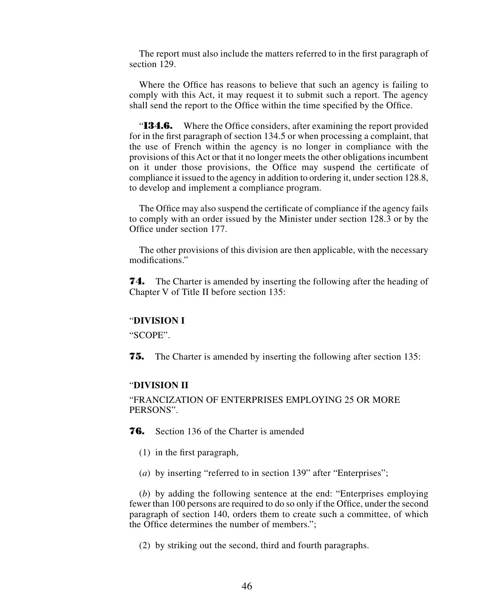The report must also include the matters referred to in the first paragraph of section 129.

Where the Office has reasons to believe that such an agency is failing to comply with this Act, it may request it to submit such a report. The agency shall send the report to the Office within the time specified by the Office.

**134.6.** Where the Office considers, after examining the report provided for in the first paragraph of section 134.5 or when processing a complaint, that the use of French within the agency is no longer in compliance with the provisions of this Act or that it no longer meets the other obligations incumbent on it under those provisions, the Office may suspend the certificate of compliance it issued to the agency in addition to ordering it, under section 128.8, to develop and implement a compliance program.

The Office may also suspend the certificate of compliance if the agency fails to comply with an order issued by the Minister under section 128.3 or by the Office under section 177.

The other provisions of this division are then applicable, with the necessary modifications."

**74.** The Charter is amended by inserting the following after the heading of Chapter V of Title II before section 135:

### "**DIVISION I**

"SCOPE".

**75.** The Charter is amended by inserting the following after section 135:

# "**DIVISION II**

"FRANCIZATION OF ENTERPRISES EMPLOYING 25 OR MORE PERSONS".

**76.** Section 136 of the Charter is amended

- (1) in the first paragraph,
- (*a*) by inserting "referred to in section 139" after "Enterprises";

(*b*) by adding the following sentence at the end: "Enterprises employing fewer than 100 persons are required to do so only if the Office, under the second paragraph of section 140, orders them to create such a committee, of which the Office determines the number of members.";

(2) by striking out the second, third and fourth paragraphs.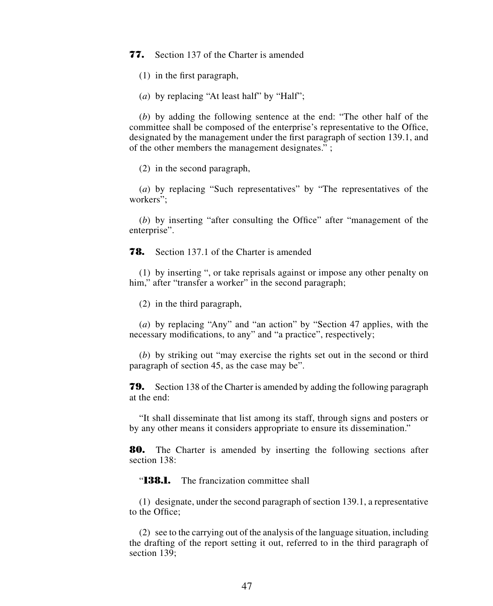**77.** Section 137 of the Charter is amended

(1) in the first paragraph,

(*a*) by replacing "At least half" by "Half";

(*b*) by adding the following sentence at the end: "The other half of the committee shall be composed of the enterprise's representative to the Office, designated by the management under the first paragraph of section 139.1, and of the other members the management designates." ;

(2) in the second paragraph,

(*a*) by replacing "Such representatives" by "The representatives of the workers";

(*b*) by inserting "after consulting the Office" after "management of the enterprise".

**78.** Section 137.1 of the Charter is amended

(1) by inserting ", or take reprisals against or impose any other penalty on him," after "transfer a worker" in the second paragraph;

(2) in the third paragraph,

(*a*) by replacing "Any" and "an action" by "Section 47 applies, with the necessary modifications, to any" and "a practice", respectively;

(*b*) by striking out "may exercise the rights set out in the second or third paragraph of section 45, as the case may be".

**79.** Section 138 of the Charter is amended by adding the following paragraph at the end:

"It shall disseminate that list among its staff, through signs and posters or by any other means it considers appropriate to ensure its dissemination."

**80.** The Charter is amended by inserting the following sections after section 138:

"**138.1.** The francization committee shall

(1) designate, under the second paragraph of section 139.1, a representative to the Office;

(2) see to the carrying out of the analysis of the language situation, including the drafting of the report setting it out, referred to in the third paragraph of section 139: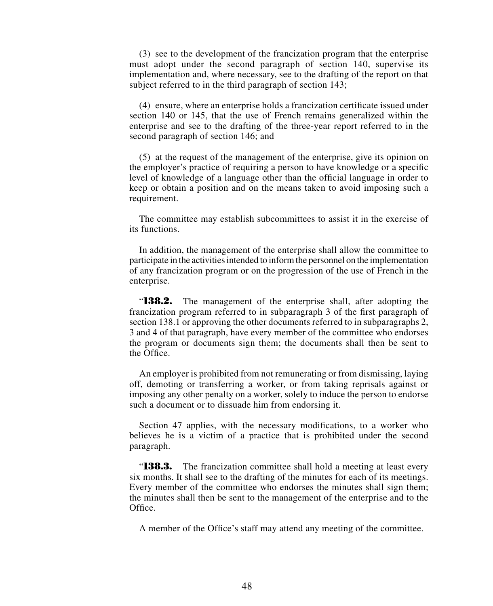(3) see to the development of the francization program that the enterprise must adopt under the second paragraph of section 140, supervise its implementation and, where necessary, see to the drafting of the report on that subject referred to in the third paragraph of section 143;

(4) ensure, where an enterprise holds a francization certificate issued under section 140 or 145, that the use of French remains generalized within the enterprise and see to the drafting of the three-year report referred to in the second paragraph of section 146; and

(5) at the request of the management of the enterprise, give its opinion on the employer's practice of requiring a person to have knowledge or a specific level of knowledge of a language other than the official language in order to keep or obtain a position and on the means taken to avoid imposing such a requirement.

The committee may establish subcommittees to assist it in the exercise of its functions.

In addition, the management of the enterprise shall allow the committee to participate in the activities intended to inform the personnel on the implementation of any francization program or on the progression of the use of French in the enterprise.

"**138.2.** The management of the enterprise shall, after adopting the francization program referred to in subparagraph 3 of the first paragraph of section 138.1 or approving the other documents referred to in subparagraphs 2, 3 and 4 of that paragraph, have every member of the committee who endorses the program or documents sign them; the documents shall then be sent to the Office.

An employer is prohibited from not remunerating or from dismissing, laying off, demoting or transferring a worker, or from taking reprisals against or imposing any other penalty on a worker, solely to induce the person to endorse such a document or to dissuade him from endorsing it.

Section 47 applies, with the necessary modifications, to a worker who believes he is a victim of a practice that is prohibited under the second paragraph.

"**138.3.** The francization committee shall hold a meeting at least every six months. It shall see to the drafting of the minutes for each of its meetings. Every member of the committee who endorses the minutes shall sign them; the minutes shall then be sent to the management of the enterprise and to the Office.

A member of the Office's staff may attend any meeting of the committee.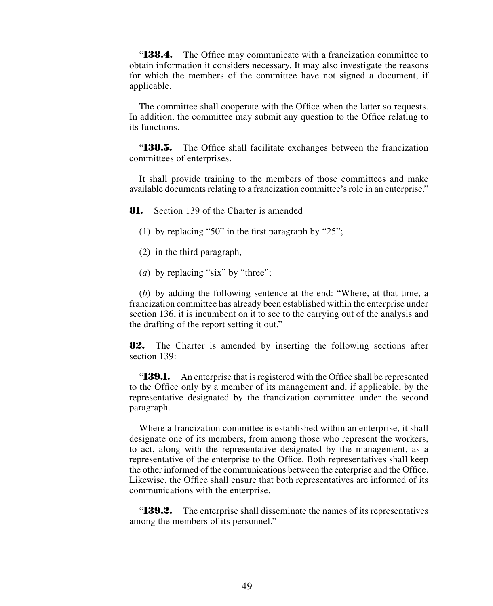**138.4.** The Office may communicate with a francization committee to obtain information it considers necessary. It may also investigate the reasons for which the members of the committee have not signed a document, if applicable.

The committee shall cooperate with the Office when the latter so requests. In addition, the committee may submit any question to the Office relating to its functions.

"**138.5.** The Office shall facilitate exchanges between the francization committees of enterprises.

It shall provide training to the members of those committees and make available documents relating to a francization committee's role in an enterprise."

**81.** Section 139 of the Charter is amended

- (1) by replacing "50" in the first paragraph by "25";
- (2) in the third paragraph,
- (*a*) by replacing "six" by "three";

(*b*) by adding the following sentence at the end: "Where, at that time, a francization committee has already been established within the enterprise under section 136, it is incumbent on it to see to the carrying out of the analysis and the drafting of the report setting it out."

**82.** The Charter is amended by inserting the following sections after section 139:

"**139.1.** An enterprise that is registered with the Office shall be represented to the Office only by a member of its management and, if applicable, by the representative designated by the francization committee under the second paragraph.

Where a francization committee is established within an enterprise, it shall designate one of its members, from among those who represent the workers, to act, along with the representative designated by the management, as a representative of the enterprise to the Office. Both representatives shall keep the other informed of the communications between the enterprise and the Office. Likewise, the Office shall ensure that both representatives are informed of its communications with the enterprise.

"**139.2.** The enterprise shall disseminate the names of its representatives among the members of its personnel."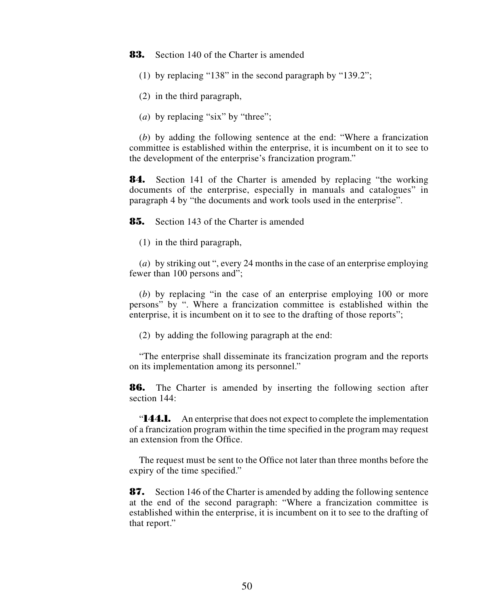**83.** Section 140 of the Charter is amended

- (1) by replacing "138" in the second paragraph by "139.2";
- (2) in the third paragraph,
- (*a*) by replacing "six" by "three";

(*b*) by adding the following sentence at the end: "Where a francization committee is established within the enterprise, it is incumbent on it to see to the development of the enterprise's francization program."

**84.** Section 141 of the Charter is amended by replacing "the working documents of the enterprise, especially in manuals and catalogues" in paragraph 4 by "the documents and work tools used in the enterprise".

**85.** Section 143 of the Charter is amended

(1) in the third paragraph,

(*a*) by striking out ", every 24 months in the case of an enterprise employing fewer than 100 persons and";

(*b*) by replacing "in the case of an enterprise employing 100 or more persons" by ". Where a francization committee is established within the enterprise, it is incumbent on it to see to the drafting of those reports";

(2) by adding the following paragraph at the end:

"The enterprise shall disseminate its francization program and the reports on its implementation among its personnel."

**86.** The Charter is amended by inserting the following section after section 144:

"**144.1.** An enterprise that does not expect to complete the implementation of a francization program within the time specified in the program may request an extension from the Office.

The request must be sent to the Office not later than three months before the expiry of the time specified."

**87.** Section 146 of the Charter is amended by adding the following sentence at the end of the second paragraph: "Where a francization committee is established within the enterprise, it is incumbent on it to see to the drafting of that report."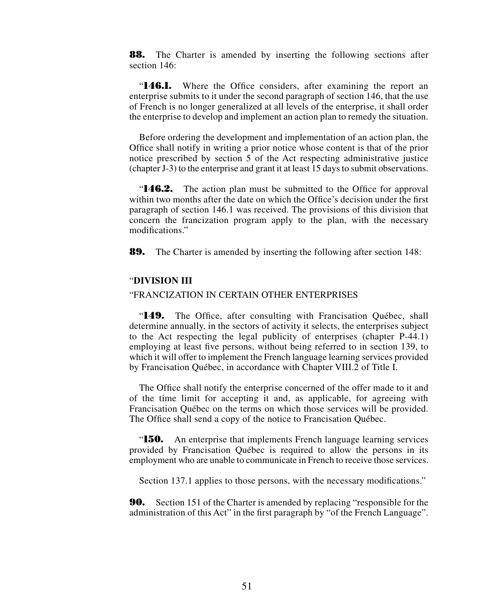**88.** The Charter is amended by inserting the following sections after section 146<sup>.</sup>

"**146.1.** Where the Office considers, after examining the report an enterprise submits to it under the second paragraph of section 146, that the use of French is no longer generalized at all levels of the enterprise, it shall order the enterprise to develop and implement an action plan to remedy the situation.

Before ordering the development and implementation of an action plan, the Office shall notify in writing a prior notice whose content is that of the prior notice prescribed by section 5 of the Act respecting administrative justice (chapter J-3) to the enterprise and grant it at least 15 days to submit observations.

"**146.2.** The action plan must be submitted to the Office for approval within two months after the date on which the Office's decision under the first paragraph of section 146.1 was received. The provisions of this division that concern the francization program apply to the plan, with the necessary modifications."

**89.** The Charter is amended by inserting the following after section 148:

#### "**DIVISION III**

## "FRANCIZATION IN CERTAIN OTHER ENTERPRISES

"**149.** The Office, after consulting with Francisation Québec, shall determine annually, in the sectors of activity it selects, the enterprises subject to the Act respecting the legal publicity of enterprises (chapter P-44.1) employing at least five persons, without being referred to in section 139, to which it will offer to implement the French language learning services provided by Francisation Québec, in accordance with Chapter VIII.2 of Title I.

The Office shall notify the enterprise concerned of the offer made to it and of the time limit for accepting it and, as applicable, for agreeing with Francisation Québec on the terms on which those services will be provided. The Office shall send a copy of the notice to Francisation Québec.

"**150.** An enterprise that implements French language learning services provided by Francisation Québec is required to allow the persons in its employment who are unable to communicate in French to receive those services.

Section 137.1 applies to those persons, with the necessary modifications."

**90.** Section 151 of the Charter is amended by replacing "responsible for the administration of this Act" in the first paragraph by "of the French Language".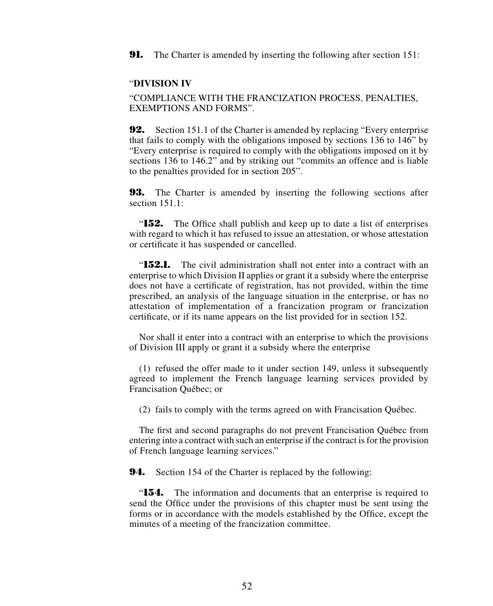**91.** The Charter is amended by inserting the following after section 151:

### "**DIVISION IV**

"COMPLIANCE WITH THE FRANCIZATION PROCESS, PENALTIES, EXEMPTIONS AND FORMS".

**92.** Section 151.1 of the Charter is amended by replacing "Every enterprise" that fails to comply with the obligations imposed by sections 136 to 146" by "Every enterprise is required to comply with the obligations imposed on it by sections 136 to 146.2" and by striking out "commits an offence and is liable to the penalties provided for in section 205".

**93.** The Charter is amended by inserting the following sections after section 151.1:

"**152.** The Office shall publish and keep up to date a list of enterprises with regard to which it has refused to issue an attestation, or whose attestation or certificate it has suspended or cancelled.

"**152.1.** The civil administration shall not enter into a contract with an enterprise to which Division II applies or grant it a subsidy where the enterprise does not have a certificate of registration, has not provided, within the time prescribed, an analysis of the language situation in the enterprise, or has no attestation of implementation of a francization program or francization certificate, or if its name appears on the list provided for in section 152.

Nor shall it enter into a contract with an enterprise to which the provisions of Division III apply or grant it a subsidy where the enterprise

(1) refused the offer made to it under section 149, unless it subsequently agreed to implement the French language learning services provided by Francisation Québec; or

(2) fails to comply with the terms agreed on with Francisation Québec.

The first and second paragraphs do not prevent Francisation Québec from entering into a contract with such an enterprise if the contract is for the provision of French language learning services."

**94.** Section 154 of the Charter is replaced by the following:

"**154.** The information and documents that an enterprise is required to send the Office under the provisions of this chapter must be sent using the forms or in accordance with the models established by the Office, except the minutes of a meeting of the francization committee.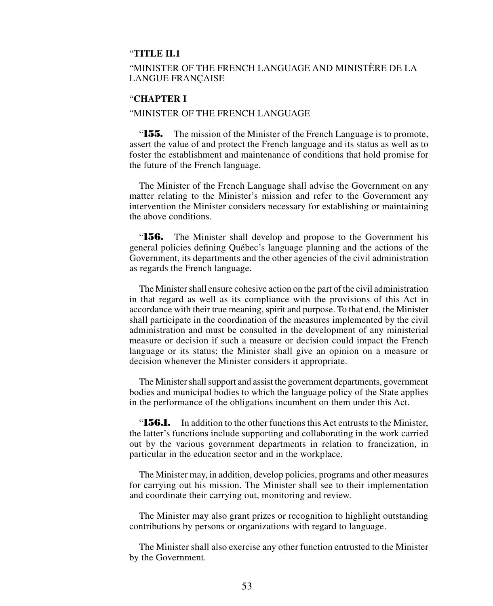## "**TITLE II.1**

# "MINISTER OF THE FRENCH LANGUAGE AND MINISTÈRE DE LA LANGUE FRANÇAISE

## "**CHAPTER I**

### "MINISTER OF THE FRENCH LANGUAGE

"**155.** The mission of the Minister of the French Language is to promote, assert the value of and protect the French language and its status as well as to foster the establishment and maintenance of conditions that hold promise for the future of the French language.

The Minister of the French Language shall advise the Government on any matter relating to the Minister's mission and refer to the Government any intervention the Minister considers necessary for establishing or maintaining the above conditions.

"**156.** The Minister shall develop and propose to the Government his general policies defining Québec's language planning and the actions of the Government, its departments and the other agencies of the civil administration as regards the French language.

The Minister shall ensure cohesive action on the part of the civil administration in that regard as well as its compliance with the provisions of this Act in accordance with their true meaning, spirit and purpose. To that end, the Minister shall participate in the coordination of the measures implemented by the civil administration and must be consulted in the development of any ministerial measure or decision if such a measure or decision could impact the French language or its status; the Minister shall give an opinion on a measure or decision whenever the Minister considers it appropriate.

The Minister shall support and assist the government departments, government bodies and municipal bodies to which the language policy of the State applies in the performance of the obligations incumbent on them under this Act.

"**156.1.** In addition to the other functions this Act entrusts to the Minister, the latter's functions include supporting and collaborating in the work carried out by the various government departments in relation to francization, in particular in the education sector and in the workplace.

The Minister may, in addition, develop policies, programs and other measures for carrying out his mission. The Minister shall see to their implementation and coordinate their carrying out, monitoring and review.

The Minister may also grant prizes or recognition to highlight outstanding contributions by persons or organizations with regard to language.

The Minister shall also exercise any other function entrusted to the Minister by the Government.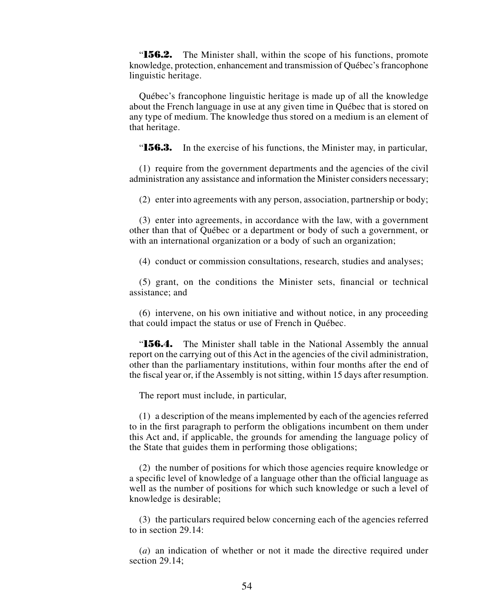"**156.2.** The Minister shall, within the scope of his functions, promote knowledge, protection, enhancement and transmission of Québec's francophone linguistic heritage.

Québec's francophone linguistic heritage is made up of all the knowledge about the French language in use at any given time in Québec that is stored on any type of medium. The knowledge thus stored on a medium is an element of that heritage.

"**156.3.** In the exercise of his functions, the Minister may, in particular,

(1) require from the government departments and the agencies of the civil administration any assistance and information the Minister considers necessary;

(2) enter into agreements with any person, association, partnership or body;

(3) enter into agreements, in accordance with the law, with a government other than that of Québec or a department or body of such a government, or with an international organization or a body of such an organization;

(4) conduct or commission consultations, research, studies and analyses;

(5) grant, on the conditions the Minister sets, financial or technical assistance; and

(6) intervene, on his own initiative and without notice, in any proceeding that could impact the status or use of French in Québec.

"**156.4.** The Minister shall table in the National Assembly the annual report on the carrying out of this Act in the agencies of the civil administration, other than the parliamentary institutions, within four months after the end of the fiscal year or, if the Assembly is not sitting, within 15 days after resumption.

The report must include, in particular,

(1) a description of the means implemented by each of the agencies referred to in the first paragraph to perform the obligations incumbent on them under this Act and, if applicable, the grounds for amending the language policy of the State that guides them in performing those obligations;

(2) the number of positions for which those agencies require knowledge or a specific level of knowledge of a language other than the official language as well as the number of positions for which such knowledge or such a level of knowledge is desirable;

(3) the particulars required below concerning each of the agencies referred to in section 29.14:

(*a*) an indication of whether or not it made the directive required under section 29.14: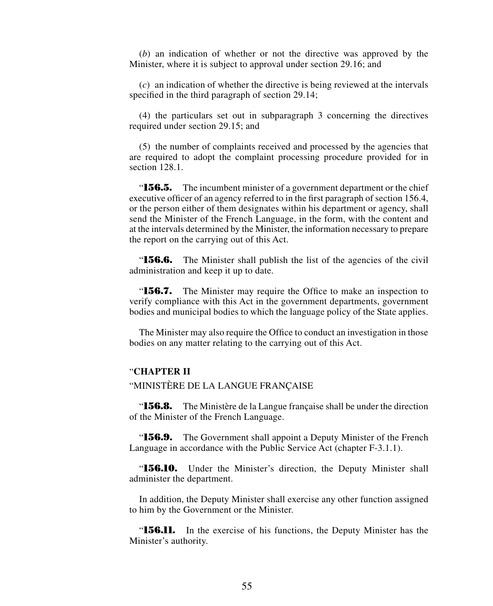(*b*) an indication of whether or not the directive was approved by the Minister, where it is subject to approval under section 29.16; and

(*c*) an indication of whether the directive is being reviewed at the intervals specified in the third paragraph of section 29.14;

(4) the particulars set out in subparagraph 3 concerning the directives required under section 29.15; and

(5) the number of complaints received and processed by the agencies that are required to adopt the complaint processing procedure provided for in section 128.1.

**156.5.** The incumbent minister of a government department or the chief executive officer of an agency referred to in the first paragraph of section 156.4, or the person either of them designates within his department or agency, shall send the Minister of the French Language, in the form, with the content and at the intervals determined by the Minister, the information necessary to prepare the report on the carrying out of this Act.

**156.6.** The Minister shall publish the list of the agencies of the civil administration and keep it up to date.

**156.7.** The Minister may require the Office to make an inspection to verify compliance with this Act in the government departments, government bodies and municipal bodies to which the language policy of the State applies.

The Minister may also require the Office to conduct an investigation in those bodies on any matter relating to the carrying out of this Act.

## "**CHAPTER II**

"MINISTÈRE DE LA LANGUE FRANÇAISE

"**156.8.** The Ministère de la Langue française shall be under the direction of the Minister of the French Language.

"**156.9.** The Government shall appoint a Deputy Minister of the French Language in accordance with the Public Service Act (chapter F-3.1.1).

"**156.10.** Under the Minister's direction, the Deputy Minister shall administer the department.

In addition, the Deputy Minister shall exercise any other function assigned to him by the Government or the Minister.

"**156.11.** In the exercise of his functions, the Deputy Minister has the Minister's authority.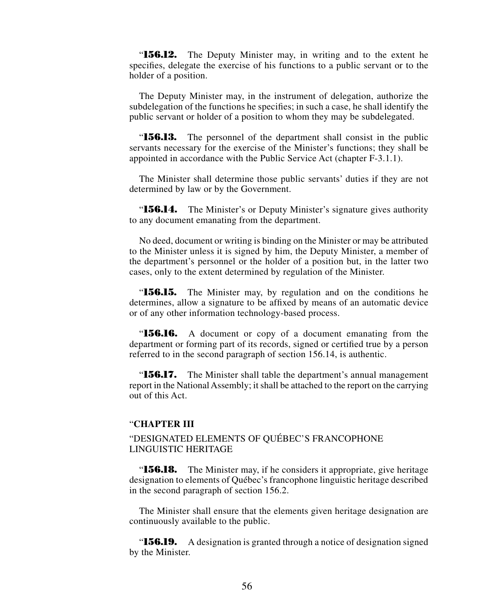"**156.12.** The Deputy Minister may, in writing and to the extent he specifies, delegate the exercise of his functions to a public servant or to the holder of a position.

The Deputy Minister may, in the instrument of delegation, authorize the subdelegation of the functions he specifies; in such a case, he shall identify the public servant or holder of a position to whom they may be subdelegated.

"**156.13.** The personnel of the department shall consist in the public servants necessary for the exercise of the Minister's functions; they shall be appointed in accordance with the Public Service Act (chapter F-3.1.1).

The Minister shall determine those public servants' duties if they are not determined by law or by the Government.

"**156.14.** The Minister's or Deputy Minister's signature gives authority to any document emanating from the department.

No deed, document or writing is binding on the Minister or may be attributed to the Minister unless it is signed by him, the Deputy Minister, a member of the department's personnel or the holder of a position but, in the latter two cases, only to the extent determined by regulation of the Minister.

"**156.15.** The Minister may, by regulation and on the conditions he determines, allow a signature to be affixed by means of an automatic device or of any other information technology-based process.

"**156.16.** A document or copy of a document emanating from the department or forming part of its records, signed or certified true by a person referred to in the second paragraph of section 156.14, is authentic.

"**156.17.** The Minister shall table the department's annual management report in the National Assembly; it shall be attached to the report on the carrying out of this Act.

## "**CHAPTER III**

"DESIGNATED ELEMENTS OF QUÉBEC'S FRANCOPHONE LINGUISTIC HERITAGE

"**156.18.** The Minister may, if he considers it appropriate, give heritage designation to elements of Québec's francophone linguistic heritage described in the second paragraph of section 156.2.

The Minister shall ensure that the elements given heritage designation are continuously available to the public.

"**156.19.** A designation is granted through a notice of designation signed by the Minister.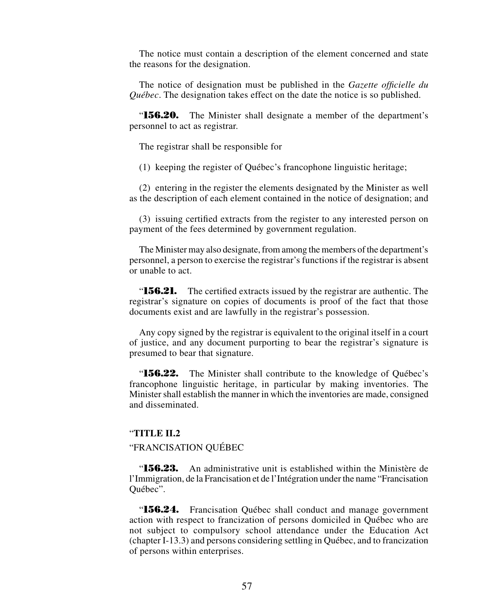The notice must contain a description of the element concerned and state the reasons for the designation.

The notice of designation must be published in the *Gazette officielle du Québec*. The designation takes effect on the date the notice is so published.

"**156.20.** The Minister shall designate a member of the department's personnel to act as registrar.

The registrar shall be responsible for

(1) keeping the register of Québec's francophone linguistic heritage;

(2) entering in the register the elements designated by the Minister as well as the description of each element contained in the notice of designation; and

(3) issuing certified extracts from the register to any interested person on payment of the fees determined by government regulation.

The Minister may also designate, from among the members of the department's personnel, a person to exercise the registrar's functions if the registrar is absent or unable to act.

"**156.21.** The certified extracts issued by the registrar are authentic. The registrar's signature on copies of documents is proof of the fact that those documents exist and are lawfully in the registrar's possession.

Any copy signed by the registrar is equivalent to the original itself in a court of justice, and any document purporting to bear the registrar's signature is presumed to bear that signature.

"**156.22.** The Minister shall contribute to the knowledge of Québec's francophone linguistic heritage, in particular by making inventories. The Minister shall establish the manner in which the inventories are made, consigned and disseminated.

### "**TITLE II.2**

## "FRANCISATION QUÉBEC

"**156.23.** An administrative unit is established within the Ministère de l'Immigration, de la Francisation et de l'Intégration under the name "Francisation Québec".

"**156.24.** Francisation Québec shall conduct and manage government action with respect to francization of persons domiciled in Québec who are not subject to compulsory school attendance under the Education Act (chapter I-13.3) and persons considering settling in Québec, and to francization of persons within enterprises.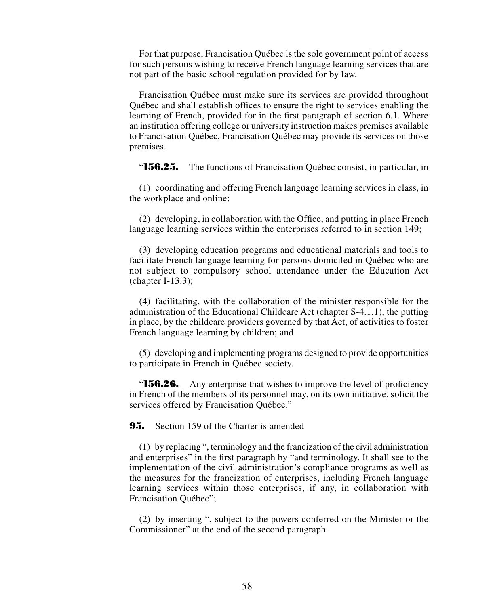For that purpose, Francisation Québec is the sole government point of access for such persons wishing to receive French language learning services that are not part of the basic school regulation provided for by law.

Francisation Québec must make sure its services are provided throughout Québec and shall establish offices to ensure the right to services enabling the learning of French, provided for in the first paragraph of section 6.1. Where an institution offering college or university instruction makes premises available to Francisation Québec, Francisation Québec may provide its services on those premises.

"**156.25.** The functions of Francisation Québec consist, in particular, in

(1) coordinating and offering French language learning services in class, in the workplace and online;

(2) developing, in collaboration with the Office, and putting in place French language learning services within the enterprises referred to in section 149;

(3) developing education programs and educational materials and tools to facilitate French language learning for persons domiciled in Québec who are not subject to compulsory school attendance under the Education Act (chapter I-13.3);

(4) facilitating, with the collaboration of the minister responsible for the administration of the Educational Childcare Act (chapter S-4.1.1), the putting in place, by the childcare providers governed by that Act, of activities to foster French language learning by children; and

(5) developing and implementing programs designed to provide opportunities to participate in French in Québec society.

"**156.26.** Any enterprise that wishes to improve the level of proficiency in French of the members of its personnel may, on its own initiative, solicit the services offered by Francisation Québec."

**95.** Section 159 of the Charter is amended

(1) by replacing ", terminology and the francization of the civil administration and enterprises" in the first paragraph by "and terminology. It shall see to the implementation of the civil administration's compliance programs as well as the measures for the francization of enterprises, including French language learning services within those enterprises, if any, in collaboration with Francisation Québec";

(2) by inserting ", subject to the powers conferred on the Minister or the Commissioner" at the end of the second paragraph.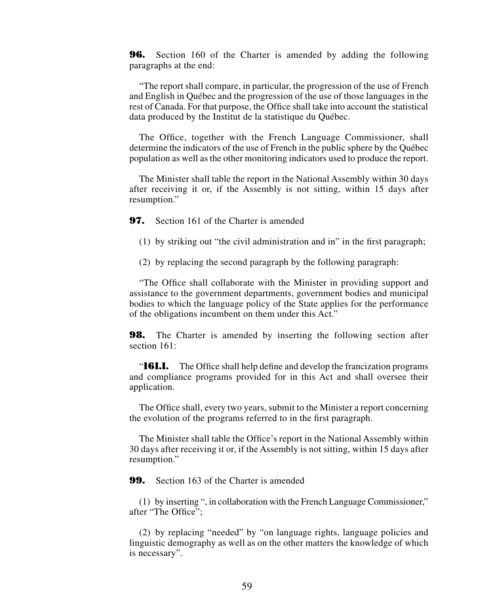**96.** Section 160 of the Charter is amended by adding the following paragraphs at the end:

"The report shall compare, in particular, the progression of the use of French and English in Québec and the progression of the use of those languages in the rest of Canada. For that purpose, the Office shall take into account the statistical data produced by the Institut de la statistique du Québec.

The Office, together with the French Language Commissioner, shall determine the indicators of the use of French in the public sphere by the Québec population as well as the other monitoring indicators used to produce the report.

The Minister shall table the report in the National Assembly within 30 days after receiving it or, if the Assembly is not sitting, within 15 days after resumption."

**97.** Section 161 of the Charter is amended

- (1) by striking out "the civil administration and in" in the first paragraph;
- (2) by replacing the second paragraph by the following paragraph:

"The Office shall collaborate with the Minister in providing support and assistance to the government departments, government bodies and municipal bodies to which the language policy of the State applies for the performance of the obligations incumbent on them under this Act."

**98.** The Charter is amended by inserting the following section after section 161:

"**161.1.** The Office shall help define and develop the francization programs and compliance programs provided for in this Act and shall oversee their application.

The Office shall, every two years, submit to the Minister a report concerning the evolution of the programs referred to in the first paragraph.

The Minister shall table the Office's report in the National Assembly within 30 days after receiving it or, if the Assembly is not sitting, within 15 days after resumption."

**99.** Section 163 of the Charter is amended

(1) by inserting ", in collaboration with the French Language Commissioner," after "The Office";

(2) by replacing "needed" by "on language rights, language policies and linguistic demography as well as on the other matters the knowledge of which is necessary".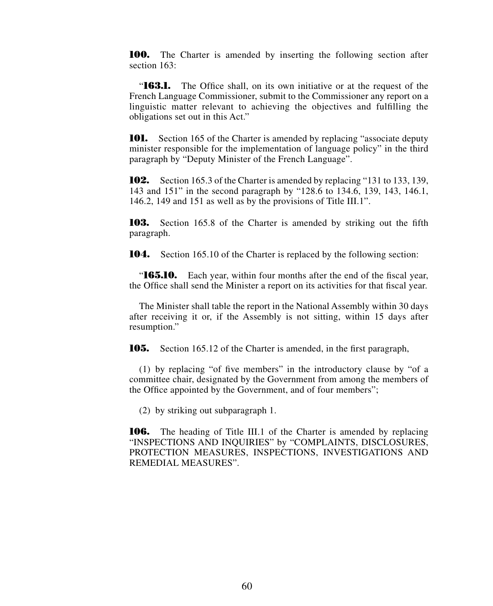**100.** The Charter is amended by inserting the following section after section 163.

"**163.1.** The Office shall, on its own initiative or at the request of the French Language Commissioner, submit to the Commissioner any report on a linguistic matter relevant to achieving the objectives and fulfilling the obligations set out in this Act."

**101.** Section 165 of the Charter is amended by replacing "associate deputy" minister responsible for the implementation of language policy" in the third paragraph by "Deputy Minister of the French Language".

**102.** Section 165.3 of the Charter is amended by replacing "131 to 133, 139, 143 and 151" in the second paragraph by "128.6 to 134.6, 139, 143, 146.1, 146.2, 149 and 151 as well as by the provisions of Title III.1".

**103.** Section 165.8 of the Charter is amended by striking out the fifth paragraph.

**104.** Section 165.10 of the Charter is replaced by the following section:

"**165.10.** Each year, within four months after the end of the fiscal year, the Office shall send the Minister a report on its activities for that fiscal year.

The Minister shall table the report in the National Assembly within 30 days after receiving it or, if the Assembly is not sitting, within 15 days after resumption."

**105.** Section 165.12 of the Charter is amended, in the first paragraph,

(1) by replacing "of five members" in the introductory clause by "of a committee chair, designated by the Government from among the members of the Office appointed by the Government, and of four members";

(2) by striking out subparagraph 1.

**106.** The heading of Title III.1 of the Charter is amended by replacing "INSPECTIONS AND INQUIRIES" by "COMPLAINTS, DISCLOSURES, PROTECTION MEASURES, INSPECTIONS, INVESTIGATIONS AND REMEDIAL MEASURES".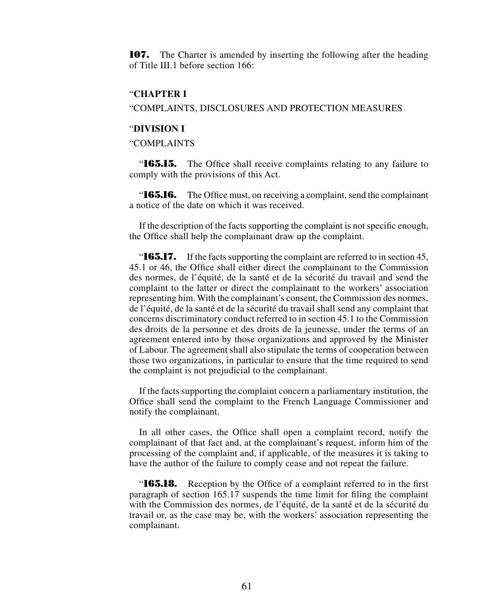**107.** The Charter is amended by inserting the following after the heading of Title III.1 before section  $166$ .

## "**CHAPTER I**

"COMPLAINTS, DISCLOSURES AND PROTECTION MEASURES

#### "**DIVISION I**

"COMPLAINTS

"**165.15.** The Office shall receive complaints relating to any failure to comply with the provisions of this Act.

"**165.16.** The Office must, on receiving a complaint, send the complainant a notice of the date on which it was received.

If the description of the facts supporting the complaint is not specific enough, the Office shall help the complainant draw up the complaint.

"**165.17.** If the facts supporting the complaint are referred to in section 45, 45.1 or 46, the Office shall either direct the complainant to the Commission des normes, de l'équité, de la santé et de la sécurité du travail and send the complaint to the latter or direct the complainant to the workers' association representing him. With the complainant's consent, the Commission des normes, de l'équité, de la santé et de la sécurité du travail shall send any complaint that concerns discriminatory conduct referred to in section 45.1 to the Commission des droits de la personne et des droits de la jeunesse, under the terms of an agreement entered into by those organizations and approved by the Minister of Labour. The agreement shall also stipulate the terms of cooperation between those two organizations, in particular to ensure that the time required to send the complaint is not prejudicial to the complainant.

If the facts supporting the complaint concern a parliamentary institution, the Office shall send the complaint to the French Language Commissioner and notify the complainant.

In all other cases, the Office shall open a complaint record, notify the complainant of that fact and, at the complainant's request, inform him of the processing of the complaint and, if applicable, of the measures it is taking to have the author of the failure to comply cease and not repeat the failure.

"**165.18.** Reception by the Office of a complaint referred to in the first paragraph of section 165.17 suspends the time limit for filing the complaint with the Commission des normes, de l'équité, de la santé et de la sécurité du travail or, as the case may be, with the workers' association representing the complainant.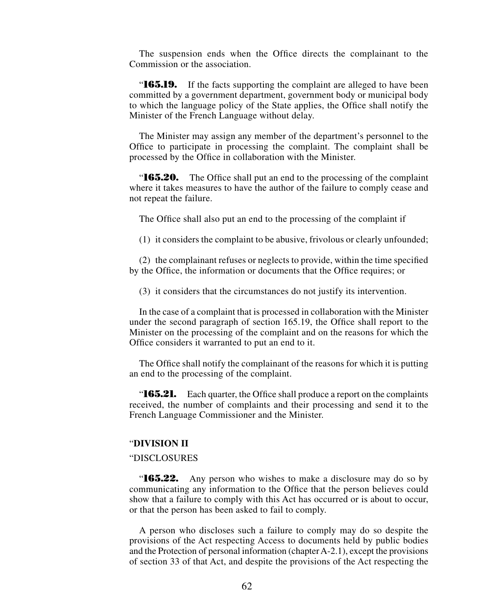The suspension ends when the Office directs the complainant to the Commission or the association.

"**165.19.** If the facts supporting the complaint are alleged to have been committed by a government department, government body or municipal body to which the language policy of the State applies, the Office shall notify the Minister of the French Language without delay.

The Minister may assign any member of the department's personnel to the Office to participate in processing the complaint. The complaint shall be processed by the Office in collaboration with the Minister.

"**165.20.** The Office shall put an end to the processing of the complaint where it takes measures to have the author of the failure to comply cease and not repeat the failure.

The Office shall also put an end to the processing of the complaint if

(1) it considers the complaint to be abusive, frivolous or clearly unfounded;

(2) the complainant refuses or neglects to provide, within the time specified by the Office, the information or documents that the Office requires; or

(3) it considers that the circumstances do not justify its intervention.

In the case of a complaint that is processed in collaboration with the Minister under the second paragraph of section 165.19, the Office shall report to the Minister on the processing of the complaint and on the reasons for which the Office considers it warranted to put an end to it.

The Office shall notify the complainant of the reasons for which it is putting an end to the processing of the complaint.

"**165.21.** Each quarter, the Office shall produce a report on the complaints received, the number of complaints and their processing and send it to the French Language Commissioner and the Minister.

### "**DIVISION II**

## "DISCLOSURES

"**165.22.** Any person who wishes to make a disclosure may do so by communicating any information to the Office that the person believes could show that a failure to comply with this Act has occurred or is about to occur, or that the person has been asked to fail to comply.

A person who discloses such a failure to comply may do so despite the provisions of the Act respecting Access to documents held by public bodies and the Protection of personal information (chapter A-2.1), except the provisions of section 33 of that Act, and despite the provisions of the Act respecting the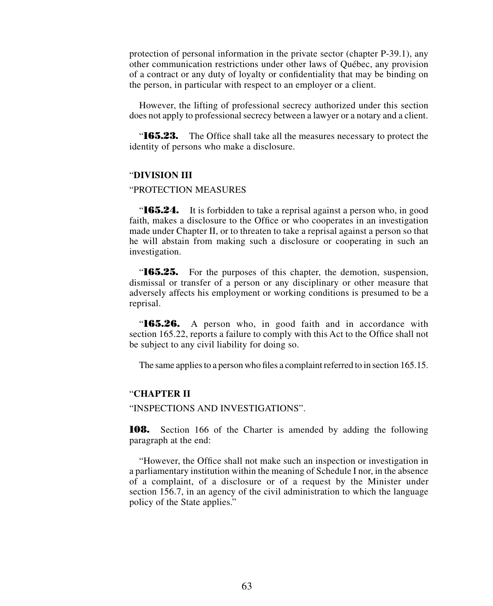protection of personal information in the private sector (chapter P-39.1), any other communication restrictions under other laws of Québec, any provision of a contract or any duty of loyalty or confidentiality that may be binding on the person, in particular with respect to an employer or a client.

However, the lifting of professional secrecy authorized under this section does not apply to professional secrecy between a lawyer or a notary and a client.

"**165.23.** The Office shall take all the measures necessary to protect the identity of persons who make a disclosure.

## "**DIVISION III**

#### "PROTECTION MEASURES

**165.24.** It is forbidden to take a reprisal against a person who, in good faith, makes a disclosure to the Office or who cooperates in an investigation made under Chapter II, or to threaten to take a reprisal against a person so that he will abstain from making such a disclosure or cooperating in such an investigation.

"**165.25.** For the purposes of this chapter, the demotion, suspension, dismissal or transfer of a person or any disciplinary or other measure that adversely affects his employment or working conditions is presumed to be a reprisal.

"**165.26.** A person who, in good faith and in accordance with section 165.22, reports a failure to comply with this Act to the Office shall not be subject to any civil liability for doing so.

The same applies to a person who files a complaint referred to in section 165.15.

## "**CHAPTER II**

"INSPECTIONS AND INVESTIGATIONS".

**108.** Section 166 of the Charter is amended by adding the following paragraph at the end:

"However, the Office shall not make such an inspection or investigation in a parliamentary institution within the meaning of Schedule I nor, in the absence of a complaint, of a disclosure or of a request by the Minister under section 156.7, in an agency of the civil administration to which the language policy of the State applies."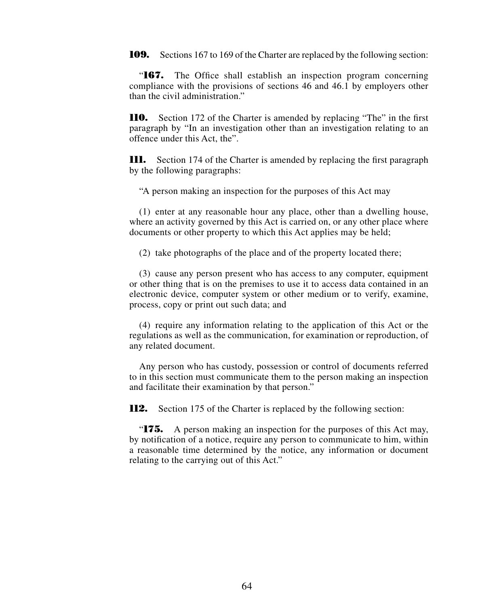**109.** Sections 167 to 169 of the Charter are replaced by the following section:

"**167.** The Office shall establish an inspection program concerning compliance with the provisions of sections 46 and 46.1 by employers other than the civil administration."

**110.** Section 172 of the Charter is amended by replacing "The" in the first paragraph by "In an investigation other than an investigation relating to an offence under this Act, the".

**111.** Section 174 of the Charter is amended by replacing the first paragraph by the following paragraphs:

"A person making an inspection for the purposes of this Act may

(1) enter at any reasonable hour any place, other than a dwelling house, where an activity governed by this Act is carried on, or any other place where documents or other property to which this Act applies may be held;

(2) take photographs of the place and of the property located there;

(3) cause any person present who has access to any computer, equipment or other thing that is on the premises to use it to access data contained in an electronic device, computer system or other medium or to verify, examine, process, copy or print out such data; and

(4) require any information relating to the application of this Act or the regulations as well as the communication, for examination or reproduction, of any related document.

Any person who has custody, possession or control of documents referred to in this section must communicate them to the person making an inspection and facilitate their examination by that person."

**112.** Section 175 of the Charter is replaced by the following section:

"**175.** A person making an inspection for the purposes of this Act may, by notification of a notice, require any person to communicate to him, within a reasonable time determined by the notice, any information or document relating to the carrying out of this Act."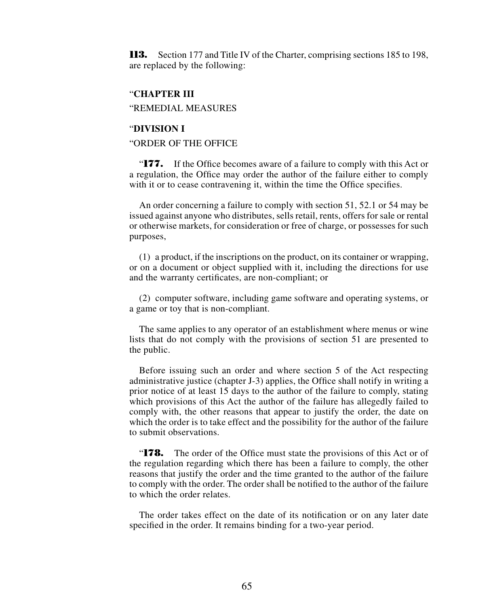**113.** Section 177 and Title IV of the Charter, comprising sections 185 to 198, are replaced by the following:

### "**CHAPTER III**

"REMEDIAL MEASURES

### "**DIVISION I**

## "ORDER OF THE OFFICE

"**177.** If the Office becomes aware of a failure to comply with this Act or a regulation, the Office may order the author of the failure either to comply with it or to cease contravening it, within the time the Office specifies.

An order concerning a failure to comply with section 51, 52.1 or 54 may be issued against anyone who distributes, sells retail, rents, offers for sale or rental or otherwise markets, for consideration or free of charge, or possesses for such purposes,

(1) a product, if the inscriptions on the product, on its container or wrapping, or on a document or object supplied with it, including the directions for use and the warranty certificates, are non-compliant; or

(2) computer software, including game software and operating systems, or a game or toy that is non-compliant.

The same applies to any operator of an establishment where menus or wine lists that do not comply with the provisions of section 51 are presented to the public.

Before issuing such an order and where section 5 of the Act respecting administrative justice (chapter J-3) applies, the Office shall notify in writing a prior notice of at least 15 days to the author of the failure to comply, stating which provisions of this Act the author of the failure has allegedly failed to comply with, the other reasons that appear to justify the order, the date on which the order is to take effect and the possibility for the author of the failure to submit observations.

"**178.** The order of the Office must state the provisions of this Act or of the regulation regarding which there has been a failure to comply, the other reasons that justify the order and the time granted to the author of the failure to comply with the order. The order shall be notified to the author of the failure to which the order relates.

The order takes effect on the date of its notification or on any later date specified in the order. It remains binding for a two-year period.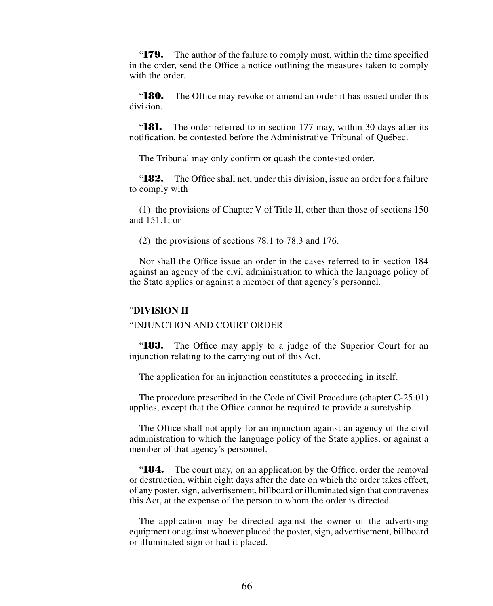"**179.** The author of the failure to comply must, within the time specified in the order, send the Office a notice outlining the measures taken to comply with the order.

"**180.** The Office may revoke or amend an order it has issued under this division.

"**181.** The order referred to in section 177 may, within 30 days after its notification, be contested before the Administrative Tribunal of Québec.

The Tribunal may only confirm or quash the contested order.

"**182.** The Office shall not, under this division, issue an order for a failure to comply with

(1) the provisions of Chapter V of Title II, other than those of sections 150 and 151.1; or

(2) the provisions of sections 78.1 to 78.3 and 176.

Nor shall the Office issue an order in the cases referred to in section 184 against an agency of the civil administration to which the language policy of the State applies or against a member of that agency's personnel.

#### "**DIVISION II**

#### "INJUNCTION AND COURT ORDER

"**183.** The Office may apply to a judge of the Superior Court for an injunction relating to the carrying out of this Act.

The application for an injunction constitutes a proceeding in itself.

The procedure prescribed in the Code of Civil Procedure (chapter C-25.01) applies, except that the Office cannot be required to provide a suretyship.

The Office shall not apply for an injunction against an agency of the civil administration to which the language policy of the State applies, or against a member of that agency's personnel.

"**184.** The court may, on an application by the Office, order the removal or destruction, within eight days after the date on which the order takes effect, of any poster, sign, advertisement, billboard or illuminated sign that contravenes this Act, at the expense of the person to whom the order is directed.

The application may be directed against the owner of the advertising equipment or against whoever placed the poster, sign, advertisement, billboard or illuminated sign or had it placed.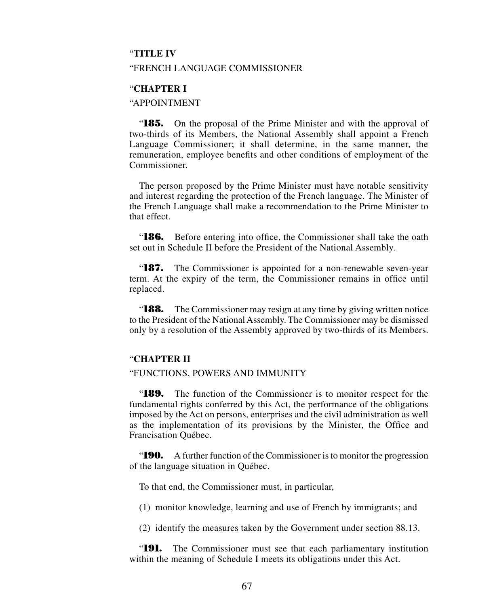### "**TITLE IV**

#### "FRENCH LANGUAGE COMMISSIONER

### "**CHAPTER I**

## "APPOINTMENT

"**185.** On the proposal of the Prime Minister and with the approval of two-thirds of its Members, the National Assembly shall appoint a French Language Commissioner; it shall determine, in the same manner, the remuneration, employee benefits and other conditions of employment of the Commissioner.

The person proposed by the Prime Minister must have notable sensitivity and interest regarding the protection of the French language. The Minister of the French Language shall make a recommendation to the Prime Minister to that effect.

"**186.** Before entering into office, the Commissioner shall take the oath set out in Schedule II before the President of the National Assembly.

"**187.** The Commissioner is appointed for a non-renewable seven-year term. At the expiry of the term, the Commissioner remains in office until replaced.

"**188.** The Commissioner may resign at any time by giving written notice to the President of the National Assembly. The Commissioner may be dismissed only by a resolution of the Assembly approved by two-thirds of its Members.

## "**CHAPTER II**

#### "FUNCTIONS, POWERS AND IMMUNITY

"**189.** The function of the Commissioner is to monitor respect for the fundamental rights conferred by this Act, the performance of the obligations imposed by the Act on persons, enterprises and the civil administration as well as the implementation of its provisions by the Minister, the Office and Francisation Québec.

"**190.** A further function of the Commissioner is to monitor the progression of the language situation in Québec.

To that end, the Commissioner must, in particular,

(1) monitor knowledge, learning and use of French by immigrants; and

(2) identify the measures taken by the Government under section 88.13.

"**191.** The Commissioner must see that each parliamentary institution within the meaning of Schedule I meets its obligations under this Act.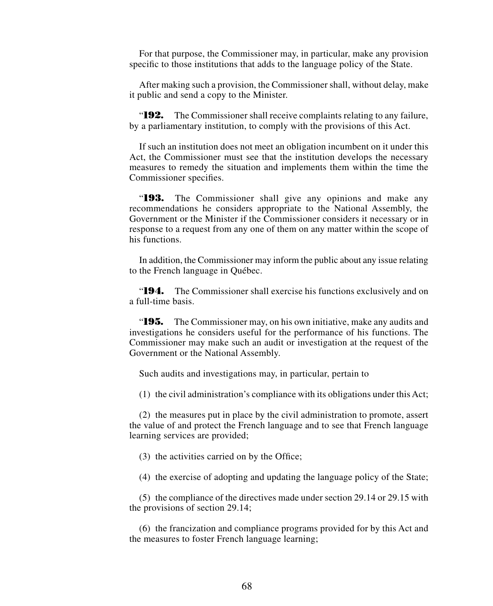For that purpose, the Commissioner may, in particular, make any provision specific to those institutions that adds to the language policy of the State.

After making such a provision, the Commissioner shall, without delay, make it public and send a copy to the Minister.

"**192.** The Commissioner shall receive complaints relating to any failure, by a parliamentary institution, to comply with the provisions of this Act.

If such an institution does not meet an obligation incumbent on it under this Act, the Commissioner must see that the institution develops the necessary measures to remedy the situation and implements them within the time the Commissioner specifies.

"**193.** The Commissioner shall give any opinions and make any recommendations he considers appropriate to the National Assembly, the Government or the Minister if the Commissioner considers it necessary or in response to a request from any one of them on any matter within the scope of his functions.

In addition, the Commissioner may inform the public about any issue relating to the French language in Québec.

"**194.** The Commissioner shall exercise his functions exclusively and on a full-time basis.

"**195.** The Commissioner may, on his own initiative, make any audits and investigations he considers useful for the performance of his functions. The Commissioner may make such an audit or investigation at the request of the Government or the National Assembly.

Such audits and investigations may, in particular, pertain to

(1) the civil administration's compliance with its obligations under this Act;

(2) the measures put in place by the civil administration to promote, assert the value of and protect the French language and to see that French language learning services are provided;

(3) the activities carried on by the Office;

(4) the exercise of adopting and updating the language policy of the State;

(5) the compliance of the directives made under section 29.14 or 29.15 with the provisions of section 29.14;

(6) the francization and compliance programs provided for by this Act and the measures to foster French language learning;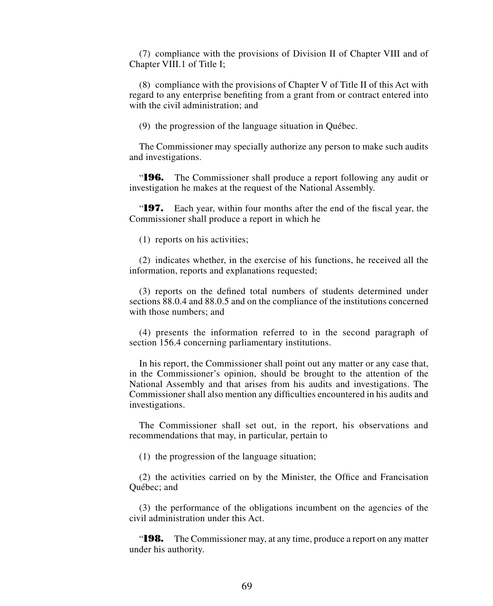(7) compliance with the provisions of Division II of Chapter VIII and of Chapter VIII.1 of Title I;

(8) compliance with the provisions of Chapter V of Title II of this Act with regard to any enterprise benefiting from a grant from or contract entered into with the civil administration; and

(9) the progression of the language situation in Québec.

The Commissioner may specially authorize any person to make such audits and investigations.

"**196.** The Commissioner shall produce a report following any audit or investigation he makes at the request of the National Assembly.

"**197.** Each year, within four months after the end of the fiscal year, the Commissioner shall produce a report in which he

(1) reports on his activities;

(2) indicates whether, in the exercise of his functions, he received all the information, reports and explanations requested;

(3) reports on the defined total numbers of students determined under sections 88.0.4 and 88.0.5 and on the compliance of the institutions concerned with those numbers; and

(4) presents the information referred to in the second paragraph of section 156.4 concerning parliamentary institutions.

In his report, the Commissioner shall point out any matter or any case that, in the Commissioner's opinion, should be brought to the attention of the National Assembly and that arises from his audits and investigations. The Commissioner shall also mention any difficulties encountered in his audits and investigations.

The Commissioner shall set out, in the report, his observations and recommendations that may, in particular, pertain to

(1) the progression of the language situation;

(2) the activities carried on by the Minister, the Office and Francisation Québec; and

(3) the performance of the obligations incumbent on the agencies of the civil administration under this Act.

"**198.** The Commissioner may, at any time, produce a report on any matter under his authority.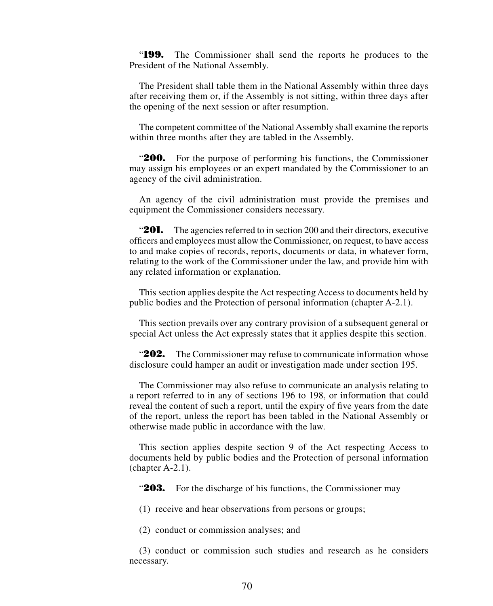"**199.** The Commissioner shall send the reports he produces to the President of the National Assembly.

The President shall table them in the National Assembly within three days after receiving them or, if the Assembly is not sitting, within three days after the opening of the next session or after resumption.

The competent committee of the National Assembly shall examine the reports within three months after they are tabled in the Assembly.

"**200.** For the purpose of performing his functions, the Commissioner may assign his employees or an expert mandated by the Commissioner to an agency of the civil administration.

An agency of the civil administration must provide the premises and equipment the Commissioner considers necessary.

"**201.** The agencies referred to in section 200 and their directors, executive officers and employees must allow the Commissioner, on request, to have access to and make copies of records, reports, documents or data, in whatever form, relating to the work of the Commissioner under the law, and provide him with any related information or explanation.

This section applies despite the Act respecting Access to documents held by public bodies and the Protection of personal information (chapter A-2.1).

This section prevails over any contrary provision of a subsequent general or special Act unless the Act expressly states that it applies despite this section.

"**202.** The Commissioner may refuse to communicate information whose disclosure could hamper an audit or investigation made under section 195.

The Commissioner may also refuse to communicate an analysis relating to a report referred to in any of sections 196 to 198, or information that could reveal the content of such a report, until the expiry of five years from the date of the report, unless the report has been tabled in the National Assembly or otherwise made public in accordance with the law.

This section applies despite section 9 of the Act respecting Access to documents held by public bodies and the Protection of personal information (chapter A-2.1).

"203. For the discharge of his functions, the Commissioner may

(1) receive and hear observations from persons or groups;

(2) conduct or commission analyses; and

(3) conduct or commission such studies and research as he considers necessary.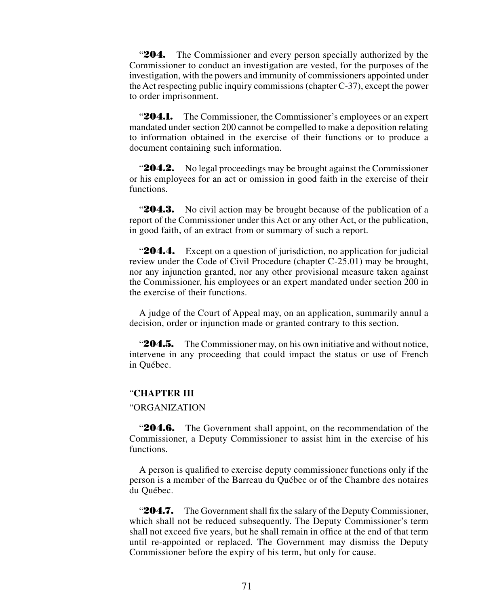"**204.** The Commissioner and every person specially authorized by the Commissioner to conduct an investigation are vested, for the purposes of the investigation, with the powers and immunity of commissioners appointed under the Act respecting public inquiry commissions (chapter C-37), except the power to order imprisonment.

**204.1.** The Commissioner, the Commissioner's employees or an expert mandated under section 200 cannot be compelled to make a deposition relating to information obtained in the exercise of their functions or to produce a document containing such information.

**204.2.** No legal proceedings may be brought against the Commissioner or his employees for an act or omission in good faith in the exercise of their functions.

**204.3.** No civil action may be brought because of the publication of a report of the Commissioner under this Act or any other Act, or the publication, in good faith, of an extract from or summary of such a report.

"**204.4.** Except on a question of jurisdiction, no application for judicial review under the Code of Civil Procedure (chapter C-25.01) may be brought, nor any injunction granted, nor any other provisional measure taken against the Commissioner, his employees or an expert mandated under section 200 in the exercise of their functions.

A judge of the Court of Appeal may, on an application, summarily annul a decision, order or injunction made or granted contrary to this section.

"**204.5.** The Commissioner may, on his own initiative and without notice, intervene in any proceeding that could impact the status or use of French in Québec.

# "**CHAPTER III**

# "ORGANIZATION

"**204.6.** The Government shall appoint, on the recommendation of the Commissioner, a Deputy Commissioner to assist him in the exercise of his functions.

A person is qualified to exercise deputy commissioner functions only if the person is a member of the Barreau du Québec or of the Chambre des notaires du Québec.

**204.7.** The Government shall fix the salary of the Deputy Commissioner, which shall not be reduced subsequently. The Deputy Commissioner's term shall not exceed five years, but he shall remain in office at the end of that term until re-appointed or replaced. The Government may dismiss the Deputy Commissioner before the expiry of his term, but only for cause.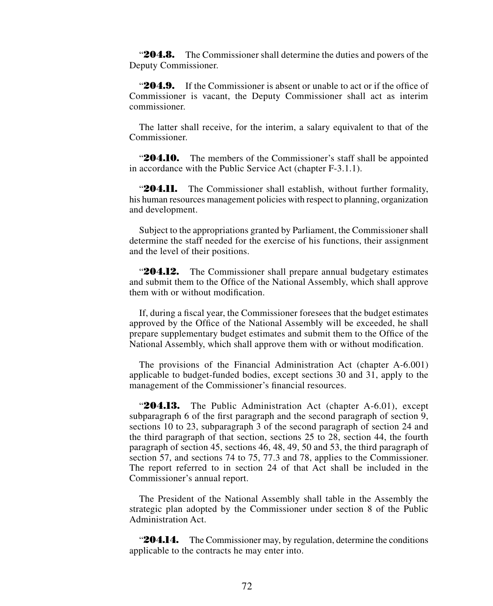"**204.8.** The Commissioner shall determine the duties and powers of the Deputy Commissioner.

"**204.9.** If the Commissioner is absent or unable to act or if the office of Commissioner is vacant, the Deputy Commissioner shall act as interim commissioner.

The latter shall receive, for the interim, a salary equivalent to that of the Commissioner.

"204.10. The members of the Commissioner's staff shall be appointed in accordance with the Public Service Act (chapter F-3.1.1).

"**204.11.** The Commissioner shall establish, without further formality, his human resources management policies with respect to planning, organization and development.

Subject to the appropriations granted by Parliament, the Commissioner shall determine the staff needed for the exercise of his functions, their assignment and the level of their positions.

"**204.12.** The Commissioner shall prepare annual budgetary estimates and submit them to the Office of the National Assembly, which shall approve them with or without modification.

If, during a fiscal year, the Commissioner foresees that the budget estimates approved by the Office of the National Assembly will be exceeded, he shall prepare supplementary budget estimates and submit them to the Office of the National Assembly, which shall approve them with or without modification.

The provisions of the Financial Administration Act (chapter A-6.001) applicable to budget-funded bodies, except sections 30 and 31, apply to the management of the Commissioner's financial resources.

"204.13. The Public Administration Act (chapter A-6.01), except subparagraph 6 of the first paragraph and the second paragraph of section 9, sections 10 to 23, subparagraph 3 of the second paragraph of section 24 and the third paragraph of that section, sections 25 to 28, section 44, the fourth paragraph of section 45, sections 46, 48, 49, 50 and 53, the third paragraph of section 57, and sections 74 to 75, 77.3 and 78, applies to the Commissioner. The report referred to in section 24 of that Act shall be included in the Commissioner's annual report.

The President of the National Assembly shall table in the Assembly the strategic plan adopted by the Commissioner under section 8 of the Public Administration Act.

**204.14.** The Commissioner may, by regulation, determine the conditions applicable to the contracts he may enter into.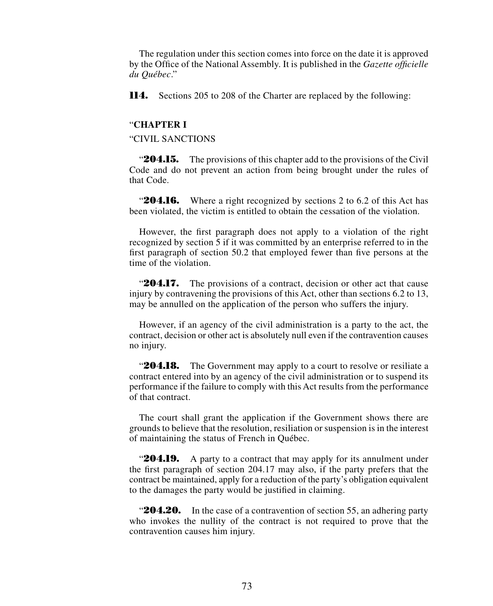The regulation under this section comes into force on the date it is approved by the Office of the National Assembly. It is published in the *Gazette officielle du Québec*."

**114.** Sections 205 to 208 of the Charter are replaced by the following:

#### "**CHAPTER I**

"CIVIL SANCTIONS

"**204.15.** The provisions of this chapter add to the provisions of the Civil Code and do not prevent an action from being brought under the rules of that Code.

**204.16.** Where a right recognized by sections 2 to 6.2 of this Act has been violated, the victim is entitled to obtain the cessation of the violation.

However, the first paragraph does not apply to a violation of the right recognized by section 5 if it was committed by an enterprise referred to in the first paragraph of section 50.2 that employed fewer than five persons at the time of the violation.

"**204.17.** The provisions of a contract, decision or other act that cause injury by contravening the provisions of this Act, other than sections 6.2 to 13, may be annulled on the application of the person who suffers the injury.

However, if an agency of the civil administration is a party to the act, the contract, decision or other act is absolutely null even if the contravention causes no injury.

"**204.18.** The Government may apply to a court to resolve or resiliate a contract entered into by an agency of the civil administration or to suspend its performance if the failure to comply with this Act results from the performance of that contract.

The court shall grant the application if the Government shows there are grounds to believe that the resolution, resiliation or suspension is in the interest of maintaining the status of French in Québec.

**204.19.** A party to a contract that may apply for its annulment under the first paragraph of section 204.17 may also, if the party prefers that the contract be maintained, apply for a reduction of the party's obligation equivalent to the damages the party would be justified in claiming.

**204.20.** In the case of a contravention of section 55, an adhering party who invokes the nullity of the contract is not required to prove that the contravention causes him injury.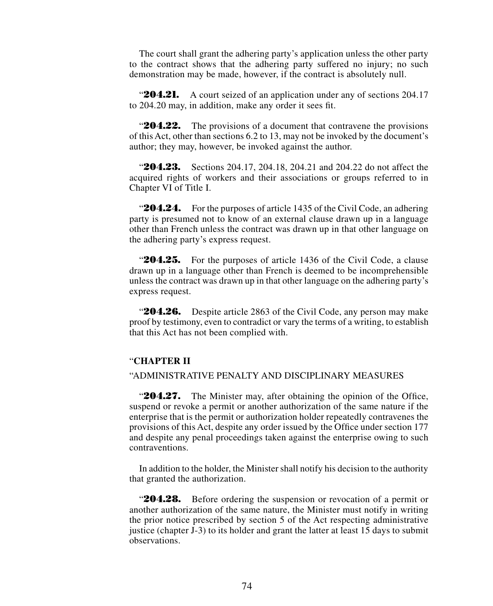The court shall grant the adhering party's application unless the other party to the contract shows that the adhering party suffered no injury; no such demonstration may be made, however, if the contract is absolutely null.

**204.21.** A court seized of an application under any of sections 204.17 to 204.20 may, in addition, make any order it sees fit.

**204.22.** The provisions of a document that contravene the provisions of this Act, other than sections 6.2 to 13, may not be invoked by the document's author; they may, however, be invoked against the author.

"**204.23.** Sections 204.17, 204.18, 204.21 and 204.22 do not affect the acquired rights of workers and their associations or groups referred to in Chapter VI of Title I.

"**204.24.** For the purposes of article 1435 of the Civil Code, an adhering party is presumed not to know of an external clause drawn up in a language other than French unless the contract was drawn up in that other language on the adhering party's express request.

"**204.25.** For the purposes of article 1436 of the Civil Code, a clause drawn up in a language other than French is deemed to be incomprehensible unless the contract was drawn up in that other language on the adhering party's express request.

"**204.26.** Despite article 2863 of the Civil Code, any person may make proof by testimony, even to contradict or vary the terms of a writing, to establish that this Act has not been complied with.

#### "**CHAPTER II**

### "ADMINISTRATIVE PENALTY AND DISCIPLINARY MEASURES

"**204.27.** The Minister may, after obtaining the opinion of the Office, suspend or revoke a permit or another authorization of the same nature if the enterprise that is the permit or authorization holder repeatedly contravenes the provisions of this Act, despite any order issued by the Office under section 177 and despite any penal proceedings taken against the enterprise owing to such contraventions.

In addition to the holder, the Minister shall notify his decision to the authority that granted the authorization.

"**204.28.** Before ordering the suspension or revocation of a permit or another authorization of the same nature, the Minister must notify in writing the prior notice prescribed by section 5 of the Act respecting administrative justice (chapter J-3) to its holder and grant the latter at least 15 days to submit observations.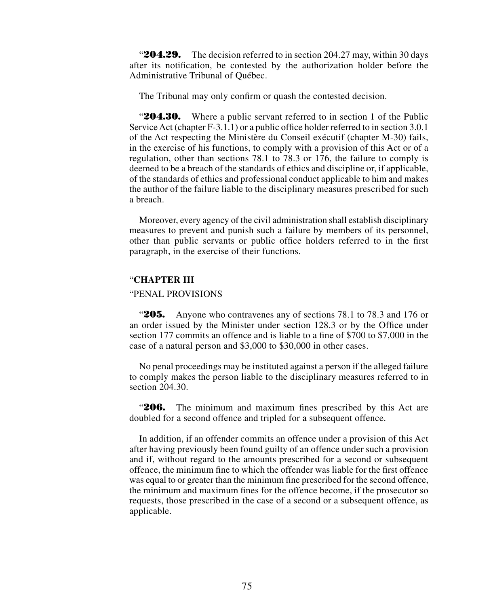"**204.29.** The decision referred to in section 204.27 may, within 30 days after its notification, be contested by the authorization holder before the Administrative Tribunal of Québec.

The Tribunal may only confirm or quash the contested decision.

**204.30.** Where a public servant referred to in section 1 of the Public Service Act (chapter F-3.1.1) or a public office holder referred to in section 3.0.1 of the Act respecting the Ministère du Conseil exécutif (chapter M-30) fails, in the exercise of his functions, to comply with a provision of this Act or of a regulation, other than sections 78.1 to 78.3 or 176, the failure to comply is deemed to be a breach of the standards of ethics and discipline or, if applicable, of the standards of ethics and professional conduct applicable to him and makes the author of the failure liable to the disciplinary measures prescribed for such a breach.

Moreover, every agency of the civil administration shall establish disciplinary measures to prevent and punish such a failure by members of its personnel, other than public servants or public office holders referred to in the first paragraph, in the exercise of their functions.

### "**CHAPTER III**

### "PENAL PROVISIONS

"**205.** Anyone who contravenes any of sections 78.1 to 78.3 and 176 or an order issued by the Minister under section 128.3 or by the Office under section 177 commits an offence and is liable to a fine of \$700 to \$7,000 in the case of a natural person and \$3,000 to \$30,000 in other cases.

No penal proceedings may be instituted against a person if the alleged failure to comply makes the person liable to the disciplinary measures referred to in section 204.30.

"**206.** The minimum and maximum fines prescribed by this Act are doubled for a second offence and tripled for a subsequent offence.

In addition, if an offender commits an offence under a provision of this Act after having previously been found guilty of an offence under such a provision and if, without regard to the amounts prescribed for a second or subsequent offence, the minimum fine to which the offender was liable for the first offence was equal to or greater than the minimum fine prescribed for the second offence, the minimum and maximum fines for the offence become, if the prosecutor so requests, those prescribed in the case of a second or a subsequent offence, as applicable.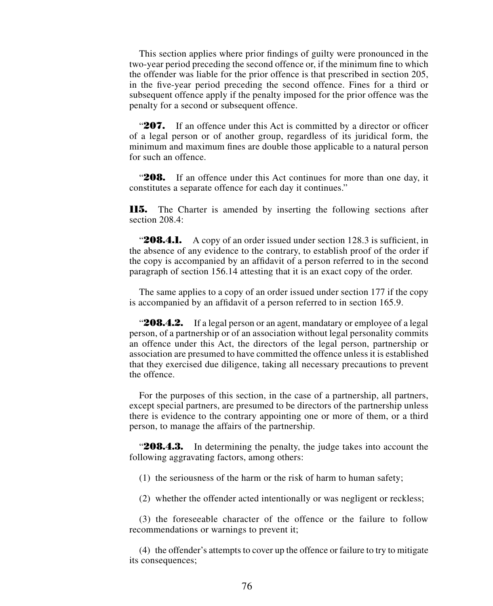This section applies where prior findings of guilty were pronounced in the two-year period preceding the second offence or, if the minimum fine to which the offender was liable for the prior offence is that prescribed in section 205, in the five-year period preceding the second offence. Fines for a third or subsequent offence apply if the penalty imposed for the prior offence was the penalty for a second or subsequent offence.

"**207.** If an offence under this Act is committed by a director or officer of a legal person or of another group, regardless of its juridical form, the minimum and maximum fines are double those applicable to a natural person for such an offence.

"208. If an offence under this Act continues for more than one day, it constitutes a separate offence for each day it continues."

**115.** The Charter is amended by inserting the following sections after section 208.4:

"**208.4.1.** A copy of an order issued under section 128.3 is sufficient, in the absence of any evidence to the contrary, to establish proof of the order if the copy is accompanied by an affidavit of a person referred to in the second paragraph of section 156.14 attesting that it is an exact copy of the order.

The same applies to a copy of an order issued under section 177 if the copy is accompanied by an affidavit of a person referred to in section 165.9.

**208.4.2.** If a legal person or an agent, mandatary or employee of a legal person, of a partnership or of an association without legal personality commits an offence under this Act, the directors of the legal person, partnership or association are presumed to have committed the offence unless it is established that they exercised due diligence, taking all necessary precautions to prevent the offence.

For the purposes of this section, in the case of a partnership, all partners, except special partners, are presumed to be directors of the partnership unless there is evidence to the contrary appointing one or more of them, or a third person, to manage the affairs of the partnership.

"**208.4.3.** In determining the penalty, the judge takes into account the following aggravating factors, among others:

(1) the seriousness of the harm or the risk of harm to human safety;

(2) whether the offender acted intentionally or was negligent or reckless;

(3) the foreseeable character of the offence or the failure to follow recommendations or warnings to prevent it;

(4) the offender's attempts to cover up the offence or failure to try to mitigate its consequences;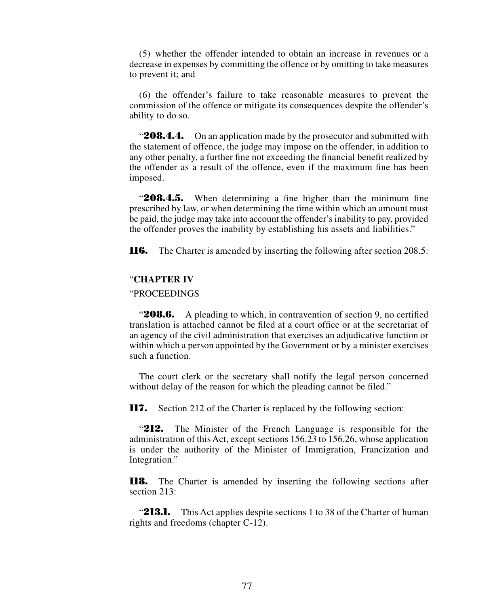(5) whether the offender intended to obtain an increase in revenues or a decrease in expenses by committing the offence or by omitting to take measures to prevent it; and

(6) the offender's failure to take reasonable measures to prevent the commission of the offence or mitigate its consequences despite the offender's ability to do so.

"**208.4.4.** On an application made by the prosecutor and submitted with the statement of offence, the judge may impose on the offender, in addition to any other penalty, a further fine not exceeding the financial benefit realized by the offender as a result of the offence, even if the maximum fine has been imposed.

"**208.4.5.** When determining a fine higher than the minimum fine prescribed by law, or when determining the time within which an amount must be paid, the judge may take into account the offender's inability to pay, provided the offender proves the inability by establishing his assets and liabilities."

**116.** The Charter is amended by inserting the following after section 208.5:

#### "**CHAPTER IV**

## "PROCEEDINGS

**208.6.** A pleading to which, in contravention of section 9, no certified translation is attached cannot be filed at a court office or at the secretariat of an agency of the civil administration that exercises an adjudicative function or within which a person appointed by the Government or by a minister exercises such a function.

The court clerk or the secretary shall notify the legal person concerned without delay of the reason for which the pleading cannot be filed."

**117.** Section 212 of the Charter is replaced by the following section:

"**212.** The Minister of the French Language is responsible for the administration of this Act, except sections 156.23 to 156.26, whose application is under the authority of the Minister of Immigration, Francization and Integration."

**118.** The Charter is amended by inserting the following sections after section 213:

**213.1.** This Act applies despite sections 1 to 38 of the Charter of human rights and freedoms (chapter C-12).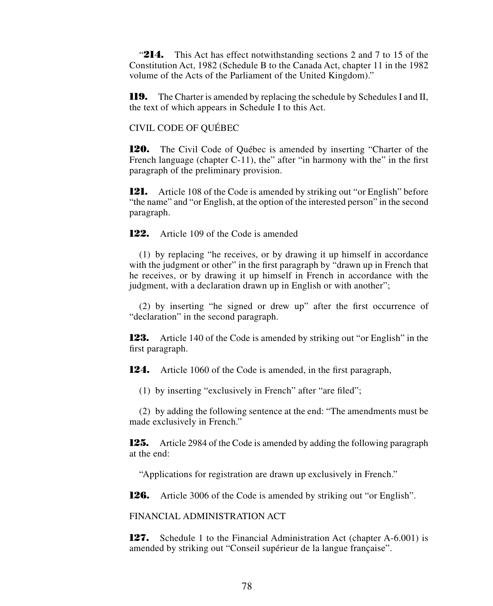"214. This Act has effect notwithstanding sections 2 and 7 to 15 of the Constitution Act, 1982 (Schedule B to the Canada Act, chapter 11 in the 1982 volume of the Acts of the Parliament of the United Kingdom)."

**119.** The Charter is amended by replacing the schedule by Schedules I and II, the text of which appears in Schedule I to this Act.

CIVIL CODE OF QUÉBEC

**120.** The Civil Code of Québec is amended by inserting "Charter of the French language (chapter C-11), the" after "in harmony with the" in the first paragraph of the preliminary provision.

**121.** Article 108 of the Code is amended by striking out "or English" before "the name" and "or English, at the option of the interested person" in the second paragraph.

**122.** Article 109 of the Code is amended

(1) by replacing "he receives, or by drawing it up himself in accordance with the judgment or other" in the first paragraph by "drawn up in French that he receives, or by drawing it up himself in French in accordance with the judgment, with a declaration drawn up in English or with another";

(2) by inserting "he signed or drew up" after the first occurrence of "declaration" in the second paragraph.

**123.** Article 140 of the Code is amended by striking out "or English" in the first paragraph.

**124.** Article 1060 of the Code is amended, in the first paragraph,

(1) by inserting "exclusively in French" after "are filed";

(2) by adding the following sentence at the end: "The amendments must be made exclusively in French."

**125.** Article 2984 of the Code is amended by adding the following paragraph at the end:

"Applications for registration are drawn up exclusively in French."

**126.** Article 3006 of the Code is amended by striking out "or English".

FINANCIAL ADMINISTRATION ACT

**127.** Schedule 1 to the Financial Administration Act (chapter A-6.001) is amended by striking out "Conseil supérieur de la langue française".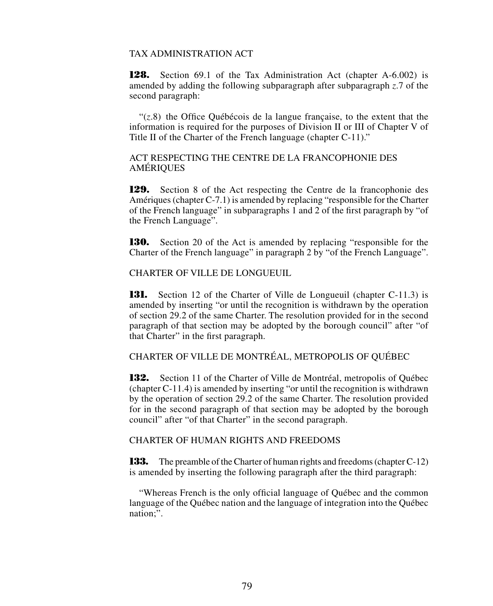## TAX ADMINISTRATION ACT

**128.** Section 69.1 of the Tax Administration Act (chapter A-6.002) is amended by adding the following subparagraph after subparagraph *z*.7 of the second paragraph:

"(*z*.8) the Office Québécois de la langue française, to the extent that the information is required for the purposes of Division II or III of Chapter V of Title II of the Charter of the French language (chapter C-11)."

ACT RESPECTING THE CENTRE DE LA FRANCOPHONIE DES AMÉRIQUES

**129.** Section 8 of the Act respecting the Centre de la francophonie des Amériques (chapter C-7.1) is amended by replacing "responsible for the Charter of the French language" in subparagraphs 1 and 2 of the first paragraph by "of the French Language".

**130.** Section 20 of the Act is amended by replacing "responsible for the Charter of the French language" in paragraph 2 by "of the French Language".

CHARTER OF VILLE DE LONGUEUIL

**131.** Section 12 of the Charter of Ville de Longueuil (chapter C-11.3) is amended by inserting "or until the recognition is withdrawn by the operation of section 29.2 of the same Charter. The resolution provided for in the second paragraph of that section may be adopted by the borough council" after "of that Charter" in the first paragraph.

CHARTER OF VILLE DE MONTRÉAL, METROPOLIS OF QUÉBEC

**132.** Section 11 of the Charter of Ville de Montréal, metropolis of Québec (chapter C-11.4) is amended by inserting "or until the recognition is withdrawn by the operation of section 29.2 of the same Charter. The resolution provided for in the second paragraph of that section may be adopted by the borough council" after "of that Charter" in the second paragraph.

## CHARTER OF HUMAN RIGHTS AND FREEDOMS

**133.** The preamble of the Charter of human rights and freedoms (chapter C-12) is amended by inserting the following paragraph after the third paragraph:

"Whereas French is the only official language of Québec and the common language of the Québec nation and the language of integration into the Québec nation;".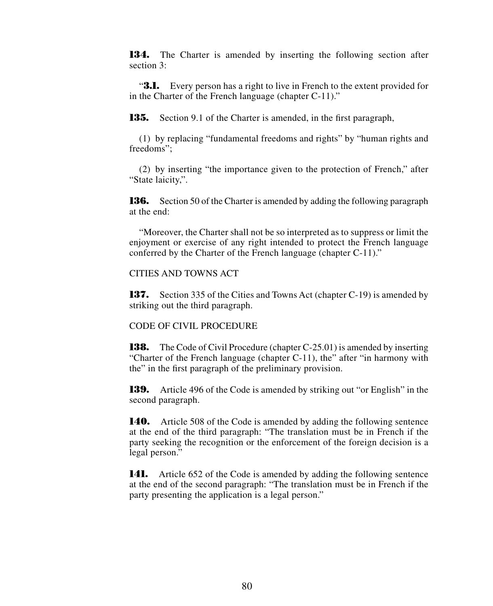**134.** The Charter is amended by inserting the following section after section 3:

"**3.1.** Every person has a right to live in French to the extent provided for in the Charter of the French language (chapter C-11)."

**135.** Section 9.1 of the Charter is amended, in the first paragraph,

(1) by replacing "fundamental freedoms and rights" by "human rights and freedoms";

(2) by inserting "the importance given to the protection of French," after "State laicity,".

**136.** Section 50 of the Charter is amended by adding the following paragraph at the end:

"Moreover, the Charter shall not be so interpreted as to suppress or limit the enjoyment or exercise of any right intended to protect the French language conferred by the Charter of the French language (chapter C-11)."

CITIES AND TOWNS ACT

**137.** Section 335 of the Cities and Towns Act (chapter C-19) is amended by striking out the third paragraph.

CODE OF CIVIL PROCEDURE

**138.** The Code of Civil Procedure (chapter C-25.01) is amended by inserting "Charter of the French language (chapter C-11), the" after "in harmony with the" in the first paragraph of the preliminary provision.

**139.** Article 496 of the Code is amended by striking out "or English" in the second paragraph.

**140.** Article 508 of the Code is amended by adding the following sentence at the end of the third paragraph: "The translation must be in French if the party seeking the recognition or the enforcement of the foreign decision is a legal person."

**141.** Article 652 of the Code is amended by adding the following sentence at the end of the second paragraph: "The translation must be in French if the party presenting the application is a legal person."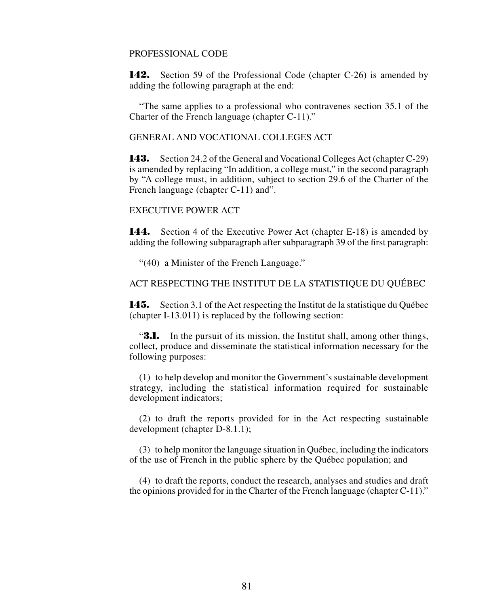### PROFESSIONAL CODE

**142.** Section 59 of the Professional Code (chapter C-26) is amended by adding the following paragraph at the end:

"The same applies to a professional who contravenes section 35.1 of the Charter of the French language (chapter C-11)."

GENERAL AND VOCATIONAL COLLEGES ACT

**143.** Section 24.2 of the General and Vocational Colleges Act (chapter C-29) is amended by replacing "In addition, a college must," in the second paragraph by "A college must, in addition, subject to section 29.6 of the Charter of the French language (chapter C-11) and".

## EXECUTIVE POWER ACT

**144.** Section 4 of the Executive Power Act (chapter E-18) is amended by adding the following subparagraph after subparagraph 39 of the first paragraph:

"(40) a Minister of the French Language."

ACT RESPECTING THE INSTITUT DE LA STATISTIQUE DU QUÉBEC

**145.** Section 3.1 of the Act respecting the Institut de la statistique du Québec (chapter I-13.011) is replaced by the following section:

**3.1.** In the pursuit of its mission, the Institut shall, among other things, collect, produce and disseminate the statistical information necessary for the following purposes:

(1) to help develop and monitor the Government's sustainable development strategy, including the statistical information required for sustainable development indicators;

(2) to draft the reports provided for in the Act respecting sustainable development (chapter D-8.1.1);

(3) to help monitor the language situation in Québec, including the indicators of the use of French in the public sphere by the Québec population; and

(4) to draft the reports, conduct the research, analyses and studies and draft the opinions provided for in the Charter of the French language (chapter C-11)."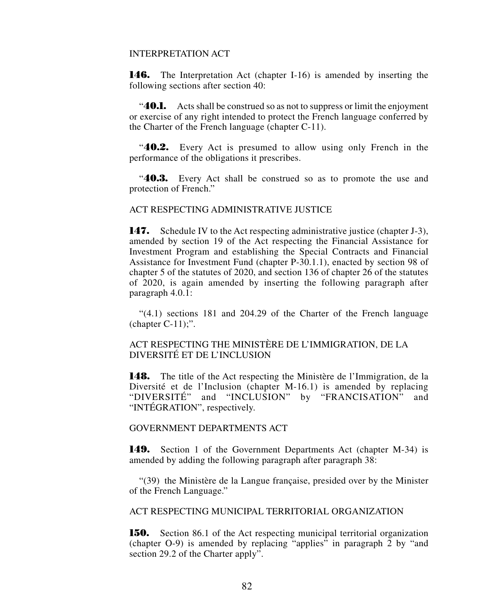## INTERPRETATION ACT

**146.** The Interpretation Act (chapter I-16) is amended by inserting the following sections after section 40:

"**40.1.** Acts shall be construed so as not to suppress or limit the enjoyment or exercise of any right intended to protect the French language conferred by the Charter of the French language (chapter C-11).

"**40.2.** Every Act is presumed to allow using only French in the performance of the obligations it prescribes.

"**40.3.** Every Act shall be construed so as to promote the use and protection of French."

# ACT RESPECTING ADMINISTRATIVE JUSTICE

**147.** Schedule IV to the Act respecting administrative justice (chapter J-3), amended by section 19 of the Act respecting the Financial Assistance for Investment Program and establishing the Special Contracts and Financial Assistance for Investment Fund (chapter P-30.1.1), enacted by section 98 of chapter 5 of the statutes of 2020, and section 136 of chapter 26 of the statutes of 2020, is again amended by inserting the following paragraph after paragraph 4.0.1:

"(4.1) sections 181 and 204.29 of the Charter of the French language (chapter  $C-11$ );".

# ACT RESPECTING THE MINISTÈRE DE L'IMMIGRATION, DE LA DIVERSITÉ ET DE L'INCLUSION

**148.** The title of the Act respecting the Ministère de l'Immigration, de la Diversité et de l'Inclusion (chapter M-16.1) is amended by replacing "DIVERSITÉ" and "INCLUSION" by "FRANCISATION" and "INTÉGRATION", respectively.

## GOVERNMENT DEPARTMENTS ACT

**149.** Section 1 of the Government Departments Act (chapter M-34) is amended by adding the following paragraph after paragraph 38:

"(39) the Ministère de la Langue française, presided over by the Minister of the French Language."

ACT RESPECTING MUNICIPAL TERRITORIAL ORGANIZATION

**150.** Section 86.1 of the Act respecting municipal territorial organization (chapter O-9) is amended by replacing "applies" in paragraph 2 by "and section 29.2 of the Charter apply".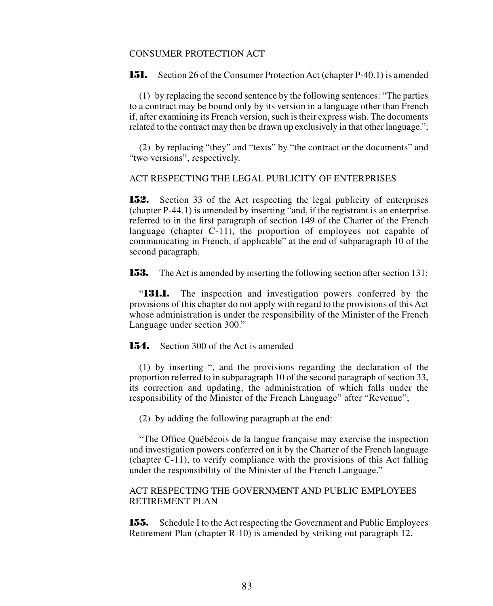#### CONSUMER PROTECTION ACT

**151.** Section 26 of the Consumer Protection Act (chapter P-40.1) is amended

(1) by replacing the second sentence by the following sentences: "The parties to a contract may be bound only by its version in a language other than French if, after examining its French version, such is their express wish. The documents related to the contract may then be drawn up exclusively in that other language.";

(2) by replacing "they" and "texts" by "the contract or the documents" and "two versions", respectively.

### ACT RESPECTING THE LEGAL PUBLICITY OF ENTERPRISES

**152.** Section 33 of the Act respecting the legal publicity of enterprises (chapter P-44.1) is amended by inserting "and, if the registrant is an enterprise referred to in the first paragraph of section 149 of the Charter of the French language (chapter C-11), the proportion of employees not capable of communicating in French, if applicable" at the end of subparagraph 10 of the second paragraph.

**153.** The Act is amended by inserting the following section after section 131:

"**131.1.** The inspection and investigation powers conferred by the provisions of this chapter do not apply with regard to the provisions of this Act whose administration is under the responsibility of the Minister of the French Language under section 300."

#### **154.** Section 300 of the Act is amended

(1) by inserting ", and the provisions regarding the declaration of the proportion referred to in subparagraph 10 of the second paragraph of section 33, its correction and updating, the administration of which falls under the responsibility of the Minister of the French Language" after "Revenue";

(2) by adding the following paragraph at the end:

"The Office Québécois de la langue française may exercise the inspection and investigation powers conferred on it by the Charter of the French language (chapter C-11), to verify compliance with the provisions of this Act falling under the responsibility of the Minister of the French Language."

#### ACT RESPECTING THE GOVERNMENT AND PUBLIC EMPLOYEES RETIREMENT PLAN

**155.** Schedule I to the Act respecting the Government and Public Employees Retirement Plan (chapter R-10) is amended by striking out paragraph 12.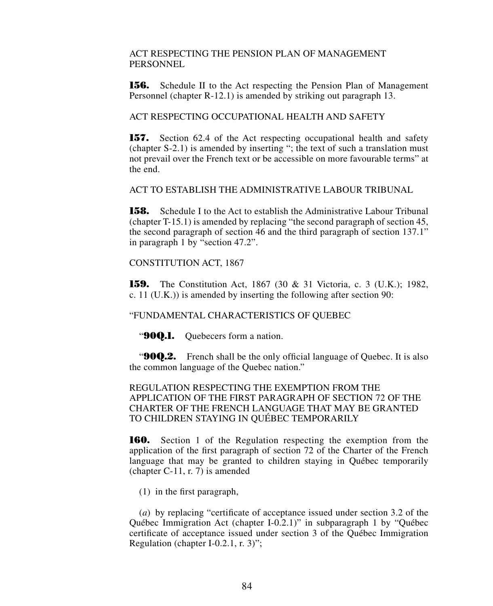ACT RESPECTING THE PENSION PLAN OF MANAGEMENT **PERSONNEL** 

**156.** Schedule II to the Act respecting the Pension Plan of Management Personnel (chapter R-12.1) is amended by striking out paragraph 13.

ACT RESPECTING OCCUPATIONAL HEALTH AND SAFETY

**157.** Section 62.4 of the Act respecting occupational health and safety (chapter S-2.1) is amended by inserting "; the text of such a translation must not prevail over the French text or be accessible on more favourable terms" at the end.

ACT TO ESTABLISH THE ADMINISTRATIVE LABOUR TRIBUNAL

**158.** Schedule I to the Act to establish the Administrative Labour Tribunal (chapter T-15.1) is amended by replacing "the second paragraph of section 45, the second paragraph of section 46 and the third paragraph of section 137.1" in paragraph 1 by "section 47.2".

CONSTITUTION ACT, 1867

**159.** The Constitution Act, 1867 (30 & 31 Victoria, c. 3 (U.K.); 1982, c. 11 (U.K.)) is amended by inserting the following after section 90:

"FUNDAMENTAL CHARACTERISTICS OF QUEBEC

"**90Q.1.** Quebecers form a nation.

**"90Q.2.** French shall be the only official language of Quebec. It is also the common language of the Quebec nation."

REGULATION RESPECTING THE EXEMPTION FROM THE APPLICATION OF THE FIRST PARAGRAPH OF SECTION 72 OF THE CHARTER OF THE FRENCH LANGUAGE THAT MAY BE GRANTED TO CHILDREN STAYING IN QUÉBEC TEMPORARILY

**160.** Section 1 of the Regulation respecting the exemption from the application of the first paragraph of section 72 of the Charter of the French language that may be granted to children staying in Québec temporarily (chapter C-11, r. 7) is amended

(1) in the first paragraph,

(*a*) by replacing "certificate of acceptance issued under section 3.2 of the Québec Immigration Act (chapter I-0.2.1)" in subparagraph 1 by "Québec certificate of acceptance issued under section 3 of the Québec Immigration Regulation (chapter I-0.2.1, r. 3)";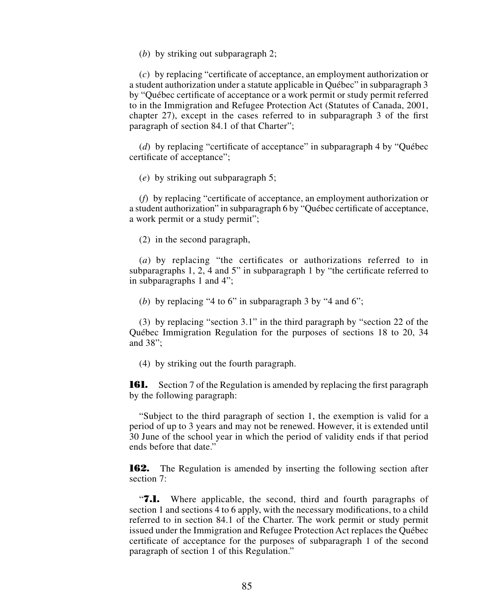(*b*) by striking out subparagraph 2;

(*c*) by replacing "certificate of acceptance, an employment authorization or a student authorization under a statute applicable in Québec" in subparagraph 3 by "Québec certificate of acceptance or a work permit or study permit referred to in the Immigration and Refugee Protection Act (Statutes of Canada, 2001, chapter 27), except in the cases referred to in subparagraph 3 of the first paragraph of section 84.1 of that Charter";

(*d*) by replacing "certificate of acceptance" in subparagraph 4 by "Québec certificate of acceptance";

(*e*) by striking out subparagraph 5;

(*f*) by replacing "certificate of acceptance, an employment authorization or a student authorization" in subparagraph 6 by "Québec certificate of acceptance, a work permit or a study permit";

(2) in the second paragraph,

(*a*) by replacing "the certificates or authorizations referred to in subparagraphs 1, 2, 4 and 5" in subparagraph 1 by "the certificate referred to in subparagraphs 1 and 4";

(*b*) by replacing "4 to 6" in subparagraph 3 by "4 and 6";

(3) by replacing "section 3.1" in the third paragraph by "section 22 of the Québec Immigration Regulation for the purposes of sections 18 to 20, 34 and 38";

(4) by striking out the fourth paragraph.

**161.** Section 7 of the Regulation is amended by replacing the first paragraph by the following paragraph:

"Subject to the third paragraph of section 1, the exemption is valid for a period of up to 3 years and may not be renewed. However, it is extended until 30 June of the school year in which the period of validity ends if that period ends before that date."

**162.** The Regulation is amended by inserting the following section after section 7:

"**7.1.** Where applicable, the second, third and fourth paragraphs of section 1 and sections 4 to 6 apply, with the necessary modifications, to a child referred to in section 84.1 of the Charter. The work permit or study permit issued under the Immigration and Refugee Protection Act replaces the Québec certificate of acceptance for the purposes of subparagraph 1 of the second paragraph of section 1 of this Regulation."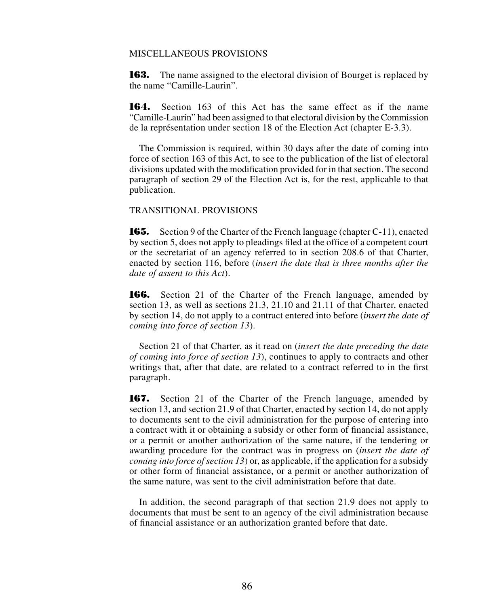#### MISCELLANEOUS PROVISIONS

**163.** The name assigned to the electoral division of Bourget is replaced by the name "Camille-Laurin".

**164.** Section 163 of this Act has the same effect as if the name "Camille-Laurin" had been assigned to that electoral division by the Commission de la représentation under section 18 of the Election Act (chapter E-3.3).

The Commission is required, within 30 days after the date of coming into force of section 163 of this Act, to see to the publication of the list of electoral divisions updated with the modification provided for in that section. The second paragraph of section 29 of the Election Act is, for the rest, applicable to that publication.

## TRANSITIONAL PROVISIONS

**165.** Section 9 of the Charter of the French language (chapter C-11), enacted by section 5, does not apply to pleadings filed at the office of a competent court or the secretariat of an agency referred to in section 208.6 of that Charter, enacted by section 116, before (*insert the date that is three months after the date of assent to this Act*).

**166.** Section 21 of the Charter of the French language, amended by section 13, as well as sections 21.3, 21.10 and 21.11 of that Charter, enacted by section 14, do not apply to a contract entered into before (*insert the date of coming into force of section 13*).

Section 21 of that Charter, as it read on (*insert the date preceding the date of coming into force of section 13*), continues to apply to contracts and other writings that, after that date, are related to a contract referred to in the first paragraph.

**167.** Section 21 of the Charter of the French language, amended by section 13, and section 21.9 of that Charter, enacted by section 14, do not apply to documents sent to the civil administration for the purpose of entering into a contract with it or obtaining a subsidy or other form of financial assistance, or a permit or another authorization of the same nature, if the tendering or awarding procedure for the contract was in progress on (*insert the date of coming into force of section 13*) or, as applicable, if the application for a subsidy or other form of financial assistance, or a permit or another authorization of the same nature, was sent to the civil administration before that date.

In addition, the second paragraph of that section 21.9 does not apply to documents that must be sent to an agency of the civil administration because of financial assistance or an authorization granted before that date.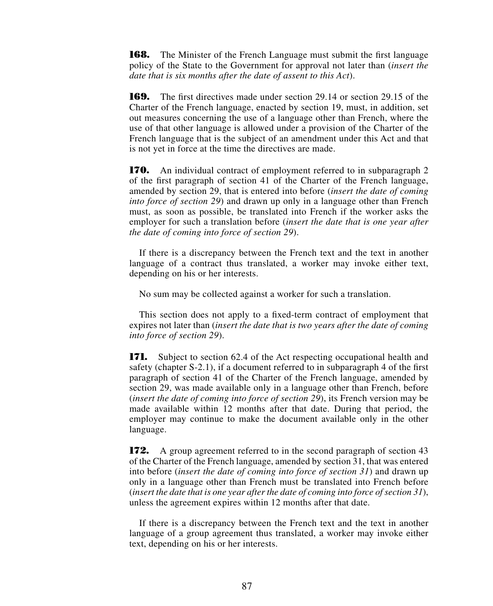**168.** The Minister of the French Language must submit the first language policy of the State to the Government for approval not later than (*insert the date that is six months after the date of assent to this Act*).

**169.** The first directives made under section 29.14 or section 29.15 of the Charter of the French language, enacted by section 19, must, in addition, set out measures concerning the use of a language other than French, where the use of that other language is allowed under a provision of the Charter of the French language that is the subject of an amendment under this Act and that is not yet in force at the time the directives are made.

**170.** An individual contract of employment referred to in subparagraph 2 of the first paragraph of section 41 of the Charter of the French language, amended by section 29, that is entered into before (*insert the date of coming into force of section 29*) and drawn up only in a language other than French must, as soon as possible, be translated into French if the worker asks the employer for such a translation before (*insert the date that is one year after the date of coming into force of section 29*).

If there is a discrepancy between the French text and the text in another language of a contract thus translated, a worker may invoke either text, depending on his or her interests.

No sum may be collected against a worker for such a translation.

This section does not apply to a fixed-term contract of employment that expires not later than (*insert the date that is two years after the date of coming into force of section 29*).

**171.** Subject to section 62.4 of the Act respecting occupational health and safety (chapter S-2.1), if a document referred to in subparagraph 4 of the first paragraph of section 41 of the Charter of the French language, amended by section 29, was made available only in a language other than French, before (*insert the date of coming into force of section 29*), its French version may be made available within 12 months after that date. During that period, the employer may continue to make the document available only in the other language.

**172.** A group agreement referred to in the second paragraph of section 43 of the Charter of the French language, amended by section 31, that was entered into before (*insert the date of coming into force of section 31*) and drawn up only in a language other than French must be translated into French before (*insert the date that is one year after the date of coming into force of section 31*), unless the agreement expires within 12 months after that date.

If there is a discrepancy between the French text and the text in another language of a group agreement thus translated, a worker may invoke either text, depending on his or her interests.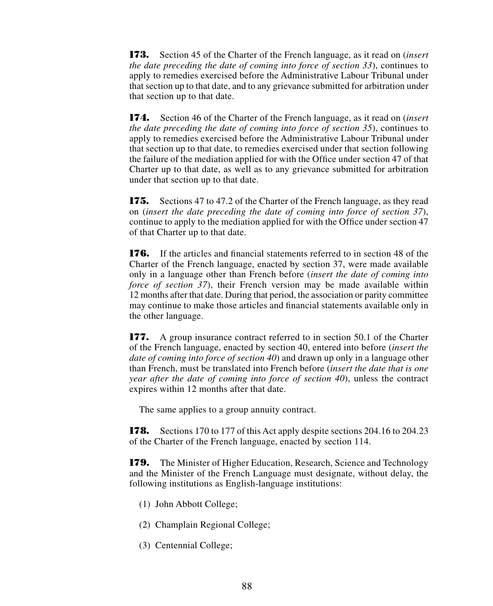**173.** Section 45 of the Charter of the French language, as it read on (*insert the date preceding the date of coming into force of section 33*), continues to apply to remedies exercised before the Administrative Labour Tribunal under that section up to that date, and to any grievance submitted for arbitration under that section up to that date.

**174.** Section 46 of the Charter of the French language, as it read on (*insert the date preceding the date of coming into force of section 35*), continues to apply to remedies exercised before the Administrative Labour Tribunal under that section up to that date, to remedies exercised under that section following the failure of the mediation applied for with the Office under section 47 of that Charter up to that date, as well as to any grievance submitted for arbitration under that section up to that date.

**175.** Sections 47 to 47.2 of the Charter of the French language, as they read on (*insert the date preceding the date of coming into force of section 37*), continue to apply to the mediation applied for with the Office under section 47 of that Charter up to that date.

**176.** If the articles and financial statements referred to in section 48 of the Charter of the French language, enacted by section 37, were made available only in a language other than French before (*insert the date of coming into force of section 37*), their French version may be made available within 12 months after that date. During that period, the association or parity committee may continue to make those articles and financial statements available only in the other language.

**177.** A group insurance contract referred to in section 50.1 of the Charter of the French language, enacted by section 40, entered into before (*insert the date of coming into force of section 40*) and drawn up only in a language other than French, must be translated into French before (*insert the date that is one year after the date of coming into force of section 40*), unless the contract expires within 12 months after that date.

The same applies to a group annuity contract.

**178.** Sections 170 to 177 of this Act apply despite sections 204.16 to 204.23 of the Charter of the French language, enacted by section 114.

**179.** The Minister of Higher Education, Research, Science and Technology and the Minister of the French Language must designate, without delay, the following institutions as English-language institutions:

- (1) John Abbott College;
- (2) Champlain Regional College;
- (3) Centennial College;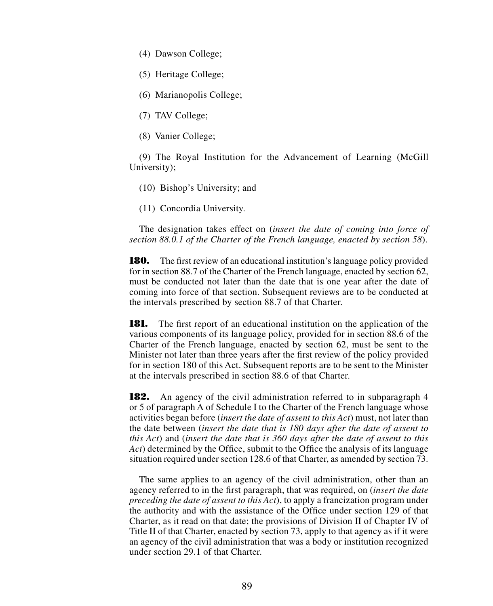- (4) Dawson College;
- (5) Heritage College;
- (6) Marianopolis College;
- (7) TAV College;
- (8) Vanier College;

(9) The Royal Institution for the Advancement of Learning (McGill University);

- (10) Bishop's University; and
- (11) Concordia University.

The designation takes effect on (*insert the date of coming into force of section 88.0.1 of the Charter of the French language, enacted by section 58*).

**180.** The first review of an educational institution's language policy provided for in section 88.7 of the Charter of the French language, enacted by section 62, must be conducted not later than the date that is one year after the date of coming into force of that section. Subsequent reviews are to be conducted at the intervals prescribed by section 88.7 of that Charter.

**181.** The first report of an educational institution on the application of the various components of its language policy, provided for in section 88.6 of the Charter of the French language, enacted by section 62, must be sent to the Minister not later than three years after the first review of the policy provided for in section 180 of this Act. Subsequent reports are to be sent to the Minister at the intervals prescribed in section 88.6 of that Charter.

**182.** An agency of the civil administration referred to in subparagraph 4 or 5 of paragraph A of Schedule I to the Charter of the French language whose activities began before (*insert the date of assent to this Act*) must, not later than the date between (*insert the date that is 180 days after the date of assent to this Act*) and (*insert the date that is 360 days after the date of assent to this Act*) determined by the Office, submit to the Office the analysis of its language situation required under section 128.6 of that Charter, as amended by section 73.

The same applies to an agency of the civil administration, other than an agency referred to in the first paragraph, that was required, on (*insert the date preceding the date of assent to this Act*), to apply a francization program under the authority and with the assistance of the Office under section 129 of that Charter, as it read on that date; the provisions of Division II of Chapter IV of Title II of that Charter, enacted by section 73, apply to that agency as if it were an agency of the civil administration that was a body or institution recognized under section 29.1 of that Charter.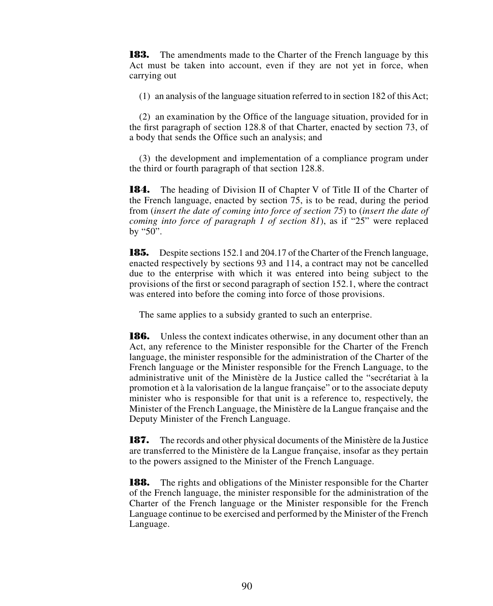**183.** The amendments made to the Charter of the French language by this Act must be taken into account, even if they are not yet in force, when carrying out

 $(1)$  an analysis of the language situation referred to in section 182 of this Act;

(2) an examination by the Office of the language situation, provided for in the first paragraph of section 128.8 of that Charter, enacted by section 73, of a body that sends the Office such an analysis; and

(3) the development and implementation of a compliance program under the third or fourth paragraph of that section 128.8.

**184.** The heading of Division II of Chapter V of Title II of the Charter of the French language, enacted by section 75, is to be read, during the period from (*insert the date of coming into force of section 75*) to (*insert the date of coming into force of paragraph 1 of section 81*), as if "25" were replaced by "50".

**185.** Despite sections 152.1 and 204.17 of the Charter of the French language, enacted respectively by sections 93 and 114, a contract may not be cancelled due to the enterprise with which it was entered into being subject to the provisions of the first or second paragraph of section 152.1, where the contract was entered into before the coming into force of those provisions.

The same applies to a subsidy granted to such an enterprise.

**186.** Unless the context indicates otherwise, in any document other than an Act, any reference to the Minister responsible for the Charter of the French language, the minister responsible for the administration of the Charter of the French language or the Minister responsible for the French Language, to the administrative unit of the Ministère de la Justice called the "secrétariat à la promotion et à la valorisation de la langue française" or to the associate deputy minister who is responsible for that unit is a reference to, respectively, the Minister of the French Language, the Ministère de la Langue française and the Deputy Minister of the French Language.

**187.** The records and other physical documents of the Ministère de la Justice are transferred to the Ministère de la Langue française, insofar as they pertain to the powers assigned to the Minister of the French Language.

**188.** The rights and obligations of the Minister responsible for the Charter of the French language, the minister responsible for the administration of the Charter of the French language or the Minister responsible for the French Language continue to be exercised and performed by the Minister of the French Language.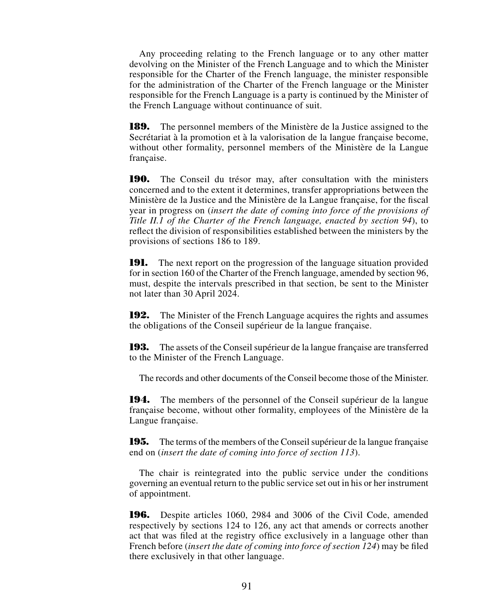Any proceeding relating to the French language or to any other matter devolving on the Minister of the French Language and to which the Minister responsible for the Charter of the French language, the minister responsible for the administration of the Charter of the French language or the Minister responsible for the French Language is a party is continued by the Minister of the French Language without continuance of suit.

**189.** The personnel members of the Ministère de la Justice assigned to the Secrétariat à la promotion et à la valorisation de la langue française become, without other formality, personnel members of the Ministère de la Langue française.

**190.** The Conseil du trésor may, after consultation with the ministers concerned and to the extent it determines, transfer appropriations between the Ministère de la Justice and the Ministère de la Langue française, for the fiscal year in progress on (*insert the date of coming into force of the provisions of Title II.1 of the Charter of the French language, enacted by section 94*), to reflect the division of responsibilities established between the ministers by the provisions of sections 186 to 189.

**191.** The next report on the progression of the language situation provided for in section 160 of the Charter of the French language, amended by section 96, must, despite the intervals prescribed in that section, be sent to the Minister not later than 30 April 2024.

**192.** The Minister of the French Language acquires the rights and assumes the obligations of the Conseil supérieur de la langue française.

**193.** The assets of the Conseil supérieur de la langue française are transferred to the Minister of the French Language.

The records and other documents of the Conseil become those of the Minister.

**194.** The members of the personnel of the Conseil supérieur de la langue française become, without other formality, employees of the Ministère de la Langue française.

**195.** The terms of the members of the Conseil supérieur de la langue française end on (*insert the date of coming into force of section 113*).

The chair is reintegrated into the public service under the conditions governing an eventual return to the public service set out in his or her instrument of appointment.

**196.** Despite articles 1060, 2984 and 3006 of the Civil Code, amended respectively by sections 124 to 126, any act that amends or corrects another act that was filed at the registry office exclusively in a language other than French before (*insert the date of coming into force of section 124*) may be filed there exclusively in that other language.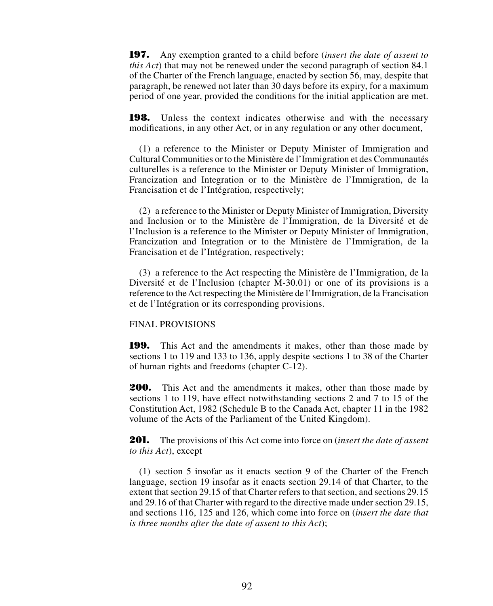**197.** Any exemption granted to a child before (*insert the date of assent to this Act*) that may not be renewed under the second paragraph of section 84.1 of the Charter of the French language, enacted by section 56, may, despite that paragraph, be renewed not later than 30 days before its expiry, for a maximum period of one year, provided the conditions for the initial application are met.

**198.** Unless the context indicates otherwise and with the necessary modifications, in any other Act, or in any regulation or any other document,

(1) a reference to the Minister or Deputy Minister of Immigration and Cultural Communities or to the Ministère de l'Immigration et des Communautés culturelles is a reference to the Minister or Deputy Minister of Immigration, Francization and Integration or to the Ministère de l'Immigration, de la Francisation et de l'Intégration, respectively;

(2) a reference to the Minister or Deputy Minister of Immigration, Diversity and Inclusion or to the Ministère de l'Immigration, de la Diversité et de l'Inclusion is a reference to the Minister or Deputy Minister of Immigration, Francization and Integration or to the Ministère de l'Immigration, de la Francisation et de l'Intégration, respectively;

(3) a reference to the Act respecting the Ministère de l'Immigration, de la Diversité et de l'Inclusion (chapter M-30.01) or one of its provisions is a reference to the Act respecting the Ministère de l'Immigration, de la Francisation et de l'Intégration or its corresponding provisions.

### FINAL PROVISIONS

**199.** This Act and the amendments it makes, other than those made by sections 1 to 119 and 133 to 136, apply despite sections 1 to 38 of the Charter of human rights and freedoms (chapter C-12).

**200.** This Act and the amendments it makes, other than those made by sections 1 to 119, have effect notwithstanding sections 2 and 7 to 15 of the Constitution Act, 1982 (Schedule B to the Canada Act, chapter 11 in the 1982 volume of the Acts of the Parliament of the United Kingdom).

**201.** The provisions of this Act come into force on (*insert the date of assent to this Act*), except

(1) section 5 insofar as it enacts section 9 of the Charter of the French language, section 19 insofar as it enacts section 29.14 of that Charter, to the extent that section 29.15 of that Charter refers to that section, and sections 29.15 and 29.16 of that Charter with regard to the directive made under section 29.15, and sections 116, 125 and 126, which come into force on (*insert the date that is three months after the date of assent to this Act*);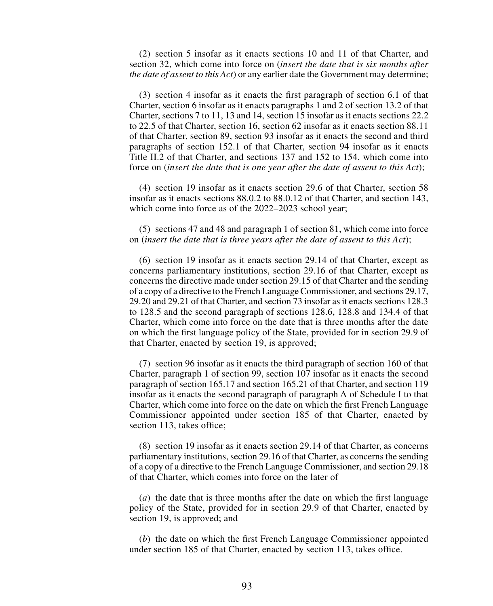(2) section 5 insofar as it enacts sections 10 and 11 of that Charter, and section 32, which come into force on (*insert the date that is six months after the date of assent to this Act*) or any earlier date the Government may determine;

(3) section 4 insofar as it enacts the first paragraph of section 6.1 of that Charter, section 6 insofar as it enacts paragraphs 1 and 2 of section 13.2 of that Charter, sections 7 to 11, 13 and 14, section 15 insofar as it enacts sections 22.2 to 22.5 of that Charter, section 16, section 62 insofar as it enacts section 88.11 of that Charter, section 89, section 93 insofar as it enacts the second and third paragraphs of section 152.1 of that Charter, section 94 insofar as it enacts Title II.2 of that Charter, and sections 137 and 152 to 154, which come into force on (*insert the date that is one year after the date of assent to this Act*);

(4) section 19 insofar as it enacts section 29.6 of that Charter, section 58 insofar as it enacts sections 88.0.2 to 88.0.12 of that Charter, and section 143, which come into force as of the 2022–2023 school year;

(5) sections 47 and 48 and paragraph 1 of section 81, which come into force on (*insert the date that is three years after the date of assent to this Act*);

(6) section 19 insofar as it enacts section 29.14 of that Charter, except as concerns parliamentary institutions, section 29.16 of that Charter, except as concerns the directive made under section 29.15 of that Charter and the sending of a copy of a directive to the French Language Commissioner, and sections 29.17, 29.20 and 29.21 of that Charter, and section 73 insofar as it enacts sections 128.3 to 128.5 and the second paragraph of sections 128.6, 128.8 and 134.4 of that Charter, which come into force on the date that is three months after the date on which the first language policy of the State, provided for in section 29.9 of that Charter, enacted by section 19, is approved;

(7) section 96 insofar as it enacts the third paragraph of section 160 of that Charter, paragraph 1 of section 99, section 107 insofar as it enacts the second paragraph of section 165.17 and section 165.21 of that Charter, and section 119 insofar as it enacts the second paragraph of paragraph A of Schedule I to that Charter, which come into force on the date on which the first French Language Commissioner appointed under section 185 of that Charter, enacted by section 113, takes office;

(8) section 19 insofar as it enacts section 29.14 of that Charter, as concerns parliamentary institutions, section 29.16 of that Charter, as concerns the sending of a copy of a directive to the French Language Commissioner, and section 29.18 of that Charter, which comes into force on the later of

(*a*) the date that is three months after the date on which the first language policy of the State, provided for in section 29.9 of that Charter, enacted by section 19, is approved; and

(*b*) the date on which the first French Language Commissioner appointed under section 185 of that Charter, enacted by section 113, takes office.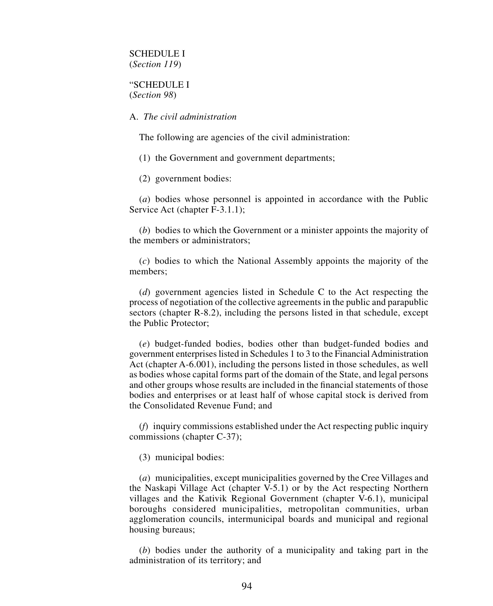## SCHEDULE I (*Section 119*)

## "SCHEDULE I (*Section 98*)

#### A. *The civil administration*

The following are agencies of the civil administration:

(1) the Government and government departments;

(2) government bodies:

(*a*) bodies whose personnel is appointed in accordance with the Public Service Act (chapter F-3.1.1);

(*b*) bodies to which the Government or a minister appoints the majority of the members or administrators;

(*c*) bodies to which the National Assembly appoints the majority of the members;

(*d*) government agencies listed in Schedule C to the Act respecting the process of negotiation of the collective agreements in the public and parapublic sectors (chapter R-8.2), including the persons listed in that schedule, except the Public Protector;

(*e*) budget-funded bodies, bodies other than budget-funded bodies and government enterprises listed in Schedules 1 to 3 to the Financial Administration Act (chapter A-6.001), including the persons listed in those schedules, as well as bodies whose capital forms part of the domain of the State, and legal persons and other groups whose results are included in the financial statements of those bodies and enterprises or at least half of whose capital stock is derived from the Consolidated Revenue Fund; and

(*f*) inquiry commissions established under the Act respecting public inquiry commissions (chapter C-37);

(3) municipal bodies:

(*a*) municipalities, except municipalities governed by the Cree Villages and the Naskapi Village Act (chapter V-5.1) or by the Act respecting Northern villages and the Kativik Regional Government (chapter V-6.1), municipal boroughs considered municipalities, metropolitan communities, urban agglomeration councils, intermunicipal boards and municipal and regional housing bureaus;

(*b*) bodies under the authority of a municipality and taking part in the administration of its territory; and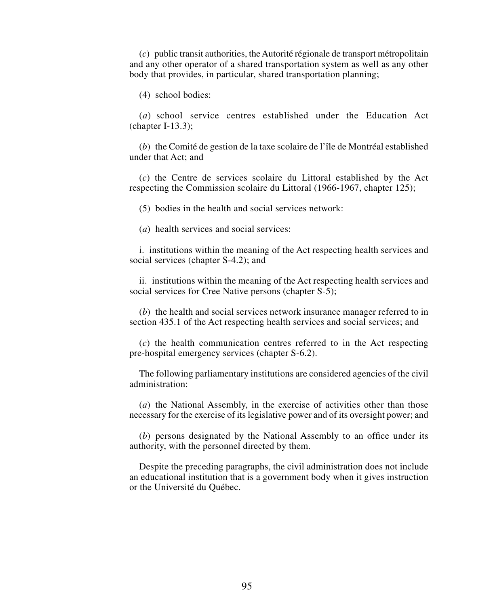(*c*) public transit authorities, the Autorité régionale de transport métropolitain and any other operator of a shared transportation system as well as any other body that provides, in particular, shared transportation planning;

(4) school bodies:

(*a*) school service centres established under the Education Act (chapter I-13.3);

(*b*) the Comité de gestion de la taxe scolaire de l'île de Montréal established under that Act; and

(*c*) the Centre de services scolaire du Littoral established by the Act respecting the Commission scolaire du Littoral (1966-1967, chapter 125);

(5) bodies in the health and social services network:

(*a*) health services and social services:

i. institutions within the meaning of the Act respecting health services and social services (chapter S-4.2); and

ii. institutions within the meaning of the Act respecting health services and social services for Cree Native persons (chapter S-5);

(*b*) the health and social services network insurance manager referred to in section 435.1 of the Act respecting health services and social services; and

(*c*) the health communication centres referred to in the Act respecting pre-hospital emergency services (chapter S-6.2).

The following parliamentary institutions are considered agencies of the civil administration:

(*a*) the National Assembly, in the exercise of activities other than those necessary for the exercise of its legislative power and of its oversight power; and

(*b*) persons designated by the National Assembly to an office under its authority, with the personnel directed by them.

Despite the preceding paragraphs, the civil administration does not include an educational institution that is a government body when it gives instruction or the Université du Québec.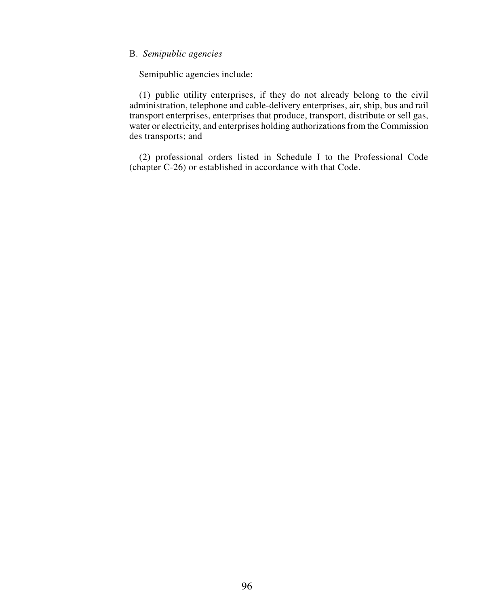### B. *Semipublic agencies*

Semipublic agencies include:

(1) public utility enterprises, if they do not already belong to the civil administration, telephone and cable-delivery enterprises, air, ship, bus and rail transport enterprises, enterprises that produce, transport, distribute or sell gas, water or electricity, and enterprises holding authorizations from the Commission des transports; and

(2) professional orders listed in Schedule I to the Professional Code (chapter C-26) or established in accordance with that Code.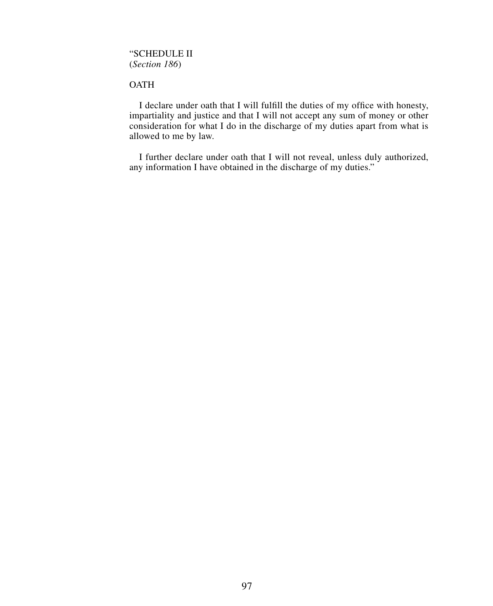# "SCHEDULE II (*Section 186*)

# **OATH**

I declare under oath that I will fulfill the duties of my office with honesty, impartiality and justice and that I will not accept any sum of money or other consideration for what I do in the discharge of my duties apart from what is allowed to me by law.

I further declare under oath that I will not reveal, unless duly authorized, any information I have obtained in the discharge of my duties."